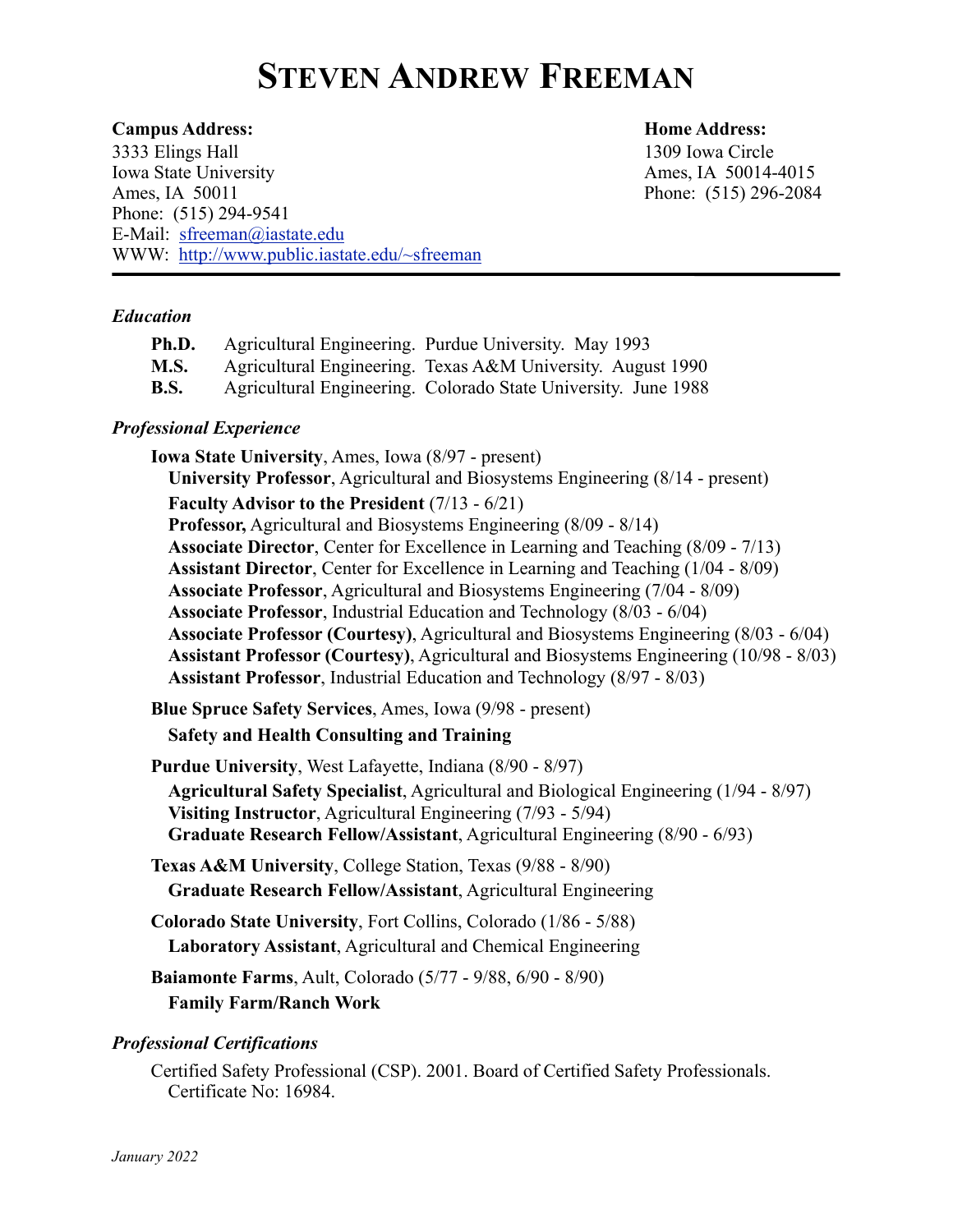# **STEVEN ANDREW FREEMAN**

#### **Campus Address: Home Address:**

3333 Elings Hall 1309 Iowa Circle Iowa State University Ames, IA 50014-4015 Ames, IA 50011 Phone: (515) 296-2084 Phone: (515) 294-9541 E-Mail: [sfreeman@iastate.edu](mailto:sfreeman@iastate.edu) WWW: [http://www.public.iastate.edu/~sfreeman](http://www.public.iastate.edu/~sfreeman/)

#### *Education*

| Ph.D. | Agricultural Engineering. Purdue University. May 1993          |
|-------|----------------------------------------------------------------|
| M.S.  | Agricultural Engineering. Texas A&M University. August 1990    |
| B.S.  | Agricultural Engineering. Colorado State University. June 1988 |

#### *Professional Experience*

**Iowa State University**, Ames, Iowa (8/97 - present) **University Professor**, Agricultural and Biosystems Engineering (8/14 - present) **Faculty Advisor to the President** (7/13 - 6/21) **Professor,** Agricultural and Biosystems Engineering (8/09 - 8/14) **Associate Director**, Center for Excellence in Learning and Teaching (8/09 - 7/13) **Assistant Director**, Center for Excellence in Learning and Teaching (1/04 - 8/09) **Associate Professor**, Agricultural and Biosystems Engineering (7/04 - 8/09) **Associate Professor**, Industrial Education and Technology (8/03 - 6/04) **Associate Professor (Courtesy)**, Agricultural and Biosystems Engineering (8/03 - 6/04) **Assistant Professor (Courtesy)**, Agricultural and Biosystems Engineering (10/98 - 8/03) **Assistant Professor**, Industrial Education and Technology (8/97 - 8/03)

**Blue Spruce Safety Services**, Ames, Iowa (9/98 - present) **Safety and Health Consulting and Training**

- **Purdue University**, West Lafayette, Indiana (8/90 8/97) **Agricultural Safety Specialist**, Agricultural and Biological Engineering (1/94 - 8/97) **Visiting Instructor**, Agricultural Engineering (7/93 - 5/94) **Graduate Research Fellow/Assistant**, Agricultural Engineering (8/90 - 6/93)
- **Texas A&M University**, College Station, Texas (9/88 8/90) **Graduate Research Fellow/Assistant**, Agricultural Engineering

**Colorado State University**, Fort Collins, Colorado (1/86 - 5/88) **Laboratory Assistant**, Agricultural and Chemical Engineering

**Baiamonte Farms**, Ault, Colorado (5/77 - 9/88, 6/90 - 8/90) **Family Farm/Ranch Work**

#### *Professional Certifications*

Certified Safety Professional (CSP). 2001. Board of Certified Safety Professionals. Certificate No: 16984.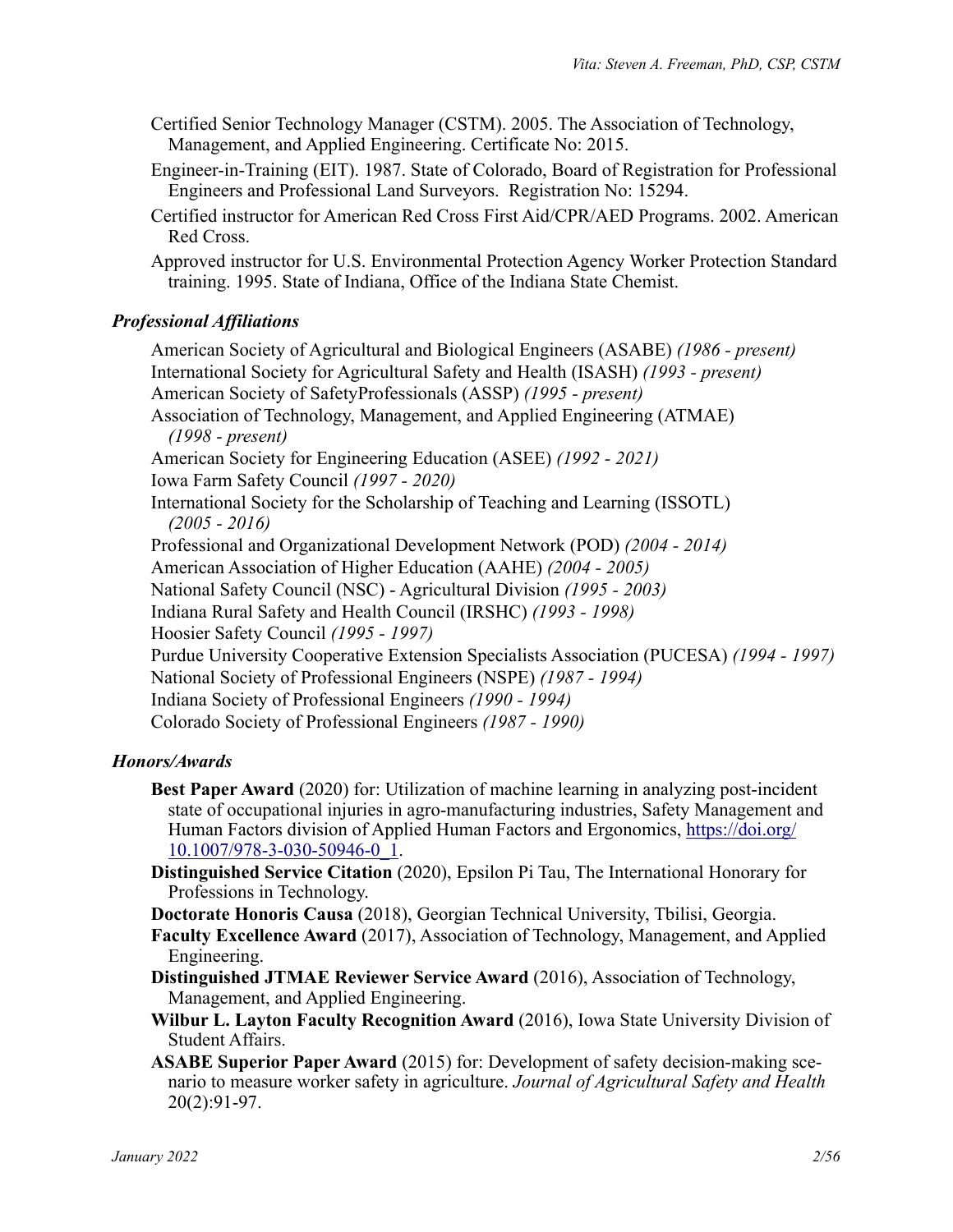- Certified Senior Technology Manager (CSTM). 2005. The Association of Technology, Management, and Applied Engineering. Certificate No: 2015.
- Engineer-in-Training (EIT). 1987. State of Colorado, Board of Registration for Professional Engineers and Professional Land Surveyors. Registration No: 15294.
- Certified instructor for American Red Cross First Aid/CPR/AED Programs. 2002. American Red Cross.

Approved instructor for U.S. Environmental Protection Agency Worker Protection Standard training. 1995. State of Indiana, Office of the Indiana State Chemist.

# *Professional Affiliations*

American Society of Agricultural and Biological Engineers (ASABE) *(1986 - present)* International Society for Agricultural Safety and Health (ISASH) *(1993 - present)* American Society of SafetyProfessionals (ASSP) *(1995 - present)* Association of Technology, Management, and Applied Engineering (ATMAE) *(1998 - present)* American Society for Engineering Education (ASEE) *(1992 - 2021)* Iowa Farm Safety Council *(1997 - 2020)* International Society for the Scholarship of Teaching and Learning (ISSOTL) *(2005 - 2016)* Professional and Organizational Development Network (POD) *(2004 - 2014)* American Association of Higher Education (AAHE) *(2004 - 2005)* National Safety Council (NSC) - Agricultural Division *(1995 - 2003)* Indiana Rural Safety and Health Council (IRSHC) *(1993 - 1998)* Hoosier Safety Council *(1995 - 1997)* Purdue University Cooperative Extension Specialists Association (PUCESA) *(1994 - 1997)* National Society of Professional Engineers (NSPE) *(1987 - 1994)* Indiana Society of Professional Engineers *(1990 - 1994)* Colorado Society of Professional Engineers *(1987 - 1990)*

# *Honors/Awards*

- **Best Paper Award** (2020) for: Utilization of machine learning in analyzing post-incident state of occupational injuries in agro-manufacturing industries, Safety Management and Human Factors division of Applied Human Factors and Ergonomics, [https://doi.org/](https://doi.org/10.1007/978-3-030-50946-0_1) [10.1007/978-3-030-50946-0\\_1](https://doi.org/10.1007/978-3-030-50946-0_1).
- **Distinguished Service Citation** (2020), Epsilon Pi Tau, The International Honorary for Professions in Technology.

**Doctorate Honoris Causa** (2018), Georgian Technical University, Tbilisi, Georgia.

**Faculty Excellence Award** (2017), Association of Technology, Management, and Applied Engineering.

**Distinguished JTMAE Reviewer Service Award** (2016), Association of Technology, Management, and Applied Engineering.

**Wilbur L. Layton Faculty Recognition Award** (2016), Iowa State University Division of Student Affairs.

**ASABE Superior Paper Award** (2015) for: Development of safety decision-making scenario to measure worker safety in agriculture. *Journal of Agricultural Safety and Health* 20(2):91-97.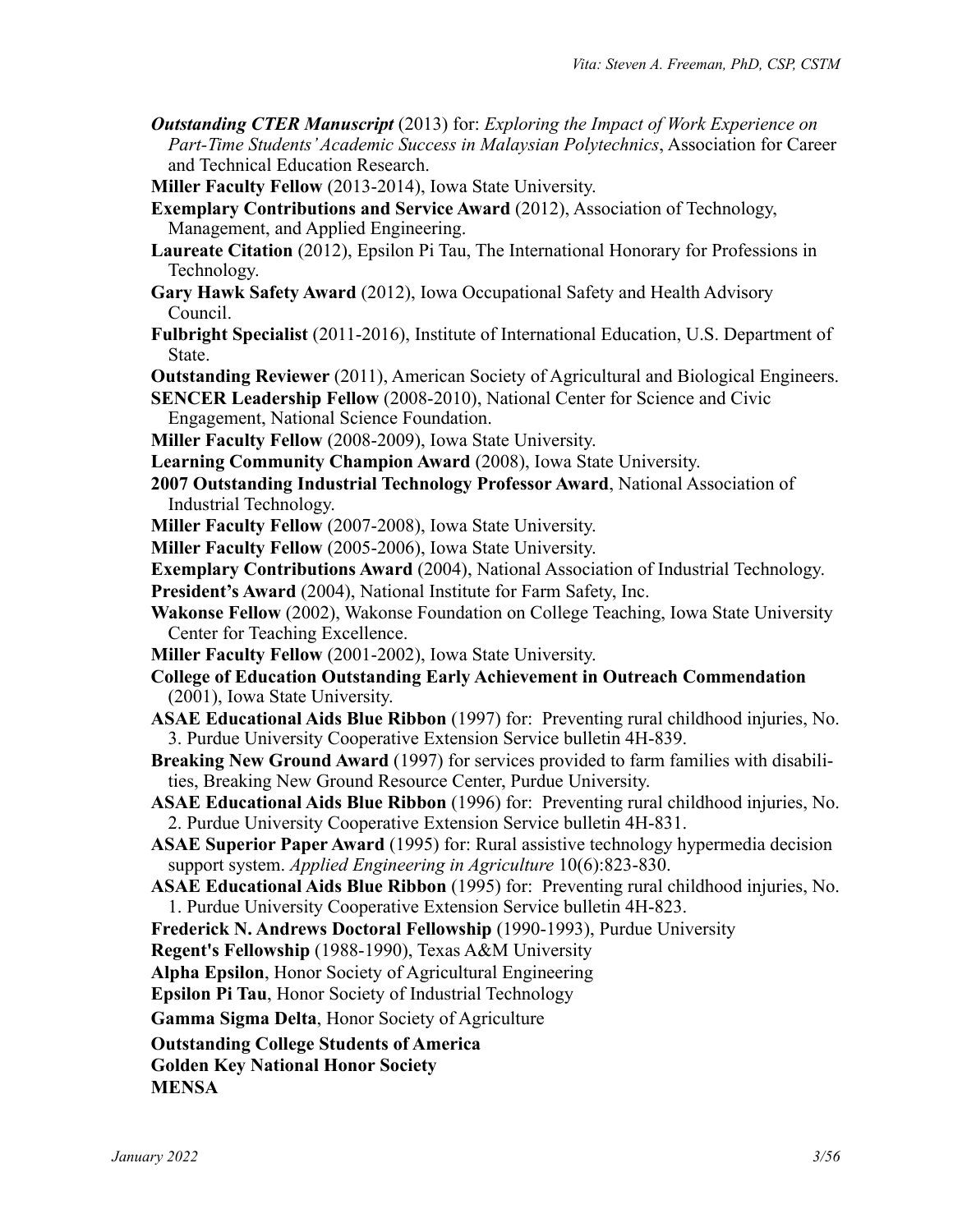- *Outstanding CTER Manuscript* (2013) for: *Exploring the Impact of Work Experience on Part-Time Students' Academic Success in Malaysian Polytechnics*, Association for Career and Technical Education Research.
- **Miller Faculty Fellow** (2013-2014), Iowa State University.
- **Exemplary Contributions and Service Award** (2012), Association of Technology, Management, and Applied Engineering.
- **Laureate Citation** (2012), Epsilon Pi Tau, The International Honorary for Professions in Technology.
- **Gary Hawk Safety Award** (2012), Iowa Occupational Safety and Health Advisory Council.
- **Fulbright Specialist** (2011-2016), Institute of International Education, U.S. Department of State.
- **Outstanding Reviewer** (2011), American Society of Agricultural and Biological Engineers.
- **SENCER Leadership Fellow** (2008-2010), National Center for Science and Civic Engagement, National Science Foundation.
- **Miller Faculty Fellow** (2008-2009), Iowa State University.
- **Learning Community Champion Award** (2008), Iowa State University.
- **2007 Outstanding Industrial Technology Professor Award**, National Association of Industrial Technology.
- **Miller Faculty Fellow** (2007-2008), Iowa State University.
- **Miller Faculty Fellow** (2005-2006), Iowa State University.
- **Exemplary Contributions Award** (2004), National Association of Industrial Technology.
- **President's Award** (2004), National Institute for Farm Safety, Inc.
- **Wakonse Fellow** (2002), Wakonse Foundation on College Teaching, Iowa State University Center for Teaching Excellence.
- **Miller Faculty Fellow** (2001-2002), Iowa State University.
- **College of Education Outstanding Early Achievement in Outreach Commendation** (2001), Iowa State University.
- **ASAE Educational Aids Blue Ribbon** (1997) for: Preventing rural childhood injuries, No. 3. Purdue University Cooperative Extension Service bulletin 4H-839.
- **Breaking New Ground Award** (1997) for services provided to farm families with disabilities, Breaking New Ground Resource Center, Purdue University.
- **ASAE Educational Aids Blue Ribbon** (1996) for: Preventing rural childhood injuries, No. 2. Purdue University Cooperative Extension Service bulletin 4H-831.
- **ASAE Superior Paper Award** (1995) for: Rural assistive technology hypermedia decision support system. *Applied Engineering in Agriculture* 10(6):823-830.
- **ASAE Educational Aids Blue Ribbon** (1995) for: Preventing rural childhood injuries, No. 1. Purdue University Cooperative Extension Service bulletin 4H-823.
- **Frederick N. Andrews Doctoral Fellowship** (1990-1993), Purdue University

**Regent's Fellowship** (1988-1990), Texas A&M University

**Alpha Epsilon**, Honor Society of Agricultural Engineering

**Epsilon Pi Tau**, Honor Society of Industrial Technology

**Gamma Sigma Delta**, Honor Society of Agriculture

**Outstanding College Students of America**

**Golden Key National Honor Society**

**MENSA**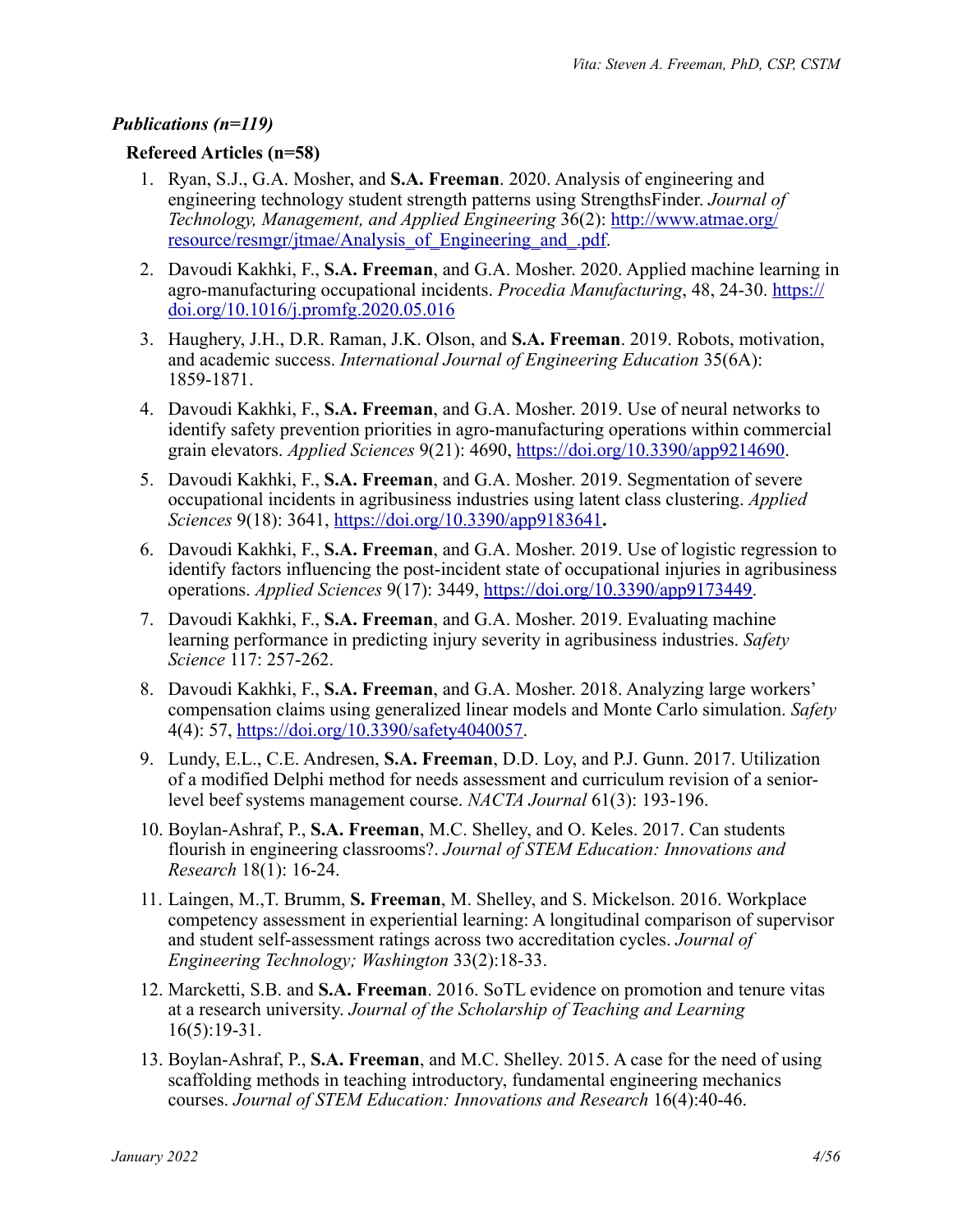# *Publications (n=119)*

## **Refereed Articles (n=58)**

- 1. Ryan, S.J., G.A. Mosher, and **S.A. Freeman**. 2020. Analysis of engineering and engineering technology student strength patterns using StrengthsFinder. *Journal of Technology, Management, and Applied Engineering* 36(2): [http://www.atmae.org/](http://www.atmae.org/resource/resmgr/jtmae/Analysis_of_Engineering_and_.pdf) [resource/resmgr/jtmae/Analysis\\_of\\_Engineering\\_and\\_.pdf.](http://www.atmae.org/resource/resmgr/jtmae/Analysis_of_Engineering_and_.pdf)
- 2. Davoudi Kakhki, F., **S.A. Freeman**, and G.A. Mosher. 2020. Applied machine learning in agro-manufacturing occupational incidents. *Procedia Manufacturing*, 48, 24-30. [https://](https://doi.org/10.1016/j.promfg.2020.05.016) [doi.org/10.1016/j.promfg.2020.05.016](https://doi.org/10.1016/j.promfg.2020.05.016)
- 3. Haughery, J.H., D.R. Raman, J.K. Olson, and **S.A. Freeman**. 2019. Robots, motivation, and academic success. *International Journal of Engineering Education* 35(6A): 1859-1871.
- 4. Davoudi Kakhki, F., **S.A. Freeman**, and G.A. Mosher. 2019. Use of neural networks to identify safety prevention priorities in agro-manufacturing operations within commercial grain elevators. *Applied Sciences* 9(21): 4690, <https://doi.org/10.3390/app9214690>.
- 5. Davoudi Kakhki, F., **S.A. Freeman**, and G.A. Mosher. 2019. Segmentation of severe occupational incidents in agribusiness industries using latent class clustering. *Applied Sciences* 9(18): 3641, <https://doi.org/10.3390/app9183641>**.**
- 6. Davoudi Kakhki, F., **S.A. Freeman**, and G.A. Mosher. 2019. Use of logistic regression to identify factors influencing the post-incident state of occupational injuries in agribusiness operations. *Applied Sciences* 9(17): 3449, <https://doi.org/10.3390/app9173449>.
- 7. Davoudi Kakhki, F., **S.A. Freeman**, and G.A. Mosher. 2019. Evaluating machine learning performance in predicting injury severity in agribusiness industries. *Safety Science* 117: 257-262.
- 8. Davoudi Kakhki, F., **S.A. Freeman**, and G.A. Mosher. 2018. Analyzing large workers' compensation claims using generalized linear models and Monte Carlo simulation. *Safety*  4(4): 57,<https://doi.org/10.3390/safety4040057>.
- 9. Lundy, E.L., C.E. Andresen, **S.A. Freeman**, D.D. Loy, and P.J. Gunn. 2017. Utilization of a modified Delphi method for needs assessment and curriculum revision of a seniorlevel beef systems management course. *NACTA Journal* 61(3): 193-196.
- 10. Boylan-Ashraf, P., **S.A. Freeman**, M.C. Shelley, and O. Keles. 2017. Can students flourish in engineering classrooms?. *Journal of STEM Education: Innovations and Research* 18(1): 16-24.
- 11. Laingen, M.,T. Brumm, **S. Freeman**, M. Shelley, and S. Mickelson. 2016. Workplace competency assessment in experiential learning: A longitudinal comparison of supervisor and student self-assessment ratings across two accreditation cycles. *Journal of Engineering Technology; Washington* 33(2):18-33.
- 12. Marcketti, S.B. and **S.A. Freeman**. 2016. SoTL evidence on promotion and tenure vitas at a research university. *Journal of the Scholarship of Teaching and Learning* 16(5):19-31.
- 13. Boylan-Ashraf, P., **S.A. Freeman**, and M.C. Shelley. 2015. A case for the need of using scaffolding methods in teaching introductory, fundamental engineering mechanics courses. *Journal of STEM Education: Innovations and Research* 16(4):40-46.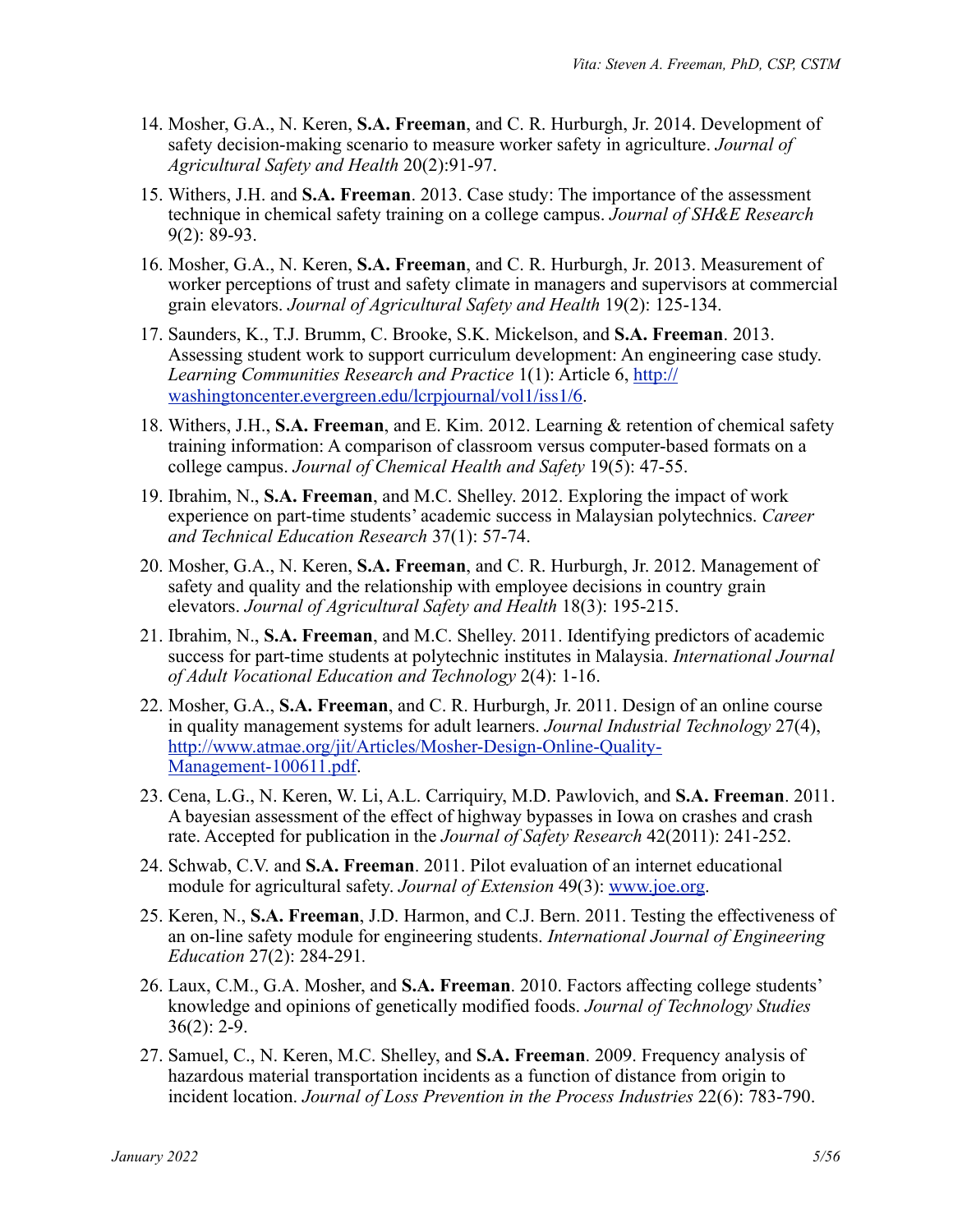- 14. Mosher, G.A., N. Keren, **S.A. Freeman**, and C. R. Hurburgh, Jr. 2014. Development of safety decision-making scenario to measure worker safety in agriculture. *Journal of Agricultural Safety and Health* 20(2):91-97.
- 15. Withers, J.H. and **S.A. Freeman**. 2013. Case study: The importance of the assessment technique in chemical safety training on a college campus. *Journal of SH&E Research*  9(2): 89-93.
- 16. Mosher, G.A., N. Keren, **S.A. Freeman**, and C. R. Hurburgh, Jr. 2013. Measurement of worker perceptions of trust and safety climate in managers and supervisors at commercial grain elevators. *Journal of Agricultural Safety and Health* 19(2): 125-134.
- 17. Saunders, K., T.J. Brumm, C. Brooke, S.K. Mickelson, and **S.A. Freeman**. 2013. Assessing student work to support curriculum development: An engineering case study. *Learning Communities Research and Practice* 1(1): Article 6, [http://](http://washingtoncenter.evergreen.edu/lcrpjournal/vol1/iss1/6) [washingtoncenter.evergreen.edu/lcrpjournal/vol1/iss1/6](http://washingtoncenter.evergreen.edu/lcrpjournal/vol1/iss1/6).
- 18. Withers, J.H., **S.A. Freeman**, and E. Kim. 2012. Learning & retention of chemical safety training information: A comparison of classroom versus computer-based formats on a college campus. *Journal of Chemical Health and Safety* 19(5): 47-55.
- 19. Ibrahim, N., **S.A. Freeman**, and M.C. Shelley. 2012. Exploring the impact of work experience on part-time students' academic success in Malaysian polytechnics. *Career and Technical Education Research* 37(1): 57-74.
- 20. Mosher, G.A., N. Keren, **S.A. Freeman**, and C. R. Hurburgh, Jr. 2012. Management of safety and quality and the relationship with employee decisions in country grain elevators. *Journal of Agricultural Safety and Health* 18(3): 195-215.
- 21. Ibrahim, N., **S.A. Freeman**, and M.C. Shelley. 2011. Identifying predictors of academic success for part-time students at polytechnic institutes in Malaysia. *International Journal of Adult Vocational Education and Technology* 2(4): 1-16.
- 22. Mosher, G.A., **S.A. Freeman**, and C. R. Hurburgh, Jr. 2011. Design of an online course in quality management systems for adult learners. *Journal Industrial Technology* 27(4), [http://www.atmae.org/jit/Articles/Mosher-Design-Online-Quality-](http://www.atmae.org/jit/Articles/Mosher-Design-Online-Quality-Management-100611.pdf)[Management-100611.pdf](http://www.atmae.org/jit/Articles/Mosher-Design-Online-Quality-Management-100611.pdf).
- 23. Cena, L.G., N. Keren, W. Li, A.L. Carriquiry, M.D. Pawlovich, and **S.A. Freeman**. 2011. A bayesian assessment of the effect of highway bypasses in Iowa on crashes and crash rate. Accepted for publication in the *Journal of Safety Research* 42(2011): 241-252.
- 24. Schwab, C.V. and **S.A. Freeman**. 2011. Pilot evaluation of an internet educational module for agricultural safety. *Journal of Extension* 49(3): [www.joe.org](http://www.joe.org).
- 25. Keren, N., **S.A. Freeman**, J.D. Harmon, and C.J. Bern. 2011. Testing the effectiveness of an on-line safety module for engineering students. *International Journal of Engineering Education* 27(2): 284-291*.*
- 26. Laux, C.M., G.A. Mosher, and **S.A. Freeman**. 2010. Factors affecting college students' knowledge and opinions of genetically modified foods. *Journal of Technology Studies*  $36(2): 2-9.$
- 27. Samuel, C., N. Keren, M.C. Shelley, and **S.A. Freeman**. 2009. Frequency analysis of hazardous material transportation incidents as a function of distance from origin to incident location. *Journal of Loss Prevention in the Process Industries* 22(6): 783-790.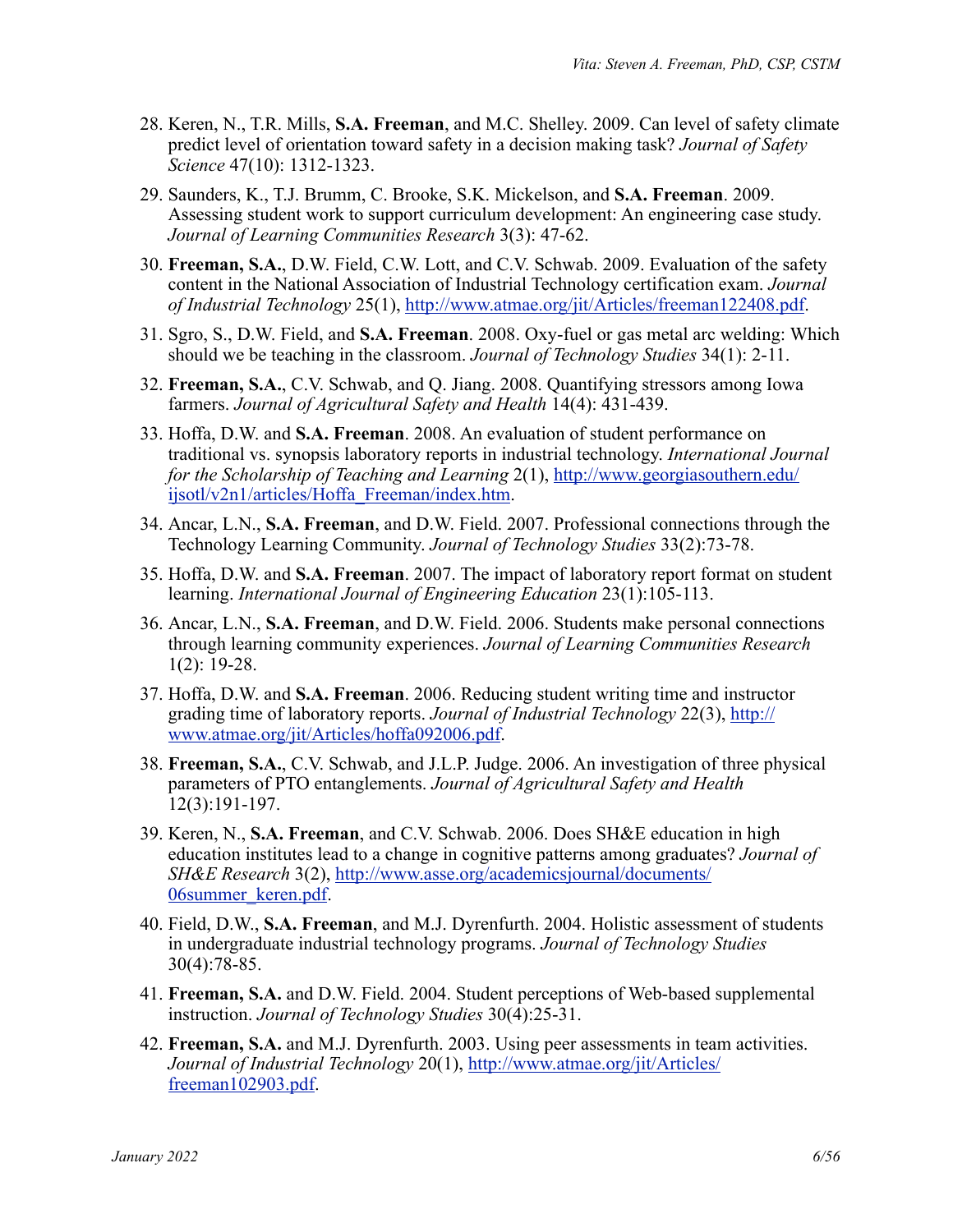- 28. Keren, N., T.R. Mills, **S.A. Freeman**, and M.C. Shelley. 2009. Can level of safety climate predict level of orientation toward safety in a decision making task? *Journal of Safety Science* 47(10): 1312-1323.
- 29. Saunders, K., T.J. Brumm, C. Brooke, S.K. Mickelson, and **S.A. Freeman**. 2009. Assessing student work to support curriculum development: An engineering case study. *Journal of Learning Communities Research* 3(3): 47-62.
- 30. **Freeman, S.A.**, D.W. Field, C.W. Lott, and C.V. Schwab. 2009. Evaluation of the safety content in the National Association of Industrial Technology certification exam. *Journal of Industrial Technology* 25(1), <http://www.atmae.org/jit/Articles/freeman122408.pdf>.
- 31. Sgro, S., D.W. Field, and **S.A. Freeman**. 2008. Oxy-fuel or gas metal arc welding: Which should we be teaching in the classroom. *Journal of Technology Studies* 34(1): 2-11.
- 32. **Freeman, S.A.**, C.V. Schwab, and Q. Jiang. 2008. Quantifying stressors among Iowa farmers. *Journal of Agricultural Safety and Health* 14(4): 431-439.
- 33. Hoffa, D.W. and **S.A. Freeman**. 2008. An evaluation of student performance on traditional vs. synopsis laboratory reports in industrial technology. *International Journal for the Scholarship of Teaching and Learning* 2(1), [http://www.georgiasouthern.edu/](http://www.georgiasouthern.edu/ijsotl/v2n1/articles/Hoffa_Freeman/index.htm) [ijsotl/v2n1/articles/Hoffa\\_Freeman/index.htm](http://www.georgiasouthern.edu/ijsotl/v2n1/articles/Hoffa_Freeman/index.htm).
- 34. Ancar, L.N., **S.A. Freeman**, and D.W. Field. 2007. Professional connections through the Technology Learning Community. *Journal of Technology Studies* 33(2):73-78.
- 35. Hoffa, D.W. and **S.A. Freeman**. 2007. The impact of laboratory report format on student learning. *International Journal of Engineering Education* 23(1):105-113.
- 36. Ancar, L.N., **S.A. Freeman**, and D.W. Field. 2006. Students make personal connections through learning community experiences. *Journal of Learning Communities Research* 1(2): 19-28.
- 37. Hoffa, D.W. and **S.A. Freeman**. 2006. Reducing student writing time and instructor grading time of laboratory reports. *Journal of Industrial Technology* 22(3), [http://](http://www.atmae.org/jit/Articles/hoffa092006.pdf) [www.atmae.org/jit/Articles/hoffa092006.pdf.](http://www.atmae.org/jit/Articles/hoffa092006.pdf)
- 38. **Freeman, S.A.**, C.V. Schwab, and J.L.P. Judge. 2006. An investigation of three physical parameters of PTO entanglements. *Journal of Agricultural Safety and Health* 12(3):191-197.
- 39. Keren, N., **S.A. Freeman**, and C.V. Schwab. 2006. Does SH&E education in high education institutes lead to a change in cognitive patterns among graduates? *Journal of SH&E Research* 3(2), [http://www.asse.org/academicsjournal/documents/](http://www.asse.org/academicsjournal/documents/06summer_keren.pdf) [06summer\\_keren.pdf](http://www.asse.org/academicsjournal/documents/06summer_keren.pdf).
- 40. Field, D.W., **S.A. Freeman**, and M.J. Dyrenfurth. 2004. Holistic assessment of students in undergraduate industrial technology programs. *Journal of Technology Studies* 30(4):78-85.
- 41. **Freeman, S.A.** and D.W. Field. 2004. Student perceptions of Web-based supplemental instruction. *Journal of Technology Studies* 30(4):25-31.
- 42. **Freeman, S.A.** and M.J. Dyrenfurth. 2003. Using peer assessments in team activities. *Journal of Industrial Technology* 20(1), [http://www.atmae.org/jit/Articles/](http://www.atmae.org/jit/Articles/freeman102903.pdf) [freeman102903.pdf](http://www.atmae.org/jit/Articles/freeman102903.pdf).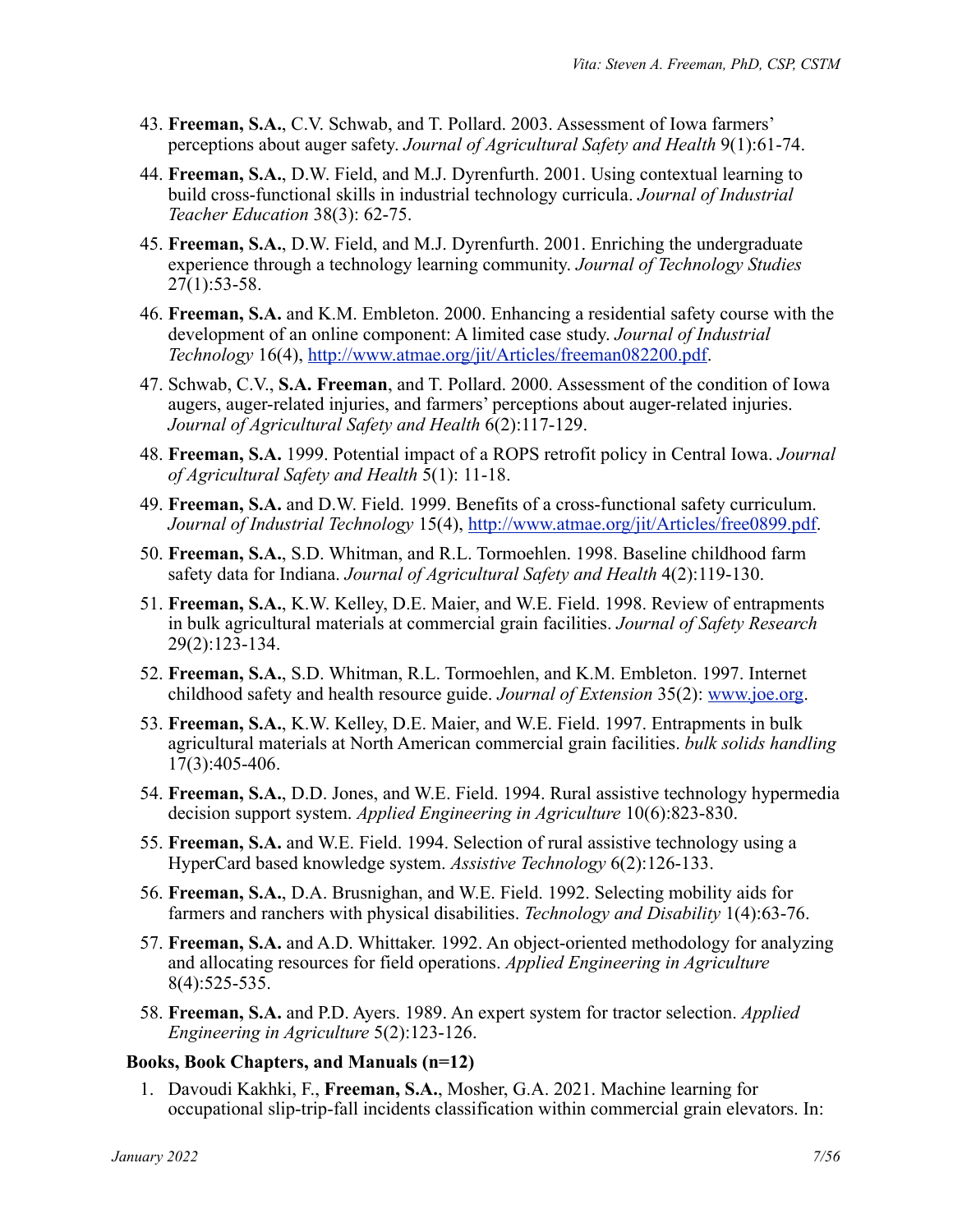- 43. **Freeman, S.A.**, C.V. Schwab, and T. Pollard. 2003. Assessment of Iowa farmers' perceptions about auger safety. *Journal of Agricultural Safety and Health* 9(1):61-74.
- 44. **Freeman, S.A.**, D.W. Field, and M.J. Dyrenfurth. 2001. Using contextual learning to build cross-functional skills in industrial technology curricula. *Journal of Industrial Teacher Education* 38(3): 62-75.
- 45. **Freeman, S.A.**, D.W. Field, and M.J. Dyrenfurth. 2001. Enriching the undergraduate experience through a technology learning community. *Journal of Technology Studies* 27(1):53-58.
- 46. **Freeman, S.A.** and K.M. Embleton. 2000. Enhancing a residential safety course with the development of an online component: A limited case study. *Journal of Industrial Technology* 16(4), <http://www.atmae.org/jit/Articles/freeman082200.pdf>.
- 47. Schwab, C.V., **S.A. Freeman**, and T. Pollard. 2000. Assessment of the condition of Iowa augers, auger-related injuries, and farmers' perceptions about auger-related injuries. *Journal of Agricultural Safety and Health* 6(2):117-129.
- 48. **Freeman, S.A.** 1999. Potential impact of a ROPS retrofit policy in Central Iowa. *Journal of Agricultural Safety and Health* 5(1): 11-18.
- 49. **Freeman, S.A.** and D.W. Field. 1999. Benefits of a cross-functional safety curriculum. *Journal of Industrial Technology* 15(4), [http://www.atmae.org/jit/Articles/free0899.pdf.](http://www.atmae.org/jit/Articles/free0899.pdf)
- 50. **Freeman, S.A.**, S.D. Whitman, and R.L. Tormoehlen. 1998. Baseline childhood farm safety data for Indiana. *Journal of Agricultural Safety and Health* 4(2):119-130.
- 51. **Freeman, S.A.**, K.W. Kelley, D.E. Maier, and W.E. Field. 1998. Review of entrapments in bulk agricultural materials at commercial grain facilities. *Journal of Safety Research* 29(2):123-134.
- 52. **Freeman, S.A.**, S.D. Whitman, R.L. Tormoehlen, and K.M. Embleton. 1997. Internet childhood safety and health resource guide. *Journal of Extension* 35(2): [www.joe.org.](http://www.joe.org)
- 53. **Freeman, S.A.**, K.W. Kelley, D.E. Maier, and W.E. Field. 1997. Entrapments in bulk agricultural materials at North American commercial grain facilities. *bulk solids handling*  17(3):405-406.
- 54. **Freeman, S.A.**, D.D. Jones, and W.E. Field. 1994. Rural assistive technology hypermedia decision support system. *Applied Engineering in Agriculture* 10(6):823-830.
- 55. **Freeman, S.A.** and W.E. Field. 1994. Selection of rural assistive technology using a HyperCard based knowledge system. *Assistive Technology* 6(2):126-133.
- 56. **Freeman, S.A.**, D.A. Brusnighan, and W.E. Field. 1992. Selecting mobility aids for farmers and ranchers with physical disabilities. *Technology and Disability* 1(4):63-76.
- 57. **Freeman, S.A.** and A.D. Whittaker. 1992. An object-oriented methodology for analyzing and allocating resources for field operations. *Applied Engineering in Agriculture* 8(4):525-535.
- 58. **Freeman, S.A.** and P.D. Ayers. 1989. An expert system for tractor selection. *Applied Engineering in Agriculture* 5(2):123-126.

#### **Books, Book Chapters, and Manuals (n=12)**

1. Davoudi Kakhki, F., **Freeman, S.A.**, Mosher, G.A. 2021. Machine learning for occupational slip-trip-fall incidents classification within commercial grain elevators. In: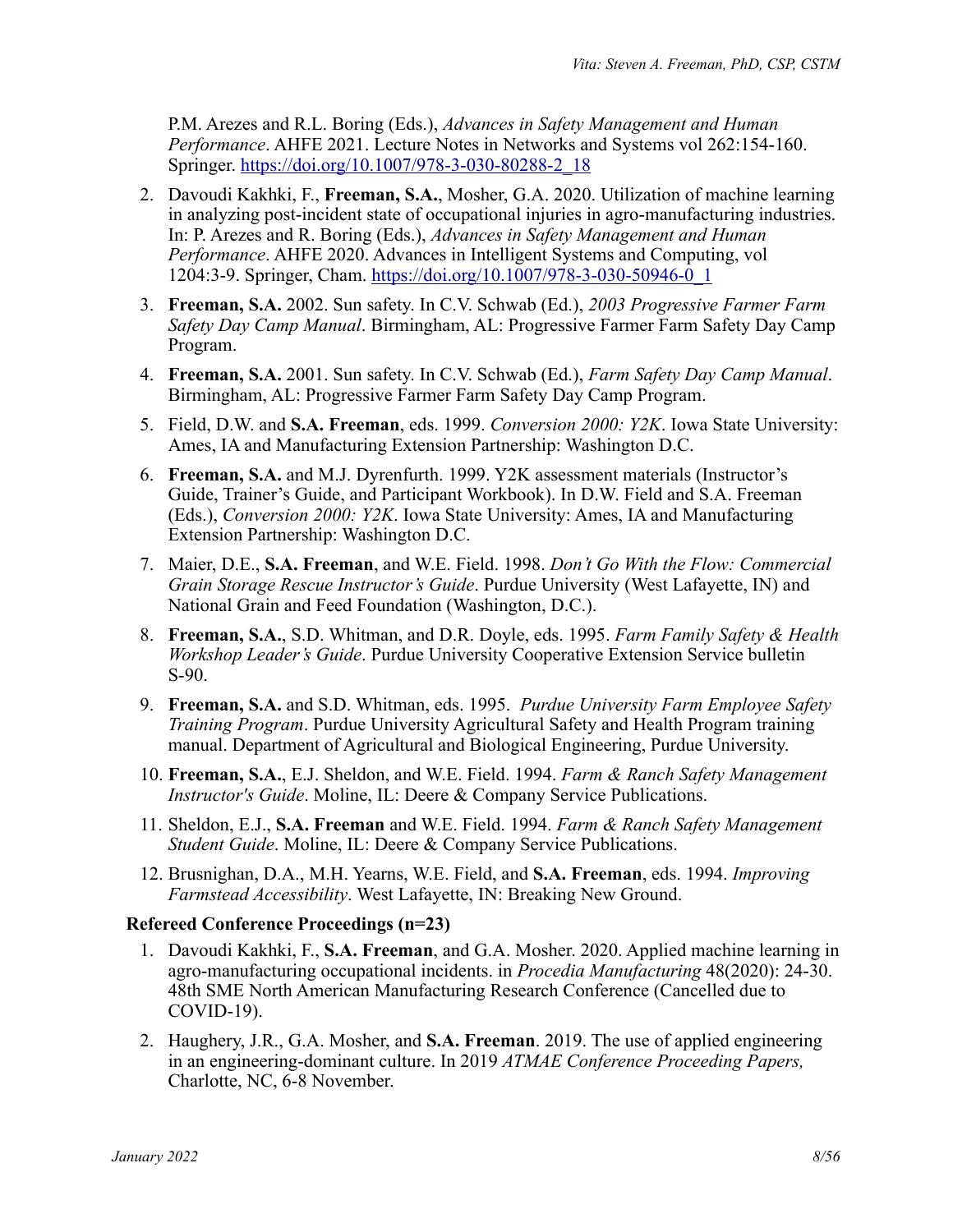P.M. Arezes and R.L. Boring (Eds.), *Advances in Safety Management and Human Performance*. AHFE 2021. Lecture Notes in Networks and Systems vol 262:154-160. Springer. [https://doi.org/10.1007/978-3-030-80288-2\\_18](https://doi.org/10.1007/978-3-030-80288-2_18)

- 2. Davoudi Kakhki, F., **Freeman, S.A.**, Mosher, G.A. 2020. Utilization of machine learning in analyzing post-incident state of occupational injuries in agro-manufacturing industries. In: P. Arezes and R. Boring (Eds.), *Advances in Safety Management and Human Performance*. AHFE 2020. Advances in Intelligent Systems and Computing, vol 1204:3-9. Springer, Cham. [https://doi.org/10.1007/978-3-030-50946-0\\_1](https://doi.org/10.1007/978-3-030-50946-0_1)
- 3. **Freeman, S.A.** 2002. Sun safety. In C.V. Schwab (Ed.), *2003 Progressive Farmer Farm Safety Day Camp Manual*. Birmingham, AL: Progressive Farmer Farm Safety Day Camp Program.
- 4. **Freeman, S.A.** 2001. Sun safety. In C.V. Schwab (Ed.), *Farm Safety Day Camp Manual*. Birmingham, AL: Progressive Farmer Farm Safety Day Camp Program.
- 5. Field, D.W. and **S.A. Freeman**, eds. 1999. *Conversion 2000: Y2K*. Iowa State University: Ames, IA and Manufacturing Extension Partnership: Washington D.C.
- 6. **Freeman, S.A.** and M.J. Dyrenfurth. 1999. Y2K assessment materials (Instructor's Guide, Trainer's Guide, and Participant Workbook). In D.W. Field and S.A. Freeman (Eds.), *Conversion 2000: Y2K*. Iowa State University: Ames, IA and Manufacturing Extension Partnership: Washington D.C.
- 7. Maier, D.E., **S.A. Freeman**, and W.E. Field. 1998. *Don't Go With the Flow: Commercial Grain Storage Rescue Instructor's Guide*. Purdue University (West Lafayette, IN) and National Grain and Feed Foundation (Washington, D.C.).
- 8. **Freeman, S.A.**, S.D. Whitman, and D.R. Doyle, eds. 1995. *Farm Family Safety & Health Workshop Leader's Guide*. Purdue University Cooperative Extension Service bulletin S-90.
- 9. **Freeman, S.A.** and S.D. Whitman, eds. 1995. *Purdue University Farm Employee Safety Training Program*. Purdue University Agricultural Safety and Health Program training manual. Department of Agricultural and Biological Engineering, Purdue University.
- 10. **Freeman, S.A.**, E.J. Sheldon, and W.E. Field. 1994. *Farm & Ranch Safety Management Instructor's Guide*. Moline, IL: Deere & Company Service Publications.
- 11. Sheldon, E.J., **S.A. Freeman** and W.E. Field. 1994. *Farm & Ranch Safety Management Student Guide*. Moline, IL: Deere & Company Service Publications.
- 12. Brusnighan, D.A., M.H. Yearns, W.E. Field, and **S.A. Freeman**, eds. 1994. *Improving Farmstead Accessibility*. West Lafayette, IN: Breaking New Ground.

#### **Refereed Conference Proceedings (n=23)**

- 1. Davoudi Kakhki, F., **S.A. Freeman**, and G.A. Mosher. 2020. Applied machine learning in agro-manufacturing occupational incidents. in *Procedia Manufacturing* 48(2020): 24-30. 48th SME North American Manufacturing Research Conference (Cancelled due to COVID-19).
- 2. Haughery, J.R., G.A. Mosher, and **S.A. Freeman**. 2019. The use of applied engineering in an engineering-dominant culture. In 2019 *ATMAE Conference Proceeding Papers,* Charlotte, NC, 6-8 November.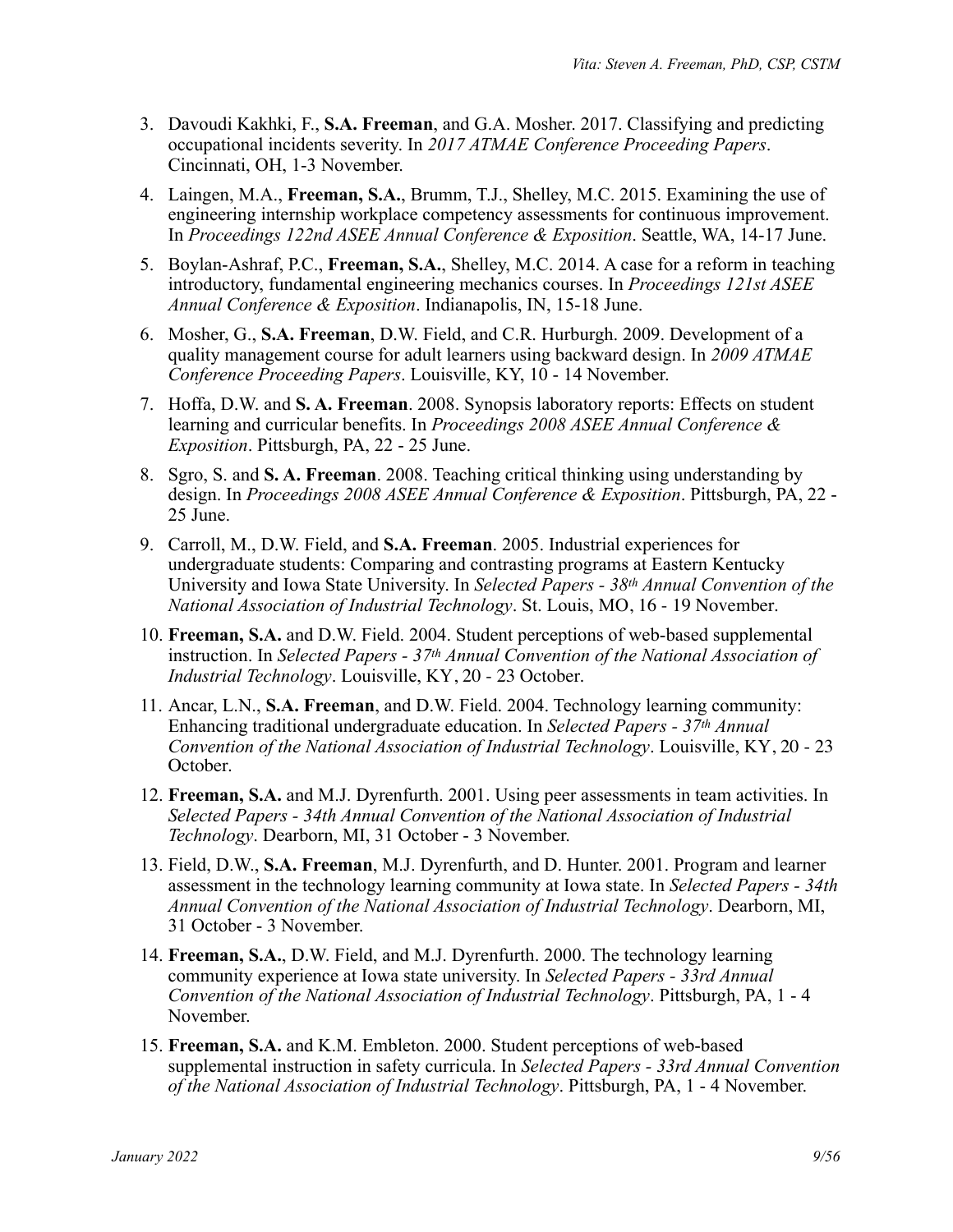- 3. Davoudi Kakhki, F., **S.A. Freeman**, and G.A. Mosher. 2017. Classifying and predicting occupational incidents severity. In *2017 ATMAE Conference Proceeding Papers*. Cincinnati, OH, 1-3 November.
- 4. Laingen, M.A., **Freeman, S.A.**, Brumm, T.J., Shelley, M.C. 2015. Examining the use of engineering internship workplace competency assessments for continuous improvement. In *Proceedings 122nd ASEE Annual Conference & Exposition*. Seattle, WA, 14-17 June.
- 5. Boylan-Ashraf, P.C., **Freeman, S.A.**, Shelley, M.C. 2014. A case for a reform in teaching introductory, fundamental engineering mechanics courses. In *Proceedings 121st ASEE Annual Conference & Exposition*. Indianapolis, IN, 15-18 June.
- 6. Mosher, G., **S.A. Freeman**, D.W. Field, and C.R. Hurburgh. 2009. Development of a quality management course for adult learners using backward design. In *2009 ATMAE Conference Proceeding Papers*. Louisville, KY, 10 - 14 November.
- 7. Hoffa, D.W. and **S. A. Freeman**. 2008. Synopsis laboratory reports: Effects on student learning and curricular benefits. In *Proceedings 2008 ASEE Annual Conference & Exposition*. Pittsburgh, PA, 22 - 25 June.
- 8. Sgro, S. and **S. A. Freeman**. 2008. Teaching critical thinking using understanding by design. In *Proceedings 2008 ASEE Annual Conference & Exposition*. Pittsburgh, PA, 22 - 25 June.
- 9. Carroll, M., D.W. Field, and **S.A. Freeman**. 2005. Industrial experiences for undergraduate students: Comparing and contrasting programs at Eastern Kentucky University and Iowa State University. In *Selected Papers - 38th Annual Convention of the National Association of Industrial Technology*. St. Louis, MO, 16 - 19 November.
- 10. **Freeman, S.A.** and D.W. Field. 2004. Student perceptions of web-based supplemental instruction. In *Selected Papers - 37th Annual Convention of the National Association of Industrial Technology*. Louisville, KY, 20 - 23 October.
- 11. Ancar, L.N., **S.A. Freeman**, and D.W. Field. 2004. Technology learning community: Enhancing traditional undergraduate education. In *Selected Papers - 37th Annual Convention of the National Association of Industrial Technology*. Louisville, KY, 20 - 23 October.
- 12. **Freeman, S.A.** and M.J. Dyrenfurth. 2001. Using peer assessments in team activities. In *Selected Papers - 34th Annual Convention of the National Association of Industrial Technology*. Dearborn, MI, 31 October - 3 November.
- 13. Field, D.W., **S.A. Freeman**, M.J. Dyrenfurth, and D. Hunter. 2001. Program and learner assessment in the technology learning community at Iowa state. In *Selected Papers - 34th Annual Convention of the National Association of Industrial Technology*. Dearborn, MI, 31 October - 3 November.
- 14. **Freeman, S.A.**, D.W. Field, and M.J. Dyrenfurth. 2000. The technology learning community experience at Iowa state university. In *Selected Papers - 33rd Annual Convention of the National Association of Industrial Technology*. Pittsburgh, PA, 1 - 4 November.
- 15. **Freeman, S.A.** and K.M. Embleton. 2000. Student perceptions of web-based supplemental instruction in safety curricula. In *Selected Papers - 33rd Annual Convention of the National Association of Industrial Technology*. Pittsburgh, PA, 1 - 4 November.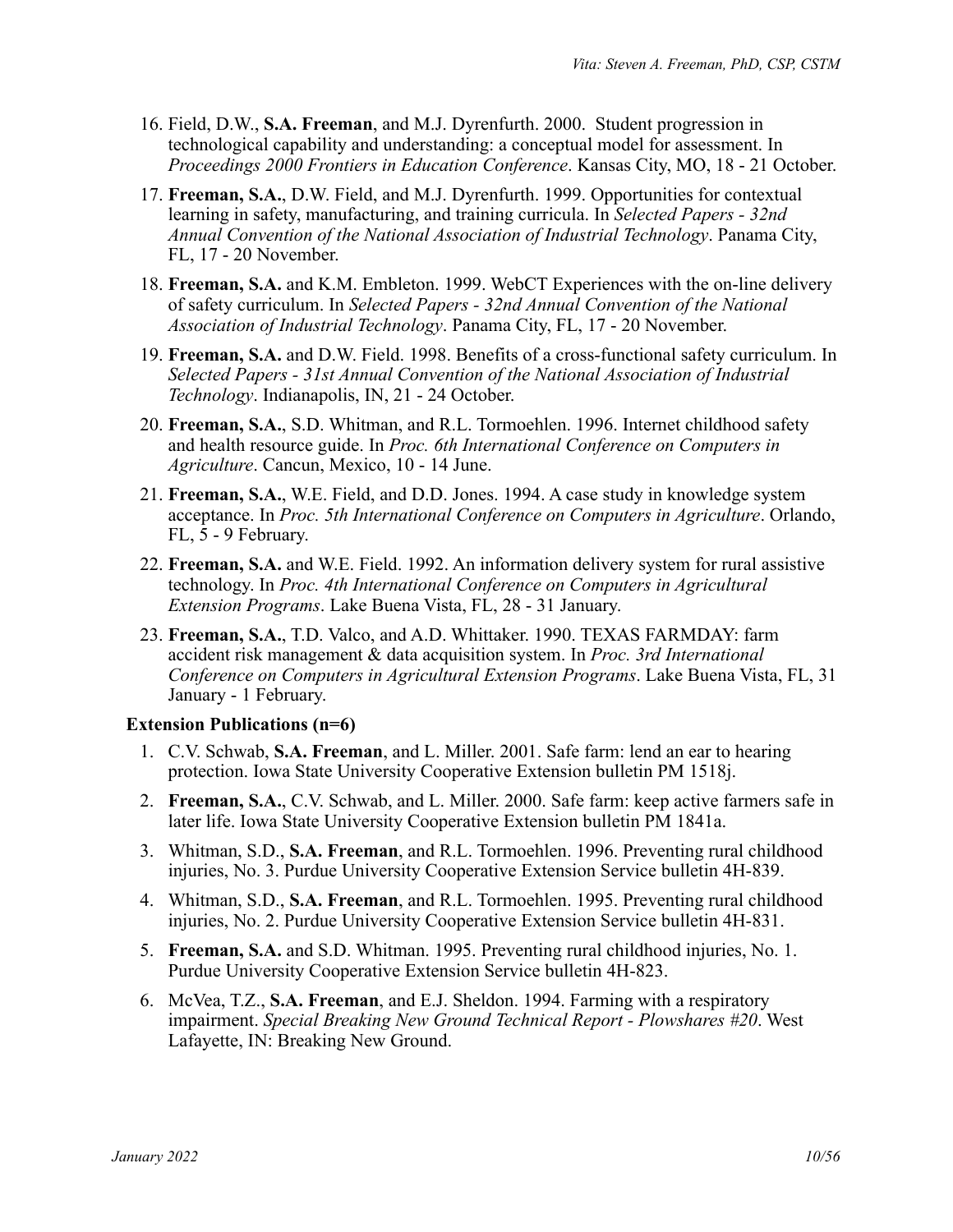- 16. Field, D.W., **S.A. Freeman**, and M.J. Dyrenfurth. 2000. Student progression in technological capability and understanding: a conceptual model for assessment. In *Proceedings 2000 Frontiers in Education Conference*. Kansas City, MO, 18 - 21 October.
- 17. **Freeman, S.A.**, D.W. Field, and M.J. Dyrenfurth. 1999. Opportunities for contextual learning in safety, manufacturing, and training curricula. In *Selected Papers - 32nd Annual Convention of the National Association of Industrial Technology*. Panama City, FL, 17 - 20 November.
- 18. **Freeman, S.A.** and K.M. Embleton. 1999. WebCT Experiences with the on-line delivery of safety curriculum. In *Selected Papers - 32nd Annual Convention of the National Association of Industrial Technology*. Panama City, FL, 17 - 20 November.
- 19. **Freeman, S.A.** and D.W. Field. 1998. Benefits of a cross-functional safety curriculum. In *Selected Papers - 31st Annual Convention of the National Association of Industrial Technology*. Indianapolis, IN, 21 - 24 October.
- 20. **Freeman, S.A.**, S.D. Whitman, and R.L. Tormoehlen. 1996. Internet childhood safety and health resource guide. In *Proc. 6th International Conference on Computers in Agriculture*. Cancun, Mexico, 10 - 14 June.
- 21. **Freeman, S.A.**, W.E. Field, and D.D. Jones. 1994. A case study in knowledge system acceptance. In *Proc. 5th International Conference on Computers in Agriculture*. Orlando, FL, 5 - 9 February.
- 22. **Freeman, S.A.** and W.E. Field. 1992. An information delivery system for rural assistive technology. In *Proc. 4th International Conference on Computers in Agricultural Extension Programs*. Lake Buena Vista, FL, 28 - 31 January.
- 23. **Freeman, S.A.**, T.D. Valco, and A.D. Whittaker. 1990. TEXAS FARMDAY: farm accident risk management & data acquisition system. In *Proc. 3rd International Conference on Computers in Agricultural Extension Programs*. Lake Buena Vista, FL, 31 January - 1 February.

# **Extension Publications (n=6)**

- 1. C.V. Schwab, **S.A. Freeman**, and L. Miller. 2001. Safe farm: lend an ear to hearing protection. Iowa State University Cooperative Extension bulletin PM 1518j.
- 2. **Freeman, S.A.**, C.V. Schwab, and L. Miller. 2000. Safe farm: keep active farmers safe in later life. Iowa State University Cooperative Extension bulletin PM 1841a.
- 3. Whitman, S.D., **S.A. Freeman**, and R.L. Tormoehlen. 1996. Preventing rural childhood injuries, No. 3. Purdue University Cooperative Extension Service bulletin 4H-839.
- 4. Whitman, S.D., **S.A. Freeman**, and R.L. Tormoehlen. 1995. Preventing rural childhood injuries, No. 2. Purdue University Cooperative Extension Service bulletin 4H-831.
- 5. **Freeman, S.A.** and S.D. Whitman. 1995. Preventing rural childhood injuries, No. 1. Purdue University Cooperative Extension Service bulletin 4H-823.
- 6. McVea, T.Z., **S.A. Freeman**, and E.J. Sheldon. 1994. Farming with a respiratory impairment. *Special Breaking New Ground Technical Report - Plowshares #20*. West Lafayette, IN: Breaking New Ground.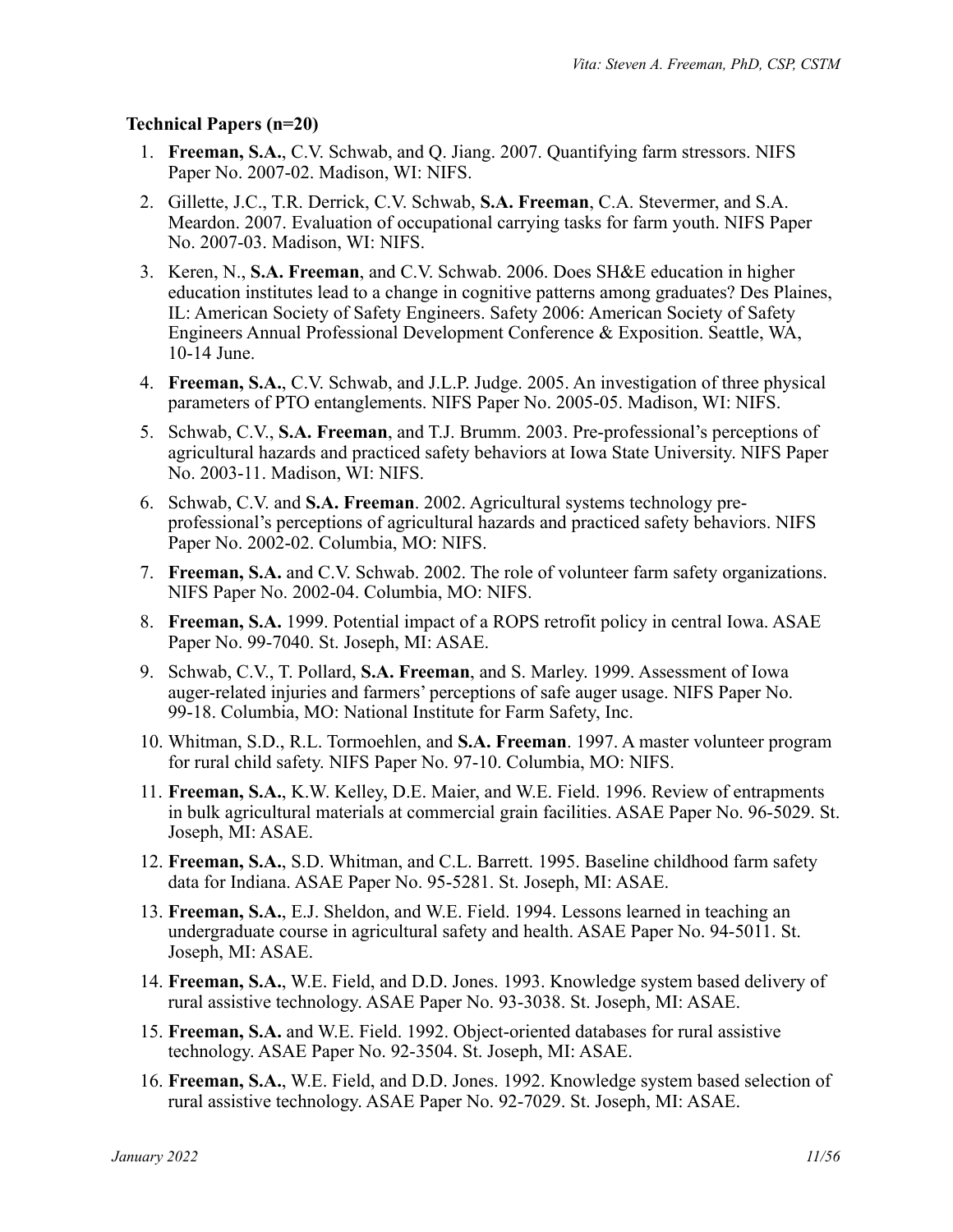### **Technical Papers (n=20)**

- 1. **Freeman, S.A.**, C.V. Schwab, and Q. Jiang. 2007. Quantifying farm stressors. NIFS Paper No. 2007-02. Madison, WI: NIFS.
- 2. Gillette, J.C., T.R. Derrick, C.V. Schwab, **S.A. Freeman**, C.A. Stevermer, and S.A. Meardon. 2007. Evaluation of occupational carrying tasks for farm youth. NIFS Paper No. 2007-03. Madison, WI: NIFS.
- 3. Keren, N., **S.A. Freeman**, and C.V. Schwab. 2006. Does SH&E education in higher education institutes lead to a change in cognitive patterns among graduates? Des Plaines, IL: American Society of Safety Engineers. Safety 2006: American Society of Safety Engineers Annual Professional Development Conference & Exposition. Seattle, WA, 10-14 June.
- 4. **Freeman, S.A.**, C.V. Schwab, and J.L.P. Judge. 2005. An investigation of three physical parameters of PTO entanglements. NIFS Paper No. 2005-05. Madison, WI: NIFS.
- 5. Schwab, C.V., **S.A. Freeman**, and T.J. Brumm. 2003. Pre-professional's perceptions of agricultural hazards and practiced safety behaviors at Iowa State University. NIFS Paper No. 2003-11. Madison, WI: NIFS.
- 6. Schwab, C.V. and **S.A. Freeman**. 2002. Agricultural systems technology preprofessional's perceptions of agricultural hazards and practiced safety behaviors. NIFS Paper No. 2002-02. Columbia, MO: NIFS.
- 7. **Freeman, S.A.** and C.V. Schwab. 2002. The role of volunteer farm safety organizations. NIFS Paper No. 2002-04. Columbia, MO: NIFS.
- 8. **Freeman, S.A.** 1999. Potential impact of a ROPS retrofit policy in central Iowa. ASAE Paper No. 99-7040. St. Joseph, MI: ASAE.
- 9. Schwab, C.V., T. Pollard, **S.A. Freeman**, and S. Marley. 1999. Assessment of Iowa auger-related injuries and farmers' perceptions of safe auger usage. NIFS Paper No. 99-18. Columbia, MO: National Institute for Farm Safety, Inc.
- 10. Whitman, S.D., R.L. Tormoehlen, and **S.A. Freeman**. 1997. A master volunteer program for rural child safety. NIFS Paper No. 97-10. Columbia, MO: NIFS.
- 11. **Freeman, S.A.**, K.W. Kelley, D.E. Maier, and W.E. Field. 1996. Review of entrapments in bulk agricultural materials at commercial grain facilities. ASAE Paper No. 96-5029. St. Joseph, MI: ASAE.
- 12. **Freeman, S.A.**, S.D. Whitman, and C.L. Barrett. 1995. Baseline childhood farm safety data for Indiana. ASAE Paper No. 95-5281. St. Joseph, MI: ASAE.
- 13. **Freeman, S.A.**, E.J. Sheldon, and W.E. Field. 1994. Lessons learned in teaching an undergraduate course in agricultural safety and health. ASAE Paper No. 94-5011. St. Joseph, MI: ASAE.
- 14. **Freeman, S.A.**, W.E. Field, and D.D. Jones. 1993. Knowledge system based delivery of rural assistive technology. ASAE Paper No. 93-3038. St. Joseph, MI: ASAE.
- 15. **Freeman, S.A.** and W.E. Field. 1992. Object-oriented databases for rural assistive technology. ASAE Paper No. 92-3504. St. Joseph, MI: ASAE.
- 16. **Freeman, S.A.**, W.E. Field, and D.D. Jones. 1992. Knowledge system based selection of rural assistive technology. ASAE Paper No. 92-7029. St. Joseph, MI: ASAE.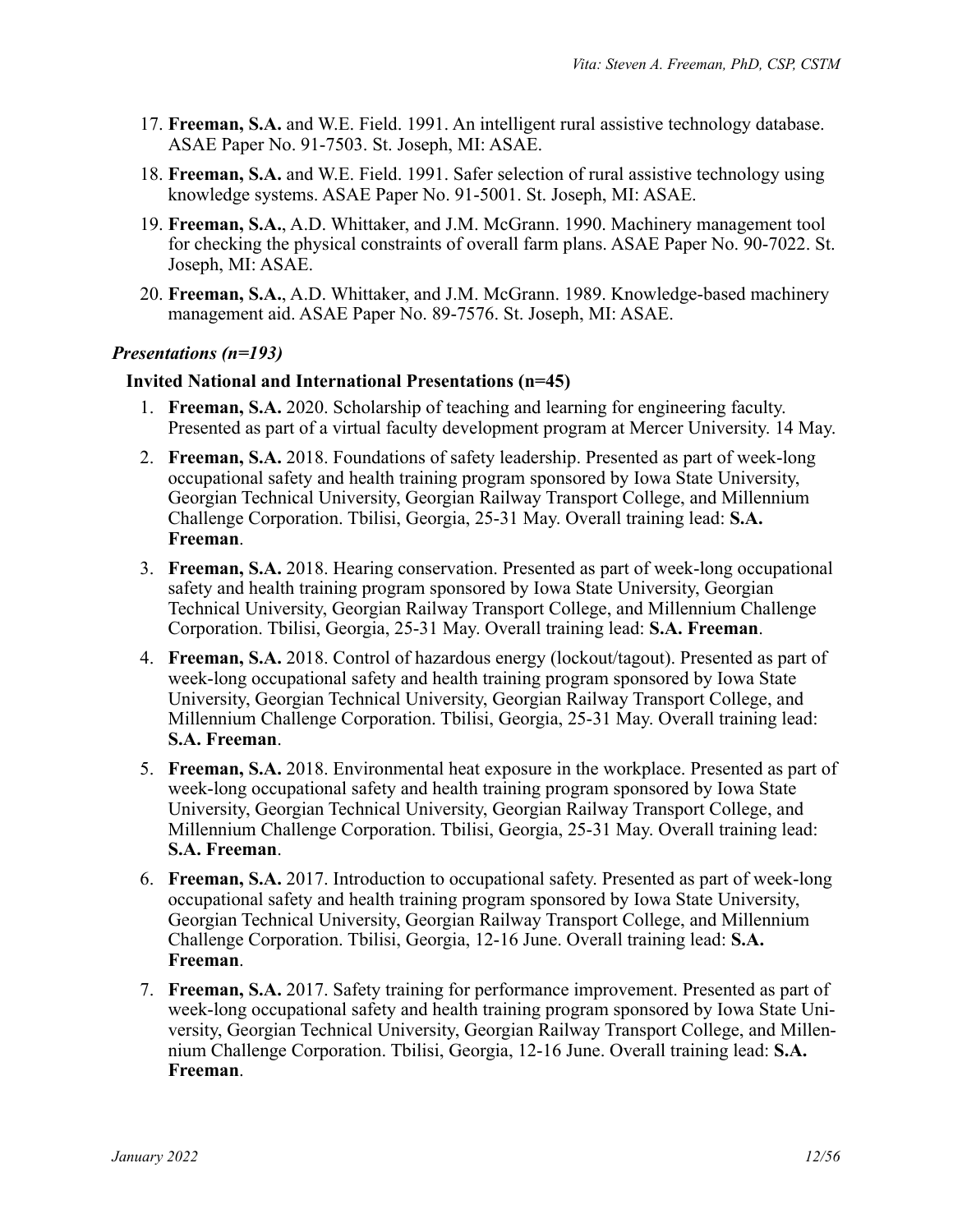- 17. **Freeman, S.A.** and W.E. Field. 1991. An intelligent rural assistive technology database. ASAE Paper No. 91-7503. St. Joseph, MI: ASAE.
- 18. **Freeman, S.A.** and W.E. Field. 1991. Safer selection of rural assistive technology using knowledge systems. ASAE Paper No. 91-5001. St. Joseph, MI: ASAE.
- 19. **Freeman, S.A.**, A.D. Whittaker, and J.M. McGrann. 1990. Machinery management tool for checking the physical constraints of overall farm plans. ASAE Paper No. 90-7022. St. Joseph, MI: ASAE.
- 20. **Freeman, S.A.**, A.D. Whittaker, and J.M. McGrann. 1989. Knowledge-based machinery management aid. ASAE Paper No. 89-7576. St. Joseph, MI: ASAE.

### *Presentations (n=193)*

#### **Invited National and International Presentations (n=45)**

- 1. **Freeman, S.A.** 2020. Scholarship of teaching and learning for engineering faculty. Presented as part of a virtual faculty development program at Mercer University. 14 May.
- 2. **Freeman, S.A.** 2018. Foundations of safety leadership. Presented as part of week-long occupational safety and health training program sponsored by Iowa State University, Georgian Technical University, Georgian Railway Transport College, and Millennium Challenge Corporation. Tbilisi, Georgia, 25-31 May. Overall training lead: **S.A. Freeman**.
- 3. **Freeman, S.A.** 2018. Hearing conservation. Presented as part of week-long occupational safety and health training program sponsored by Iowa State University, Georgian Technical University, Georgian Railway Transport College, and Millennium Challenge Corporation. Tbilisi, Georgia, 25-31 May. Overall training lead: **S.A. Freeman**.
- 4. **Freeman, S.A.** 2018. Control of hazardous energy (lockout/tagout). Presented as part of week-long occupational safety and health training program sponsored by Iowa State University, Georgian Technical University, Georgian Railway Transport College, and Millennium Challenge Corporation. Tbilisi, Georgia, 25-31 May. Overall training lead: **S.A. Freeman**.
- 5. **Freeman, S.A.** 2018. Environmental heat exposure in the workplace. Presented as part of week-long occupational safety and health training program sponsored by Iowa State University, Georgian Technical University, Georgian Railway Transport College, and Millennium Challenge Corporation. Tbilisi, Georgia, 25-31 May. Overall training lead: **S.A. Freeman**.
- 6. **Freeman, S.A.** 2017. Introduction to occupational safety. Presented as part of week-long occupational safety and health training program sponsored by Iowa State University, Georgian Technical University, Georgian Railway Transport College, and Millennium Challenge Corporation. Tbilisi, Georgia, 12-16 June. Overall training lead: **S.A. Freeman**.
- 7. **Freeman, S.A.** 2017. Safety training for performance improvement. Presented as part of week-long occupational safety and health training program sponsored by Iowa State University, Georgian Technical University, Georgian Railway Transport College, and Millennium Challenge Corporation. Tbilisi, Georgia, 12-16 June. Overall training lead: **S.A. Freeman**.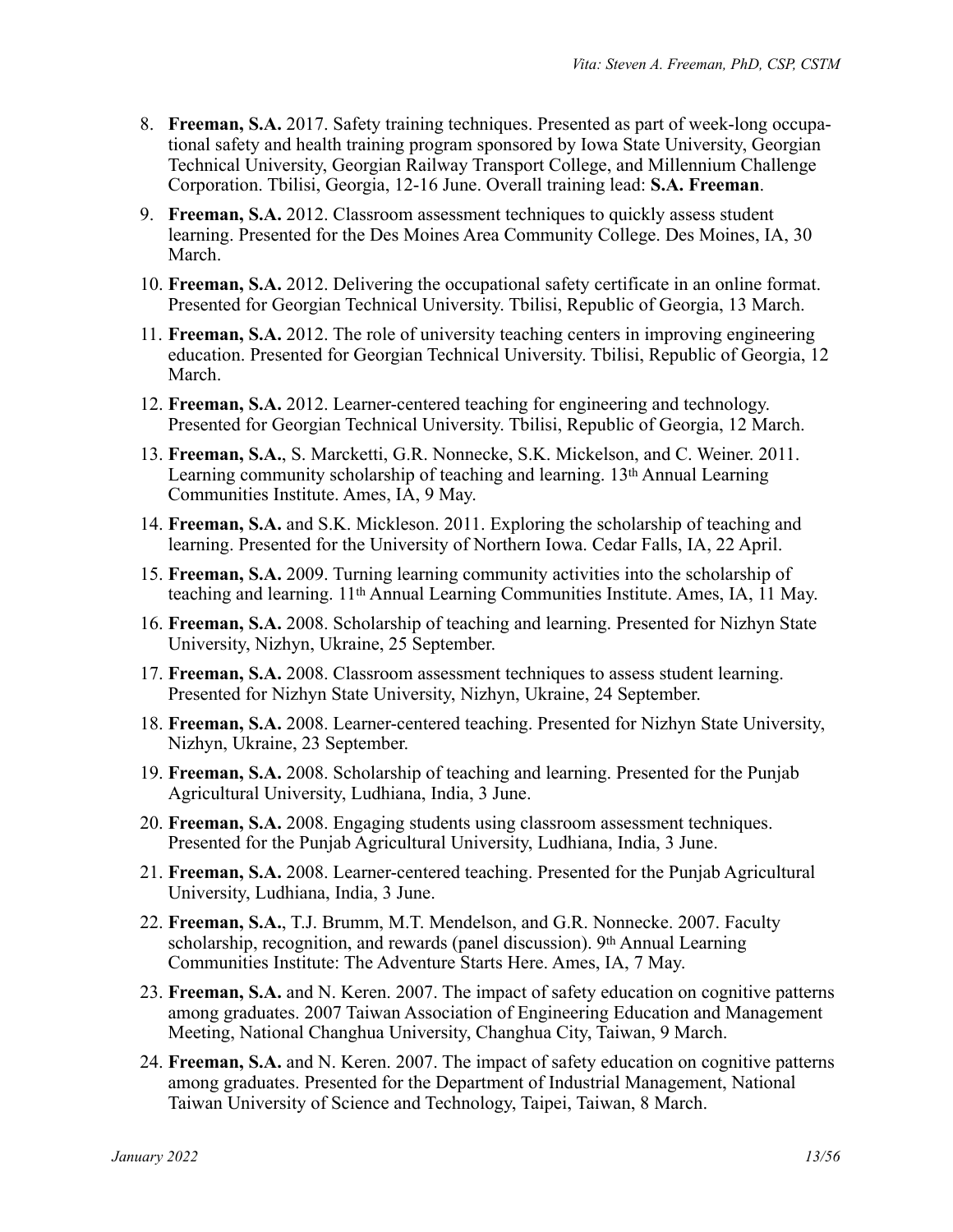- 8. **Freeman, S.A.** 2017. Safety training techniques. Presented as part of week-long occupational safety and health training program sponsored by Iowa State University, Georgian Technical University, Georgian Railway Transport College, and Millennium Challenge Corporation. Tbilisi, Georgia, 12-16 June. Overall training lead: **S.A. Freeman**.
- 9. **Freeman, S.A.** 2012. Classroom assessment techniques to quickly assess student learning. Presented for the Des Moines Area Community College. Des Moines, IA, 30 March.
- 10. **Freeman, S.A.** 2012. Delivering the occupational safety certificate in an online format. Presented for Georgian Technical University. Tbilisi, Republic of Georgia, 13 March.
- 11. **Freeman, S.A.** 2012. The role of university teaching centers in improving engineering education. Presented for Georgian Technical University. Tbilisi, Republic of Georgia, 12 March.
- 12. **Freeman, S.A.** 2012. Learner-centered teaching for engineering and technology. Presented for Georgian Technical University. Tbilisi, Republic of Georgia, 12 March.
- 13. **Freeman, S.A.**, S. Marcketti, G.R. Nonnecke, S.K. Mickelson, and C. Weiner. 2011. Learning community scholarship of teaching and learning. 13th Annual Learning Communities Institute. Ames, IA, 9 May.
- 14. **Freeman, S.A.** and S.K. Mickleson. 2011. Exploring the scholarship of teaching and learning. Presented for the University of Northern Iowa. Cedar Falls, IA, 22 April.
- 15. **Freeman, S.A.** 2009. Turning learning community activities into the scholarship of teaching and learning. 11th Annual Learning Communities Institute. Ames, IA, 11 May.
- 16. **Freeman, S.A.** 2008. Scholarship of teaching and learning. Presented for Nizhyn State University, Nizhyn, Ukraine, 25 September.
- 17. **Freeman, S.A.** 2008. Classroom assessment techniques to assess student learning. Presented for Nizhyn State University, Nizhyn, Ukraine, 24 September.
- 18. **Freeman, S.A.** 2008. Learner-centered teaching. Presented for Nizhyn State University, Nizhyn, Ukraine, 23 September.
- 19. **Freeman, S.A.** 2008. Scholarship of teaching and learning. Presented for the Punjab Agricultural University, Ludhiana, India, 3 June.
- 20. **Freeman, S.A.** 2008. Engaging students using classroom assessment techniques. Presented for the Punjab Agricultural University, Ludhiana, India, 3 June.
- 21. **Freeman, S.A.** 2008. Learner-centered teaching. Presented for the Punjab Agricultural University, Ludhiana, India, 3 June.
- 22. **Freeman, S.A.**, T.J. Brumm, M.T. Mendelson, and G.R. Nonnecke. 2007. Faculty scholarship, recognition, and rewards (panel discussion). 9th Annual Learning Communities Institute: The Adventure Starts Here. Ames, IA, 7 May.
- 23. **Freeman, S.A.** and N. Keren. 2007. The impact of safety education on cognitive patterns among graduates. 2007 Taiwan Association of Engineering Education and Management Meeting, National Changhua University, Changhua City, Taiwan, 9 March.
- 24. **Freeman, S.A.** and N. Keren. 2007. The impact of safety education on cognitive patterns among graduates. Presented for the Department of Industrial Management, National Taiwan University of Science and Technology, Taipei, Taiwan, 8 March.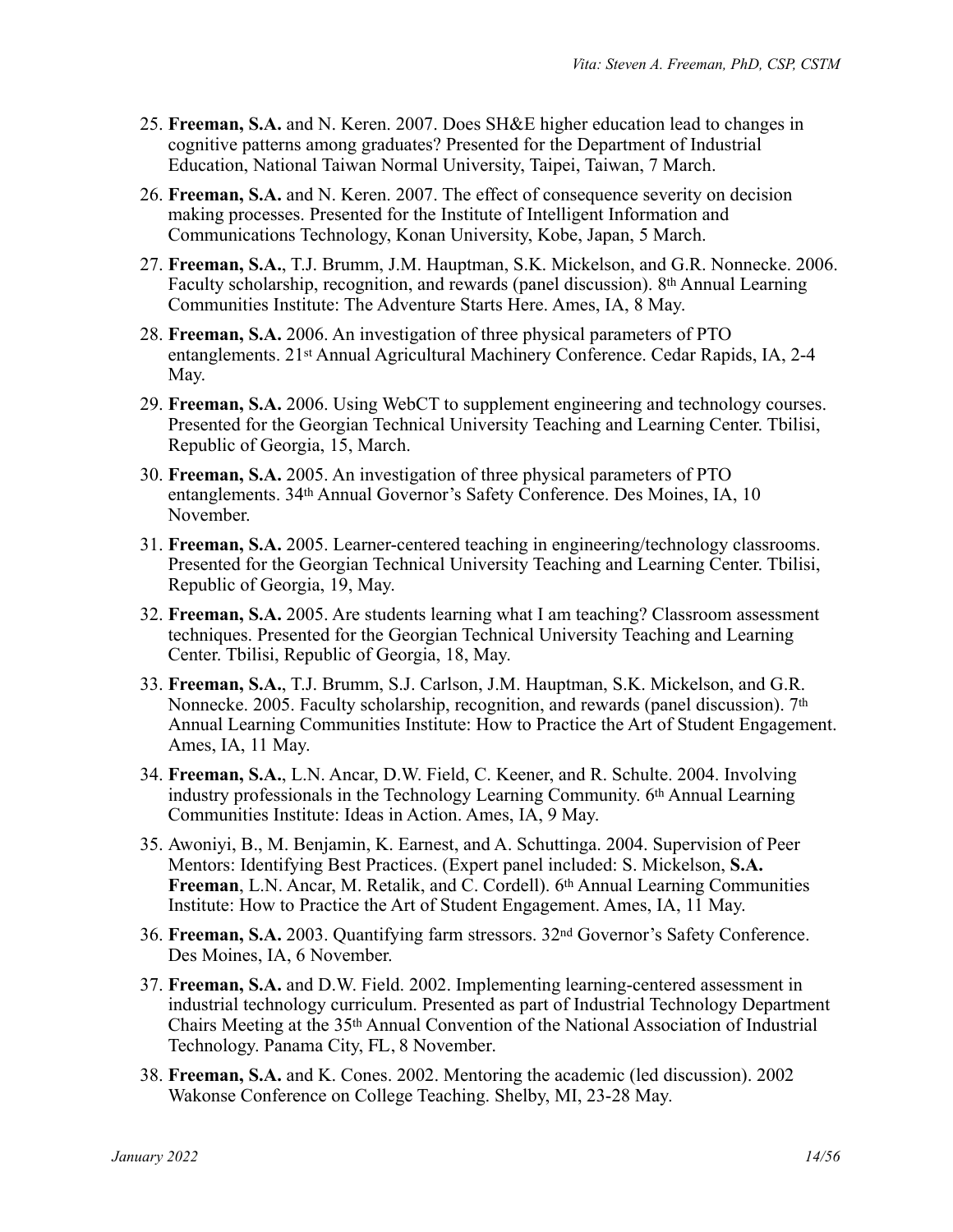- 25. **Freeman, S.A.** and N. Keren. 2007. Does SH&E higher education lead to changes in cognitive patterns among graduates? Presented for the Department of Industrial Education, National Taiwan Normal University, Taipei, Taiwan, 7 March.
- 26. **Freeman, S.A.** and N. Keren. 2007. The effect of consequence severity on decision making processes. Presented for the Institute of Intelligent Information and Communications Technology, Konan University, Kobe, Japan, 5 March.
- 27. **Freeman, S.A.**, T.J. Brumm, J.M. Hauptman, S.K. Mickelson, and G.R. Nonnecke. 2006. Faculty scholarship, recognition, and rewards (panel discussion). 8th Annual Learning Communities Institute: The Adventure Starts Here. Ames, IA, 8 May.
- 28. **Freeman, S.A.** 2006. An investigation of three physical parameters of PTO entanglements. 21st Annual Agricultural Machinery Conference. Cedar Rapids, IA, 2-4 May.
- 29. **Freeman, S.A.** 2006. Using WebCT to supplement engineering and technology courses. Presented for the Georgian Technical University Teaching and Learning Center. Tbilisi, Republic of Georgia, 15, March.
- 30. **Freeman, S.A.** 2005. An investigation of three physical parameters of PTO entanglements. 34th Annual Governor's Safety Conference. Des Moines, IA, 10 November.
- 31. **Freeman, S.A.** 2005. Learner-centered teaching in engineering/technology classrooms. Presented for the Georgian Technical University Teaching and Learning Center. Tbilisi, Republic of Georgia, 19, May.
- 32. **Freeman, S.A.** 2005. Are students learning what I am teaching? Classroom assessment techniques. Presented for the Georgian Technical University Teaching and Learning Center. Tbilisi, Republic of Georgia, 18, May.
- 33. **Freeman, S.A.**, T.J. Brumm, S.J. Carlson, J.M. Hauptman, S.K. Mickelson, and G.R. Nonnecke. 2005. Faculty scholarship, recognition, and rewards (panel discussion). 7th Annual Learning Communities Institute: How to Practice the Art of Student Engagement. Ames, IA, 11 May.
- 34. **Freeman, S.A.**, L.N. Ancar, D.W. Field, C. Keener, and R. Schulte. 2004. Involving industry professionals in the Technology Learning Community. 6th Annual Learning Communities Institute: Ideas in Action. Ames, IA, 9 May.
- 35. Awoniyi, B., M. Benjamin, K. Earnest, and A. Schuttinga. 2004. Supervision of Peer Mentors: Identifying Best Practices. (Expert panel included: S. Mickelson, **S.A. Freeman**, L.N. Ancar, M. Retalik, and C. Cordell). 6th Annual Learning Communities Institute: How to Practice the Art of Student Engagement. Ames, IA, 11 May.
- 36. **Freeman, S.A.** 2003. Quantifying farm stressors. 32nd Governor's Safety Conference. Des Moines, IA, 6 November.
- 37. **Freeman, S.A.** and D.W. Field. 2002. Implementing learning-centered assessment in industrial technology curriculum. Presented as part of Industrial Technology Department Chairs Meeting at the 35th Annual Convention of the National Association of Industrial Technology. Panama City, FL, 8 November.
- 38. **Freeman, S.A.** and K. Cones. 2002. Mentoring the academic (led discussion). 2002 Wakonse Conference on College Teaching. Shelby, MI, 23-28 May.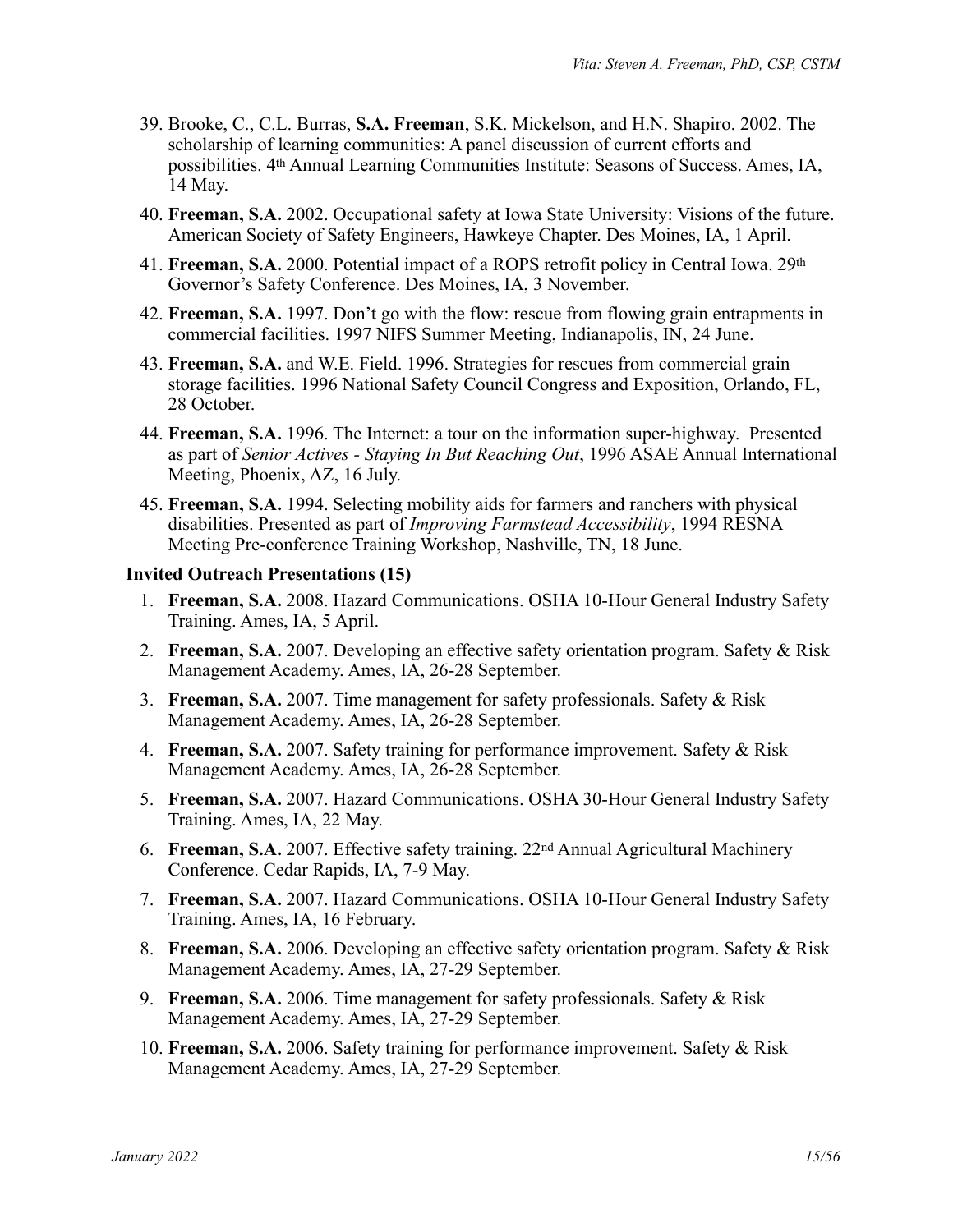- 39. Brooke, C., C.L. Burras, **S.A. Freeman**, S.K. Mickelson, and H.N. Shapiro. 2002. The scholarship of learning communities: A panel discussion of current efforts and possibilities. 4th Annual Learning Communities Institute: Seasons of Success. Ames, IA, 14 May.
- 40. **Freeman, S.A.** 2002. Occupational safety at Iowa State University: Visions of the future. American Society of Safety Engineers, Hawkeye Chapter. Des Moines, IA, 1 April.
- 41. **Freeman, S.A.** 2000. Potential impact of a ROPS retrofit policy in Central Iowa. 29th Governor's Safety Conference. Des Moines, IA, 3 November.
- 42. **Freeman, S.A.** 1997. Don't go with the flow: rescue from flowing grain entrapments in commercial facilities. 1997 NIFS Summer Meeting, Indianapolis, IN, 24 June.
- 43. **Freeman, S.A.** and W.E. Field. 1996. Strategies for rescues from commercial grain storage facilities. 1996 National Safety Council Congress and Exposition, Orlando, FL, 28 October.
- 44. **Freeman, S.A.** 1996. The Internet: a tour on the information super-highway. Presented as part of *Senior Actives - Staying In But Reaching Out*, 1996 ASAE Annual International Meeting, Phoenix, AZ, 16 July.
- 45. **Freeman, S.A.** 1994. Selecting mobility aids for farmers and ranchers with physical disabilities. Presented as part of *Improving Farmstead Accessibility*, 1994 RESNA Meeting Pre-conference Training Workshop, Nashville, TN, 18 June.

#### **Invited Outreach Presentations (15)**

- 1. **Freeman, S.A.** 2008. Hazard Communications. OSHA 10-Hour General Industry Safety Training. Ames, IA, 5 April.
- 2. **Freeman, S.A.** 2007. Developing an effective safety orientation program. Safety & Risk Management Academy. Ames, IA, 26-28 September.
- 3. **Freeman, S.A.** 2007. Time management for safety professionals. Safety & Risk Management Academy. Ames, IA, 26-28 September.
- 4. **Freeman, S.A.** 2007. Safety training for performance improvement. Safety & Risk Management Academy. Ames, IA, 26-28 September.
- 5. **Freeman, S.A.** 2007. Hazard Communications. OSHA 30-Hour General Industry Safety Training. Ames, IA, 22 May.
- 6. **Freeman, S.A.** 2007. Effective safety training. 22nd Annual Agricultural Machinery Conference. Cedar Rapids, IA, 7-9 May.
- 7. **Freeman, S.A.** 2007. Hazard Communications. OSHA 10-Hour General Industry Safety Training. Ames, IA, 16 February.
- 8. **Freeman, S.A.** 2006. Developing an effective safety orientation program. Safety & Risk Management Academy. Ames, IA, 27-29 September.
- 9. **Freeman, S.A.** 2006. Time management for safety professionals. Safety & Risk Management Academy. Ames, IA, 27-29 September.
- 10. **Freeman, S.A.** 2006. Safety training for performance improvement. Safety & Risk Management Academy. Ames, IA, 27-29 September.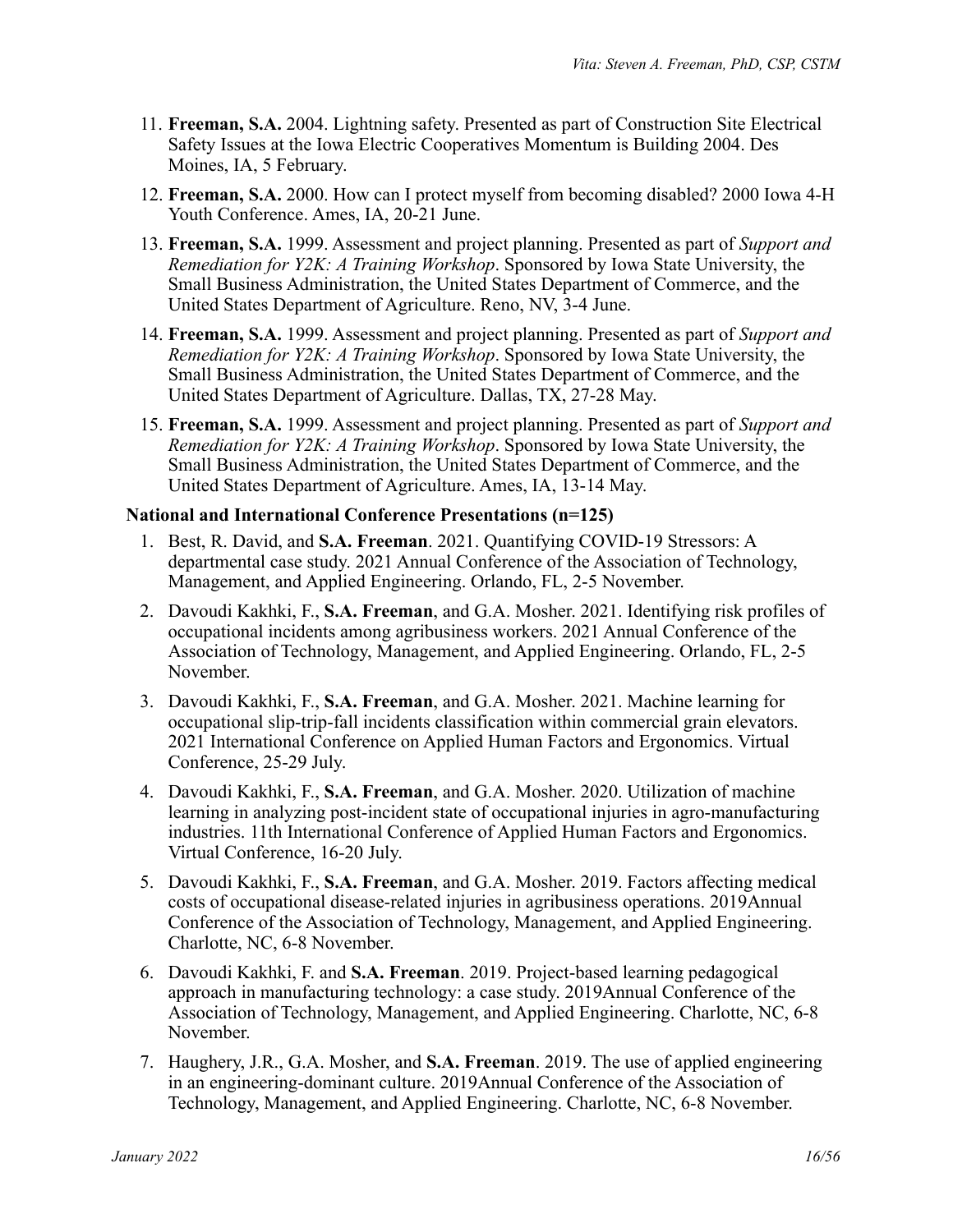- 11. **Freeman, S.A.** 2004. Lightning safety. Presented as part of Construction Site Electrical Safety Issues at the Iowa Electric Cooperatives Momentum is Building 2004. Des Moines, IA, 5 February.
- 12. **Freeman, S.A.** 2000. How can I protect myself from becoming disabled? 2000 Iowa 4-H Youth Conference. Ames, IA, 20-21 June.
- 13. **Freeman, S.A.** 1999. Assessment and project planning. Presented as part of *Support and Remediation for Y2K: A Training Workshop*. Sponsored by Iowa State University, the Small Business Administration, the United States Department of Commerce, and the United States Department of Agriculture. Reno, NV, 3-4 June.
- 14. **Freeman, S.A.** 1999. Assessment and project planning. Presented as part of *Support and Remediation for Y2K: A Training Workshop*. Sponsored by Iowa State University, the Small Business Administration, the United States Department of Commerce, and the United States Department of Agriculture. Dallas, TX, 27-28 May.
- 15. **Freeman, S.A.** 1999. Assessment and project planning. Presented as part of *Support and Remediation for Y2K: A Training Workshop*. Sponsored by Iowa State University, the Small Business Administration, the United States Department of Commerce, and the United States Department of Agriculture. Ames, IA, 13-14 May.

### **National and International Conference Presentations (n=125)**

- 1. Best, R. David, and **S.A. Freeman**. 2021. Quantifying COVID-19 Stressors: A departmental case study. 2021 Annual Conference of the Association of Technology, Management, and Applied Engineering. Orlando, FL, 2-5 November.
- 2. Davoudi Kakhki, F., **S.A. Freeman**, and G.A. Mosher. 2021. Identifying risk profiles of occupational incidents among agribusiness workers. 2021 Annual Conference of the Association of Technology, Management, and Applied Engineering. Orlando, FL, 2-5 November.
- 3. Davoudi Kakhki, F., **S.A. Freeman**, and G.A. Mosher. 2021. Machine learning for occupational slip-trip-fall incidents classification within commercial grain elevators. 2021 International Conference on Applied Human Factors and Ergonomics. Virtual Conference, 25-29 July.
- 4. Davoudi Kakhki, F., **S.A. Freeman**, and G.A. Mosher. 2020. Utilization of machine learning in analyzing post-incident state of occupational injuries in agro-manufacturing industries. 11th International Conference of Applied Human Factors and Ergonomics. Virtual Conference, 16-20 July.
- 5. Davoudi Kakhki, F., **S.A. Freeman**, and G.A. Mosher. 2019. Factors affecting medical costs of occupational disease-related injuries in agribusiness operations. 2019Annual Conference of the Association of Technology, Management, and Applied Engineering. Charlotte, NC, 6-8 November.
- 6. Davoudi Kakhki, F. and **S.A. Freeman**. 2019. Project-based learning pedagogical approach in manufacturing technology: a case study. 2019Annual Conference of the Association of Technology, Management, and Applied Engineering. Charlotte, NC, 6-8 November.
- 7. Haughery, J.R., G.A. Mosher, and **S.A. Freeman**. 2019. The use of applied engineering in an engineering-dominant culture. 2019Annual Conference of the Association of Technology, Management, and Applied Engineering. Charlotte, NC, 6-8 November.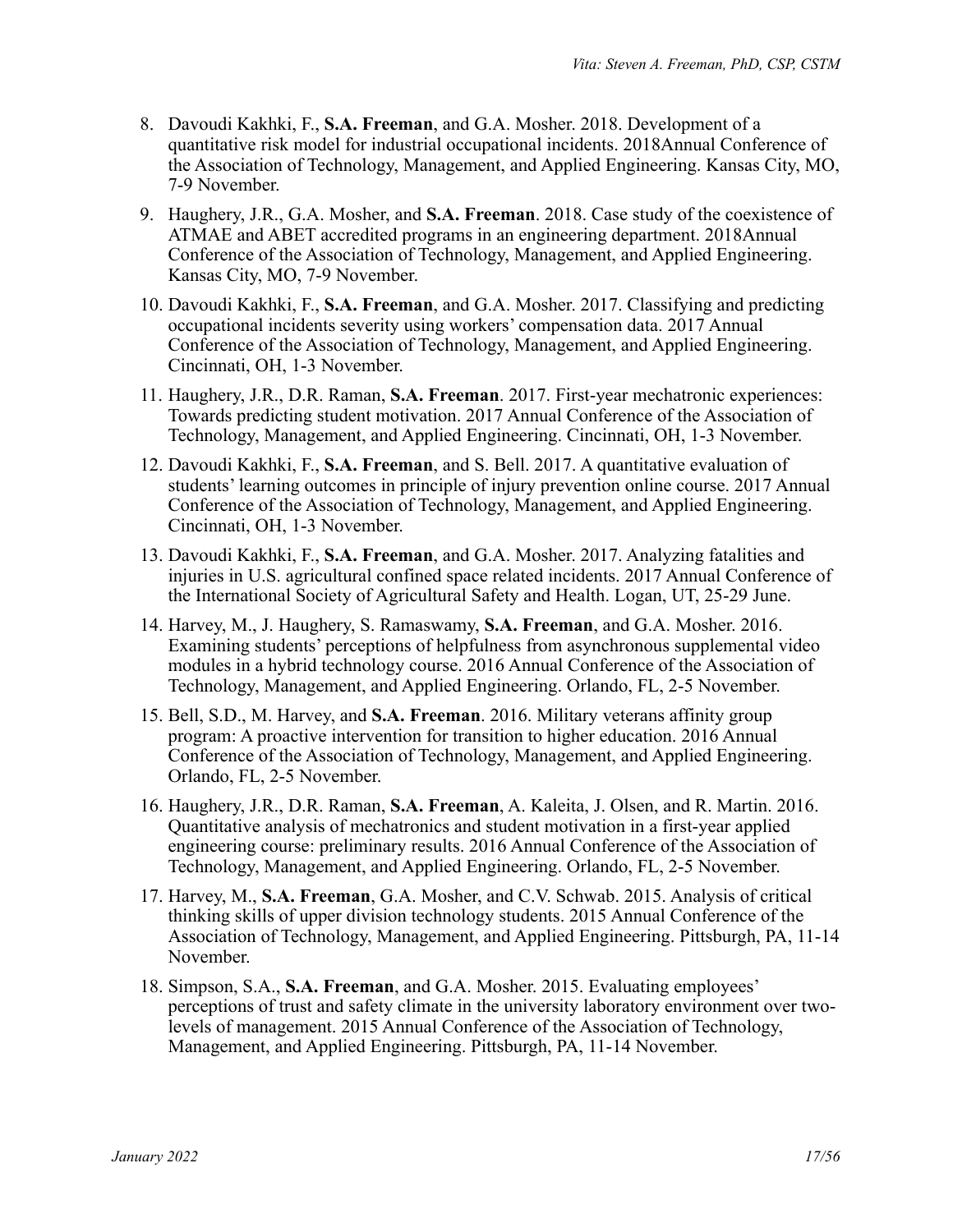- 8. Davoudi Kakhki, F., **S.A. Freeman**, and G.A. Mosher. 2018. Development of a quantitative risk model for industrial occupational incidents. 2018Annual Conference of the Association of Technology, Management, and Applied Engineering. Kansas City, MO, 7-9 November.
- 9. Haughery, J.R., G.A. Mosher, and **S.A. Freeman**. 2018. Case study of the coexistence of ATMAE and ABET accredited programs in an engineering department. 2018Annual Conference of the Association of Technology, Management, and Applied Engineering. Kansas City, MO, 7-9 November.
- 10. Davoudi Kakhki, F., **S.A. Freeman**, and G.A. Mosher. 2017. Classifying and predicting occupational incidents severity using workers' compensation data. 2017 Annual Conference of the Association of Technology, Management, and Applied Engineering. Cincinnati, OH, 1-3 November.
- 11. Haughery, J.R., D.R. Raman, **S.A. Freeman**. 2017. First-year mechatronic experiences: Towards predicting student motivation. 2017 Annual Conference of the Association of Technology, Management, and Applied Engineering. Cincinnati, OH, 1-3 November.
- 12. Davoudi Kakhki, F., **S.A. Freeman**, and S. Bell. 2017. A quantitative evaluation of students' learning outcomes in principle of injury prevention online course. 2017 Annual Conference of the Association of Technology, Management, and Applied Engineering. Cincinnati, OH, 1-3 November.
- 13. Davoudi Kakhki, F., **S.A. Freeman**, and G.A. Mosher. 2017. Analyzing fatalities and injuries in U.S. agricultural confined space related incidents. 2017 Annual Conference of the International Society of Agricultural Safety and Health. Logan, UT, 25-29 June.
- 14. Harvey, M., J. Haughery, S. Ramaswamy, **S.A. Freeman**, and G.A. Mosher. 2016. Examining students' perceptions of helpfulness from asynchronous supplemental video modules in a hybrid technology course. 2016 Annual Conference of the Association of Technology, Management, and Applied Engineering. Orlando, FL, 2-5 November.
- 15. Bell, S.D., M. Harvey, and **S.A. Freeman**. 2016. Military veterans affinity group program: A proactive intervention for transition to higher education. 2016 Annual Conference of the Association of Technology, Management, and Applied Engineering. Orlando, FL, 2-5 November.
- 16. Haughery, J.R., D.R. Raman, **S.A. Freeman**, A. Kaleita, J. Olsen, and R. Martin. 2016. Quantitative analysis of mechatronics and student motivation in a first-year applied engineering course: preliminary results. 2016 Annual Conference of the Association of Technology, Management, and Applied Engineering. Orlando, FL, 2-5 November.
- 17. Harvey, M., **S.A. Freeman**, G.A. Mosher, and C.V. Schwab. 2015. Analysis of critical thinking skills of upper division technology students. 2015 Annual Conference of the Association of Technology, Management, and Applied Engineering. Pittsburgh, PA, 11-14 November.
- 18. Simpson, S.A., **S.A. Freeman**, and G.A. Mosher. 2015. Evaluating employees' perceptions of trust and safety climate in the university laboratory environment over twolevels of management. 2015 Annual Conference of the Association of Technology, Management, and Applied Engineering. Pittsburgh, PA, 11-14 November.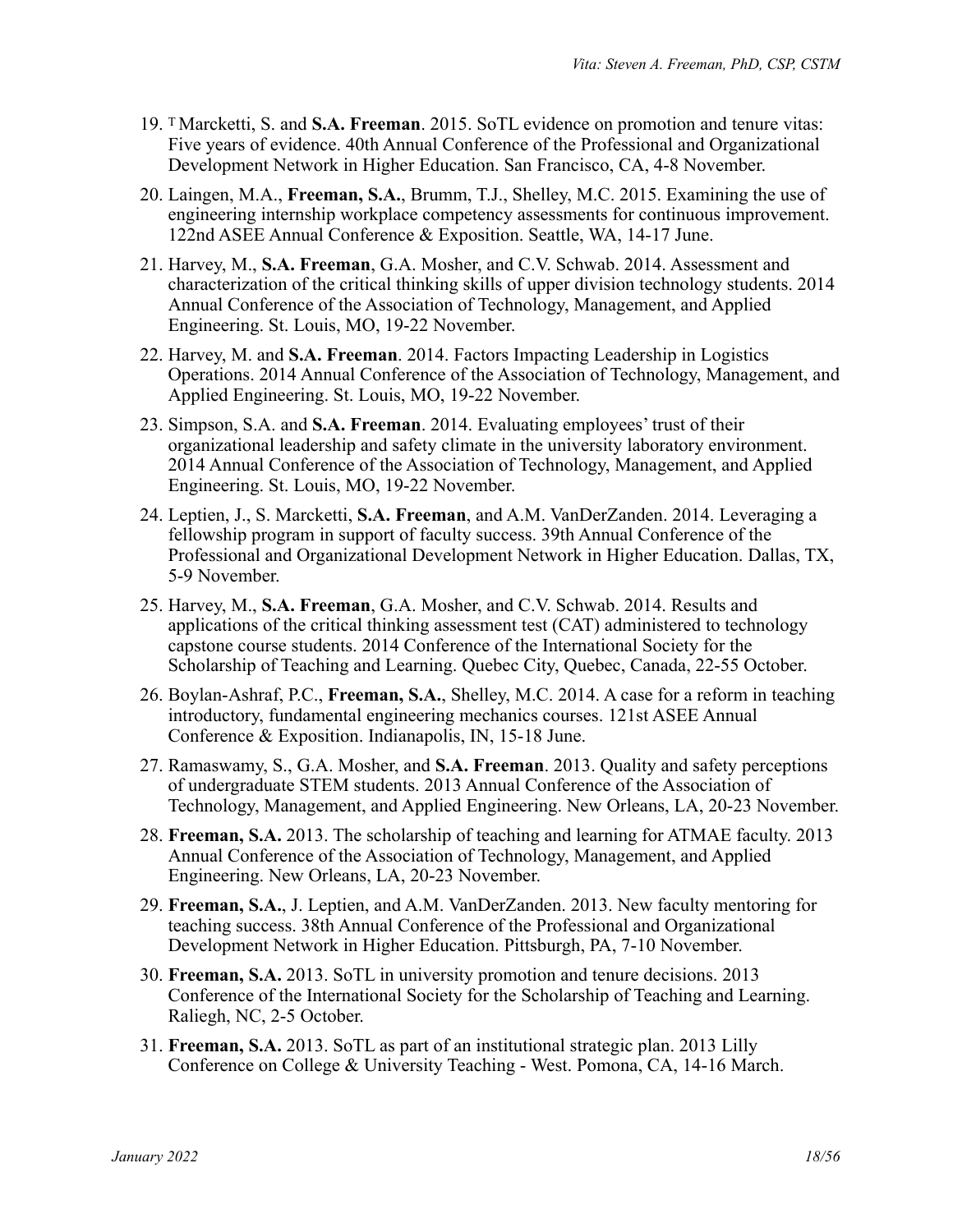- 19. T Marcketti, S. and **S.A. Freeman**. 2015. SoTL evidence on promotion and tenure vitas: Five years of evidence. 40th Annual Conference of the Professional and Organizational Development Network in Higher Education. San Francisco, CA, 4-8 November.
- 20. Laingen, M.A., **Freeman, S.A.**, Brumm, T.J., Shelley, M.C. 2015. Examining the use of engineering internship workplace competency assessments for continuous improvement. 122nd ASEE Annual Conference & Exposition. Seattle, WA, 14-17 June.
- 21. Harvey, M., **S.A. Freeman**, G.A. Mosher, and C.V. Schwab. 2014. Assessment and characterization of the critical thinking skills of upper division technology students. 2014 Annual Conference of the Association of Technology, Management, and Applied Engineering. St. Louis, MO, 19-22 November.
- 22. Harvey, M. and **S.A. Freeman**. 2014. Factors Impacting Leadership in Logistics Operations. 2014 Annual Conference of the Association of Technology, Management, and Applied Engineering. St. Louis, MO, 19-22 November.
- 23. Simpson, S.A. and **S.A. Freeman**. 2014. Evaluating employees' trust of their organizational leadership and safety climate in the university laboratory environment. 2014 Annual Conference of the Association of Technology, Management, and Applied Engineering. St. Louis, MO, 19-22 November.
- 24. Leptien, J., S. Marcketti, **S.A. Freeman**, and A.M. VanDerZanden. 2014. Leveraging a fellowship program in support of faculty success. 39th Annual Conference of the Professional and Organizational Development Network in Higher Education. Dallas, TX, 5-9 November.
- 25. Harvey, M., **S.A. Freeman**, G.A. Mosher, and C.V. Schwab. 2014. Results and applications of the critical thinking assessment test (CAT) administered to technology capstone course students. 2014 Conference of the International Society for the Scholarship of Teaching and Learning. Quebec City, Quebec, Canada, 22-55 October.
- 26. Boylan-Ashraf, P.C., **Freeman, S.A.**, Shelley, M.C. 2014. A case for a reform in teaching introductory, fundamental engineering mechanics courses. 121st ASEE Annual Conference & Exposition. Indianapolis, IN, 15-18 June.
- 27. Ramaswamy, S., G.A. Mosher, and **S.A. Freeman**. 2013. Quality and safety perceptions of undergraduate STEM students. 2013 Annual Conference of the Association of Technology, Management, and Applied Engineering. New Orleans, LA, 20-23 November.
- 28. **Freeman, S.A.** 2013. The scholarship of teaching and learning for ATMAE faculty. 2013 Annual Conference of the Association of Technology, Management, and Applied Engineering. New Orleans, LA, 20-23 November.
- 29. **Freeman, S.A.**, J. Leptien, and A.M. VanDerZanden. 2013. New faculty mentoring for teaching success. 38th Annual Conference of the Professional and Organizational Development Network in Higher Education. Pittsburgh, PA, 7-10 November.
- 30. **Freeman, S.A.** 2013. SoTL in university promotion and tenure decisions. 2013 Conference of the International Society for the Scholarship of Teaching and Learning. Raliegh, NC, 2-5 October.
- 31. **Freeman, S.A.** 2013. SoTL as part of an institutional strategic plan. 2013 Lilly Conference on College & University Teaching - West. Pomona, CA, 14-16 March.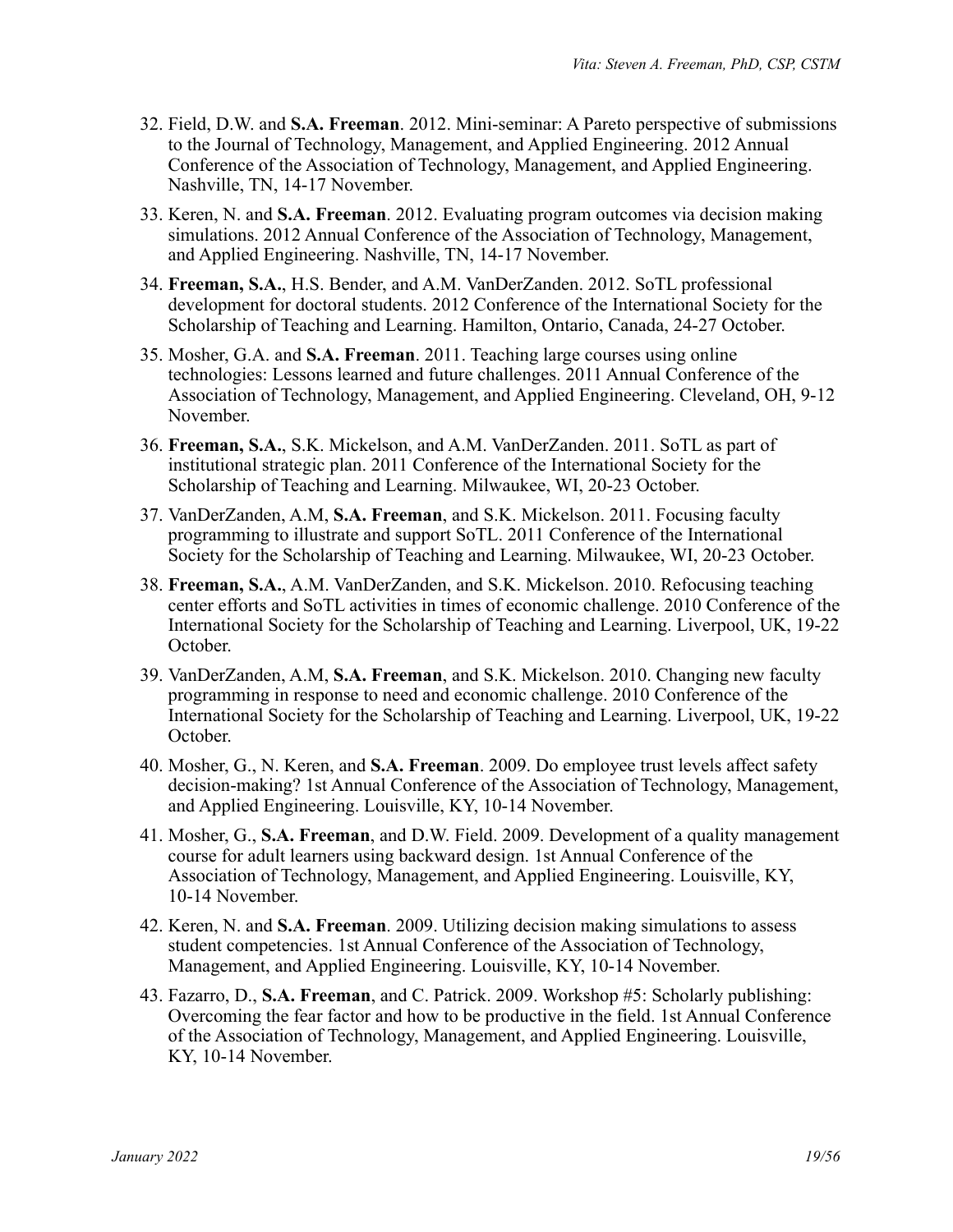- 32. Field, D.W. and **S.A. Freeman**. 2012. Mini-seminar: A Pareto perspective of submissions to the Journal of Technology, Management, and Applied Engineering. 2012 Annual Conference of the Association of Technology, Management, and Applied Engineering. Nashville, TN, 14-17 November.
- 33. Keren, N. and **S.A. Freeman**. 2012. Evaluating program outcomes via decision making simulations. 2012 Annual Conference of the Association of Technology, Management, and Applied Engineering. Nashville, TN, 14-17 November.
- 34. **Freeman, S.A.**, H.S. Bender, and A.M. VanDerZanden. 2012. SoTL professional development for doctoral students. 2012 Conference of the International Society for the Scholarship of Teaching and Learning. Hamilton, Ontario, Canada, 24-27 October.
- 35. Mosher, G.A. and **S.A. Freeman**. 2011. Teaching large courses using online technologies: Lessons learned and future challenges. 2011 Annual Conference of the Association of Technology, Management, and Applied Engineering. Cleveland, OH, 9-12 November.
- 36. **Freeman, S.A.**, S.K. Mickelson, and A.M. VanDerZanden. 2011. SoTL as part of institutional strategic plan. 2011 Conference of the International Society for the Scholarship of Teaching and Learning. Milwaukee, WI, 20-23 October.
- 37. VanDerZanden, A.M, **S.A. Freeman**, and S.K. Mickelson. 2011. Focusing faculty programming to illustrate and support SoTL. 2011 Conference of the International Society for the Scholarship of Teaching and Learning. Milwaukee, WI, 20-23 October.
- 38. **Freeman, S.A.**, A.M. VanDerZanden, and S.K. Mickelson. 2010. Refocusing teaching center efforts and SoTL activities in times of economic challenge. 2010 Conference of the International Society for the Scholarship of Teaching and Learning. Liverpool, UK, 19-22 October.
- 39. VanDerZanden, A.M, **S.A. Freeman**, and S.K. Mickelson. 2010. Changing new faculty programming in response to need and economic challenge. 2010 Conference of the International Society for the Scholarship of Teaching and Learning. Liverpool, UK, 19-22 October.
- 40. Mosher, G., N. Keren, and **S.A. Freeman**. 2009. Do employee trust levels affect safety decision-making? 1st Annual Conference of the Association of Technology, Management, and Applied Engineering. Louisville, KY, 10-14 November.
- 41. Mosher, G., **S.A. Freeman**, and D.W. Field. 2009. Development of a quality management course for adult learners using backward design. 1st Annual Conference of the Association of Technology, Management, and Applied Engineering. Louisville, KY, 10-14 November.
- 42. Keren, N. and **S.A. Freeman**. 2009. Utilizing decision making simulations to assess student competencies. 1st Annual Conference of the Association of Technology, Management, and Applied Engineering. Louisville, KY, 10-14 November.
- 43. Fazarro, D., **S.A. Freeman**, and C. Patrick. 2009. Workshop #5: Scholarly publishing: Overcoming the fear factor and how to be productive in the field. 1st Annual Conference of the Association of Technology, Management, and Applied Engineering. Louisville, KY, 10-14 November.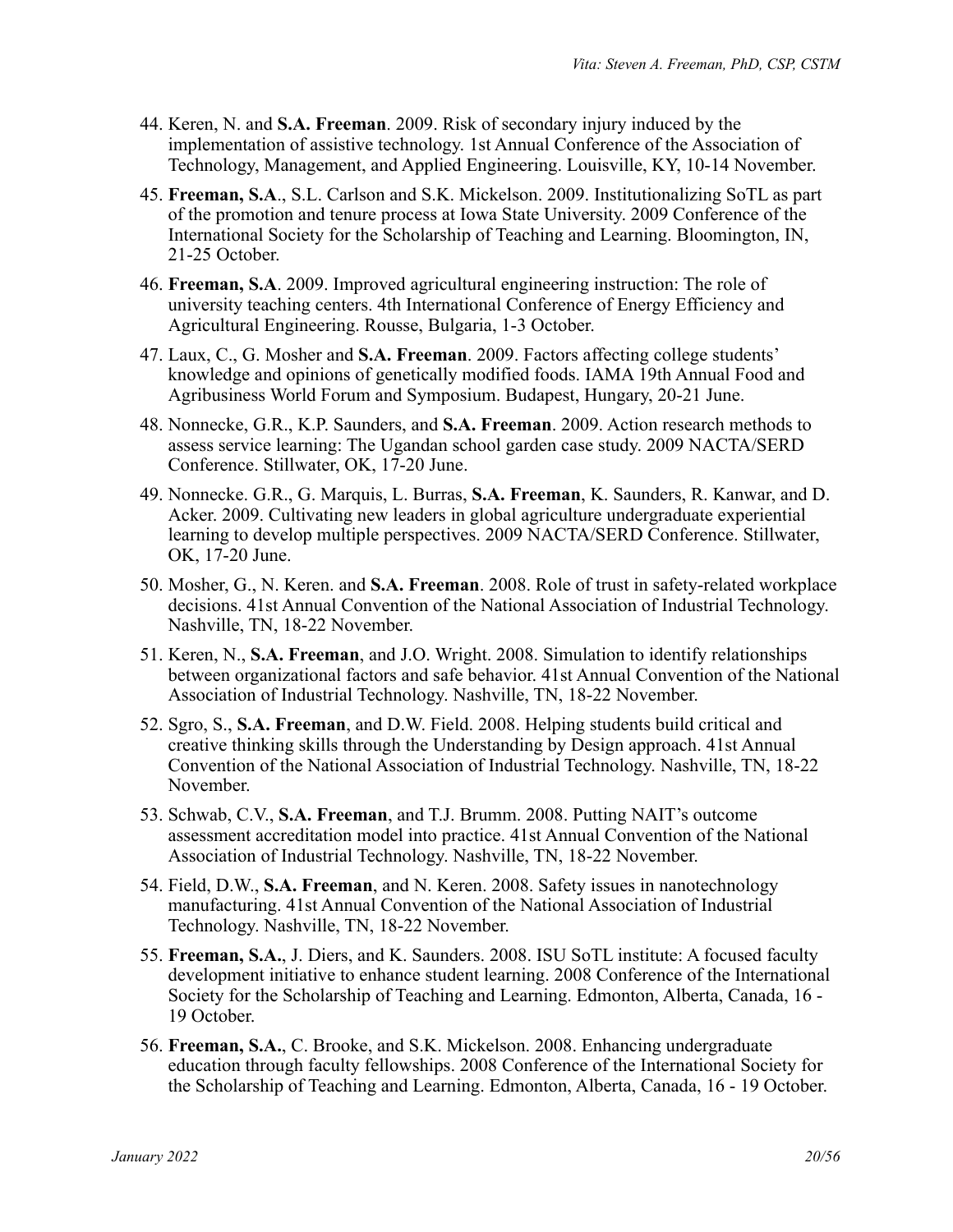- 44. Keren, N. and **S.A. Freeman**. 2009. Risk of secondary injury induced by the implementation of assistive technology. 1st Annual Conference of the Association of Technology, Management, and Applied Engineering. Louisville, KY, 10-14 November.
- 45. **Freeman, S.A**., S.L. Carlson and S.K. Mickelson. 2009. Institutionalizing SoTL as part of the promotion and tenure process at Iowa State University. 2009 Conference of the International Society for the Scholarship of Teaching and Learning. Bloomington, IN, 21-25 October.
- 46. **Freeman, S.A**. 2009. Improved agricultural engineering instruction: The role of university teaching centers. 4th International Conference of Energy Efficiency and Agricultural Engineering. Rousse, Bulgaria, 1-3 October.
- 47. Laux, C., G. Mosher and **S.A. Freeman**. 2009. Factors affecting college students' knowledge and opinions of genetically modified foods. IAMA 19th Annual Food and Agribusiness World Forum and Symposium. Budapest, Hungary, 20-21 June.
- 48. Nonnecke, G.R., K.P. Saunders, and **S.A. Freeman**. 2009. Action research methods to assess service learning: The Ugandan school garden case study. 2009 NACTA/SERD Conference. Stillwater, OK, 17-20 June.
- 49. Nonnecke. G.R., G. Marquis, L. Burras, **S.A. Freeman**, K. Saunders, R. Kanwar, and D. Acker. 2009. Cultivating new leaders in global agriculture undergraduate experiential learning to develop multiple perspectives. 2009 NACTA/SERD Conference. Stillwater, OK, 17-20 June.
- 50. Mosher, G., N. Keren. and **S.A. Freeman**. 2008. Role of trust in safety-related workplace decisions. 41st Annual Convention of the National Association of Industrial Technology. Nashville, TN, 18-22 November.
- 51. Keren, N., **S.A. Freeman**, and J.O. Wright. 2008. Simulation to identify relationships between organizational factors and safe behavior. 41st Annual Convention of the National Association of Industrial Technology. Nashville, TN, 18-22 November.
- 52. Sgro, S., **S.A. Freeman**, and D.W. Field. 2008. Helping students build critical and creative thinking skills through the Understanding by Design approach. 41st Annual Convention of the National Association of Industrial Technology. Nashville, TN, 18-22 November.
- 53. Schwab, C.V., **S.A. Freeman**, and T.J. Brumm. 2008. Putting NAIT's outcome assessment accreditation model into practice. 41st Annual Convention of the National Association of Industrial Technology. Nashville, TN, 18-22 November.
- 54. Field, D.W., **S.A. Freeman**, and N. Keren. 2008. Safety issues in nanotechnology manufacturing. 41st Annual Convention of the National Association of Industrial Technology. Nashville, TN, 18-22 November.
- 55. **Freeman, S.A.**, J. Diers, and K. Saunders. 2008. ISU SoTL institute: A focused faculty development initiative to enhance student learning. 2008 Conference of the International Society for the Scholarship of Teaching and Learning. Edmonton, Alberta, Canada, 16 - 19 October.
- 56. **Freeman, S.A.**, C. Brooke, and S.K. Mickelson. 2008. Enhancing undergraduate education through faculty fellowships. 2008 Conference of the International Society for the Scholarship of Teaching and Learning. Edmonton, Alberta, Canada, 16 - 19 October.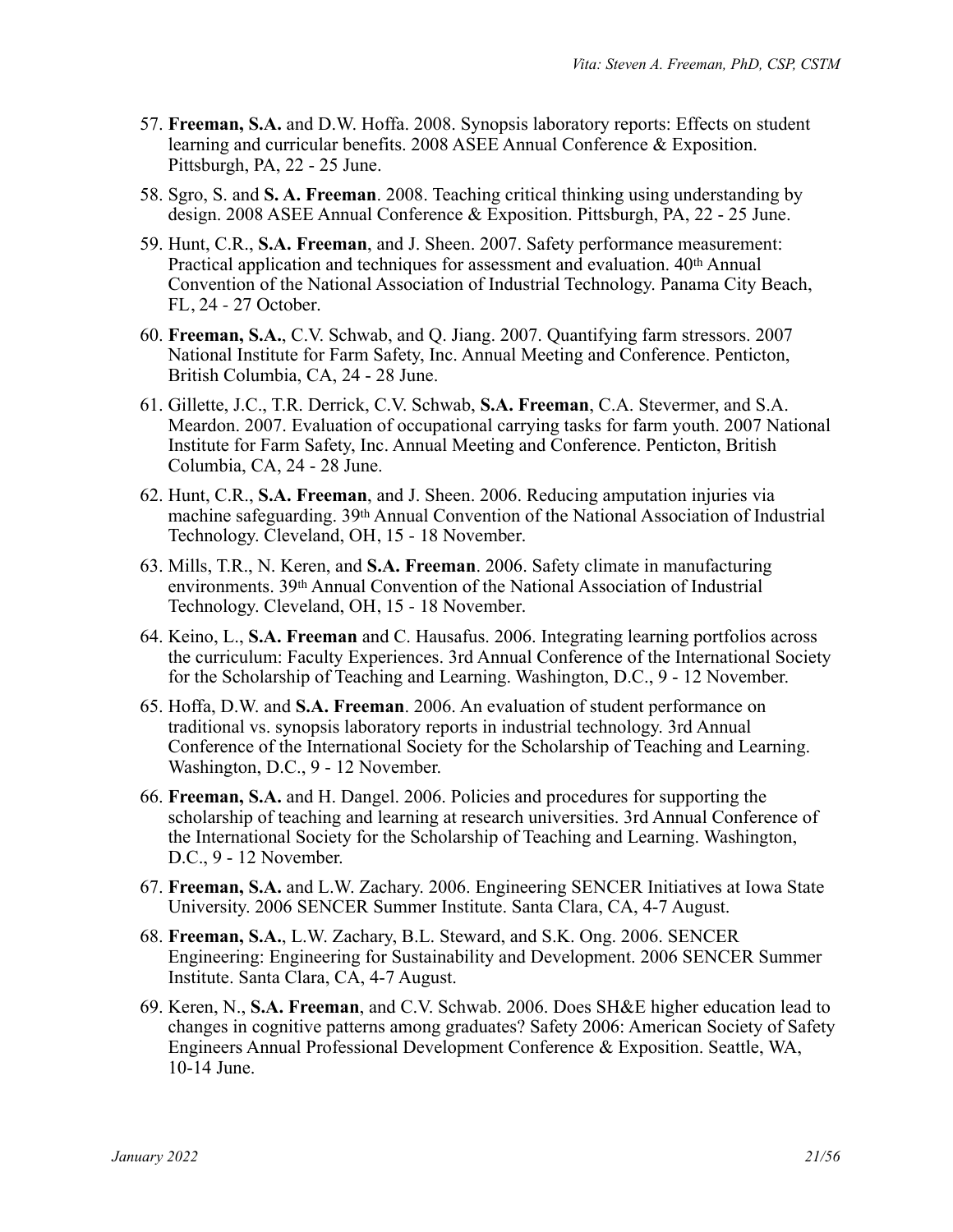- 57. **Freeman, S.A.** and D.W. Hoffa. 2008. Synopsis laboratory reports: Effects on student learning and curricular benefits. 2008 ASEE Annual Conference & Exposition. Pittsburgh, PA, 22 - 25 June.
- 58. Sgro, S. and **S. A. Freeman**. 2008. Teaching critical thinking using understanding by design. 2008 ASEE Annual Conference & Exposition. Pittsburgh, PA, 22 - 25 June.
- 59. Hunt, C.R., **S.A. Freeman**, and J. Sheen. 2007. Safety performance measurement: Practical application and techniques for assessment and evaluation. 40th Annual Convention of the National Association of Industrial Technology. Panama City Beach, FL, 24 - 27 October.
- 60. **Freeman, S.A.**, C.V. Schwab, and Q. Jiang. 2007. Quantifying farm stressors. 2007 National Institute for Farm Safety, Inc. Annual Meeting and Conference. Penticton, British Columbia, CA, 24 - 28 June.
- 61. Gillette, J.C., T.R. Derrick, C.V. Schwab, **S.A. Freeman**, C.A. Stevermer, and S.A. Meardon. 2007. Evaluation of occupational carrying tasks for farm youth. 2007 National Institute for Farm Safety, Inc. Annual Meeting and Conference. Penticton, British Columbia, CA, 24 - 28 June.
- 62. Hunt, C.R., **S.A. Freeman**, and J. Sheen. 2006. Reducing amputation injuries via machine safeguarding. 39th Annual Convention of the National Association of Industrial Technology. Cleveland, OH, 15 - 18 November.
- 63. Mills, T.R., N. Keren, and **S.A. Freeman**. 2006. Safety climate in manufacturing environments. 39th Annual Convention of the National Association of Industrial Technology. Cleveland, OH, 15 - 18 November.
- 64. Keino, L., **S.A. Freeman** and C. Hausafus. 2006. Integrating learning portfolios across the curriculum: Faculty Experiences. 3rd Annual Conference of the International Society for the Scholarship of Teaching and Learning. Washington, D.C., 9 - 12 November.
- 65. Hoffa, D.W. and **S.A. Freeman**. 2006. An evaluation of student performance on traditional vs. synopsis laboratory reports in industrial technology. 3rd Annual Conference of the International Society for the Scholarship of Teaching and Learning. Washington, D.C., 9 - 12 November.
- 66. **Freeman, S.A.** and H. Dangel. 2006. Policies and procedures for supporting the scholarship of teaching and learning at research universities. 3rd Annual Conference of the International Society for the Scholarship of Teaching and Learning. Washington, D.C., 9 - 12 November.
- 67. **Freeman, S.A.** and L.W. Zachary. 2006. Engineering SENCER Initiatives at Iowa State University. 2006 SENCER Summer Institute. Santa Clara, CA, 4-7 August.
- 68. **Freeman, S.A.**, L.W. Zachary, B.L. Steward, and S.K. Ong. 2006. SENCER Engineering: Engineering for Sustainability and Development. 2006 SENCER Summer Institute. Santa Clara, CA, 4-7 August.
- 69. Keren, N., **S.A. Freeman**, and C.V. Schwab. 2006. Does SH&E higher education lead to changes in cognitive patterns among graduates? Safety 2006: American Society of Safety Engineers Annual Professional Development Conference & Exposition. Seattle, WA, 10-14 June.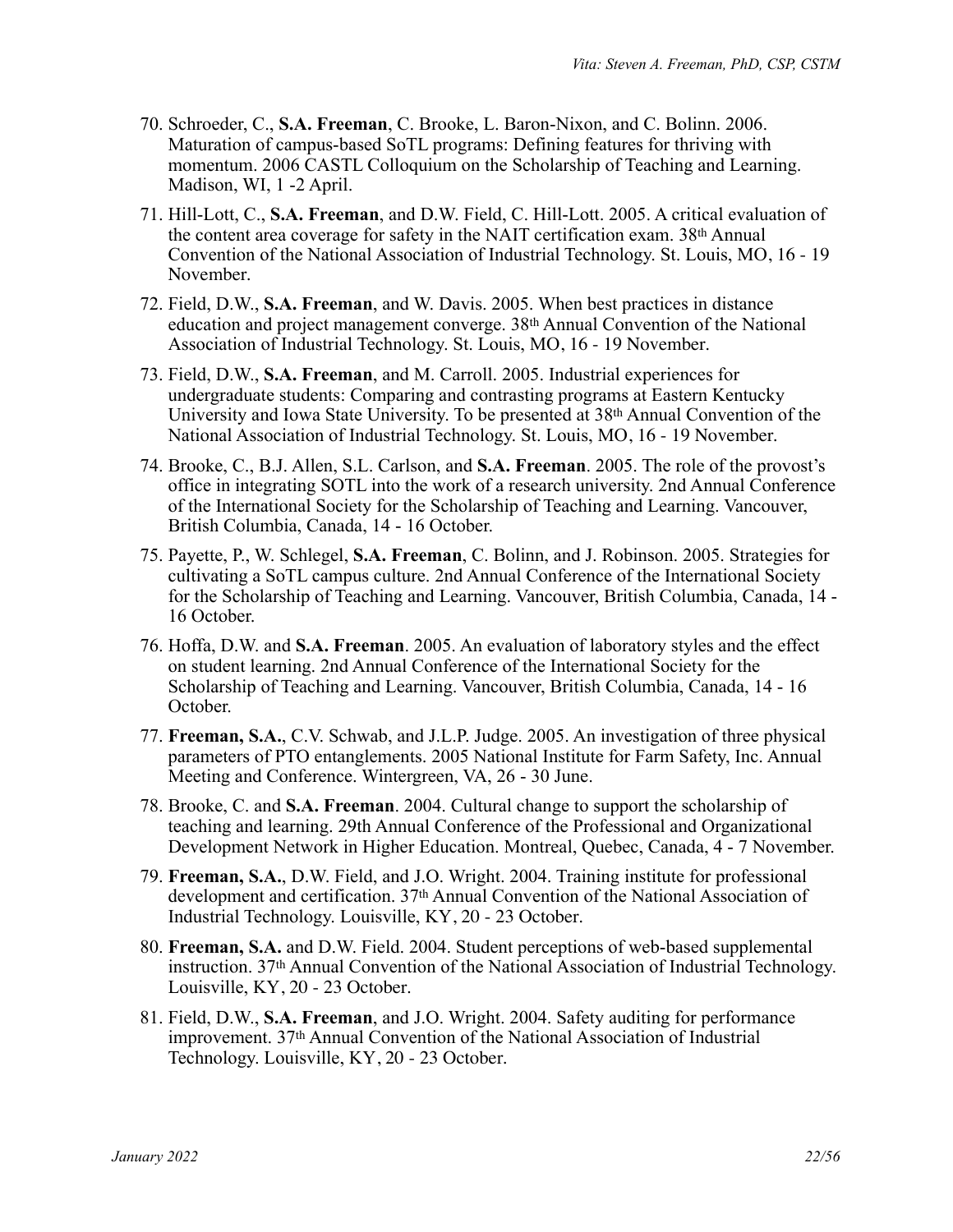- 70. Schroeder, C., **S.A. Freeman**, C. Brooke, L. Baron-Nixon, and C. Bolinn. 2006. Maturation of campus-based SoTL programs: Defining features for thriving with momentum. 2006 CASTL Colloquium on the Scholarship of Teaching and Learning. Madison, WI, 1 -2 April.
- 71. Hill-Lott, C., **S.A. Freeman**, and D.W. Field, C. Hill-Lott. 2005. A critical evaluation of the content area coverage for safety in the NAIT certification exam. 38th Annual Convention of the National Association of Industrial Technology. St. Louis, MO, 16 - 19 November.
- 72. Field, D.W., **S.A. Freeman**, and W. Davis. 2005. When best practices in distance education and project management converge. 38th Annual Convention of the National Association of Industrial Technology. St. Louis, MO, 16 - 19 November.
- 73. Field, D.W., **S.A. Freeman**, and M. Carroll. 2005. Industrial experiences for undergraduate students: Comparing and contrasting programs at Eastern Kentucky University and Iowa State University. To be presented at 38th Annual Convention of the National Association of Industrial Technology. St. Louis, MO, 16 - 19 November.
- 74. Brooke, C., B.J. Allen, S.L. Carlson, and **S.A. Freeman**. 2005. The role of the provost's office in integrating SOTL into the work of a research university. 2nd Annual Conference of the International Society for the Scholarship of Teaching and Learning. Vancouver, British Columbia, Canada, 14 - 16 October.
- 75. Payette, P., W. Schlegel, **S.A. Freeman**, C. Bolinn, and J. Robinson. 2005. Strategies for cultivating a SoTL campus culture. 2nd Annual Conference of the International Society for the Scholarship of Teaching and Learning. Vancouver, British Columbia, Canada, 14 - 16 October.
- 76. Hoffa, D.W. and **S.A. Freeman**. 2005. An evaluation of laboratory styles and the effect on student learning. 2nd Annual Conference of the International Society for the Scholarship of Teaching and Learning. Vancouver, British Columbia, Canada, 14 - 16 October.
- 77. **Freeman, S.A.**, C.V. Schwab, and J.L.P. Judge. 2005. An investigation of three physical parameters of PTO entanglements. 2005 National Institute for Farm Safety, Inc. Annual Meeting and Conference. Wintergreen, VA, 26 - 30 June.
- 78. Brooke, C. and **S.A. Freeman**. 2004. Cultural change to support the scholarship of teaching and learning. 29th Annual Conference of the Professional and Organizational Development Network in Higher Education. Montreal, Quebec, Canada, 4 - 7 November.
- 79. **Freeman, S.A.**, D.W. Field, and J.O. Wright. 2004. Training institute for professional development and certification. 37th Annual Convention of the National Association of Industrial Technology. Louisville, KY, 20 - 23 October.
- 80. **Freeman, S.A.** and D.W. Field. 2004. Student perceptions of web-based supplemental instruction. 37th Annual Convention of the National Association of Industrial Technology. Louisville, KY, 20 - 23 October.
- 81. Field, D.W., **S.A. Freeman**, and J.O. Wright. 2004. Safety auditing for performance improvement. 37th Annual Convention of the National Association of Industrial Technology. Louisville, KY, 20 - 23 October.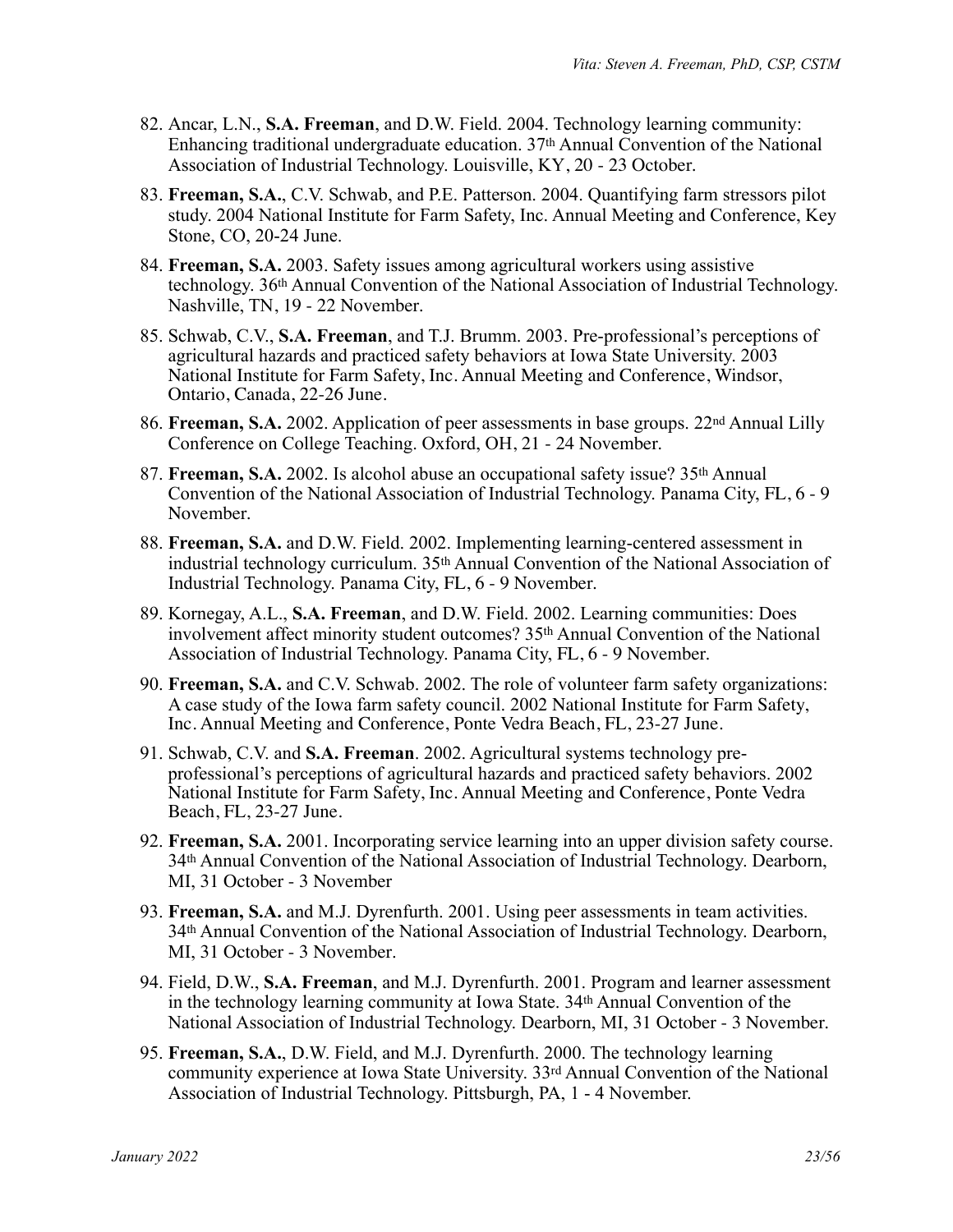- 82. Ancar, L.N., **S.A. Freeman**, and D.W. Field. 2004. Technology learning community: Enhancing traditional undergraduate education. 37th Annual Convention of the National Association of Industrial Technology. Louisville, KY, 20 - 23 October.
- 83. **Freeman, S.A.**, C.V. Schwab, and P.E. Patterson. 2004. Quantifying farm stressors pilot study. 2004 National Institute for Farm Safety, Inc. Annual Meeting and Conference, Key Stone, CO, 20-24 June.
- 84. **Freeman, S.A.** 2003. Safety issues among agricultural workers using assistive technology. 36th Annual Convention of the National Association of Industrial Technology. Nashville, TN, 19 - 22 November.
- 85. Schwab, C.V., **S.A. Freeman**, and T.J. Brumm. 2003. Pre-professional's perceptions of agricultural hazards and practiced safety behaviors at Iowa State University. 2003 National Institute for Farm Safety, Inc. Annual Meeting and Conference, Windsor, Ontario, Canada, 22-26 June.
- 86. **Freeman, S.A.** 2002. Application of peer assessments in base groups. 22nd Annual Lilly Conference on College Teaching. Oxford, OH, 21 - 24 November.
- 87. **Freeman, S.A.** 2002. Is alcohol abuse an occupational safety issue? 35th Annual Convention of the National Association of Industrial Technology. Panama City, FL, 6 - 9 November.
- 88. **Freeman, S.A.** and D.W. Field. 2002. Implementing learning-centered assessment in industrial technology curriculum. 35th Annual Convention of the National Association of Industrial Technology. Panama City, FL, 6 - 9 November.
- 89. Kornegay, A.L., **S.A. Freeman**, and D.W. Field. 2002. Learning communities: Does involvement affect minority student outcomes? 35th Annual Convention of the National Association of Industrial Technology. Panama City, FL, 6 - 9 November.
- 90. **Freeman, S.A.** and C.V. Schwab. 2002. The role of volunteer farm safety organizations: A case study of the Iowa farm safety council. 2002 National Institute for Farm Safety, Inc. Annual Meeting and Conference, Ponte Vedra Beach, FL, 23-27 June.
- 91. Schwab, C.V. and **S.A. Freeman**. 2002. Agricultural systems technology preprofessional's perceptions of agricultural hazards and practiced safety behaviors. 2002 National Institute for Farm Safety, Inc. Annual Meeting and Conference, Ponte Vedra Beach, FL, 23-27 June.
- 92. **Freeman, S.A.** 2001. Incorporating service learning into an upper division safety course. 34th Annual Convention of the National Association of Industrial Technology. Dearborn, MI, 31 October - 3 November
- 93. **Freeman, S.A.** and M.J. Dyrenfurth. 2001. Using peer assessments in team activities. 34th Annual Convention of the National Association of Industrial Technology. Dearborn, MI, 31 October - 3 November.
- 94. Field, D.W., **S.A. Freeman**, and M.J. Dyrenfurth. 2001. Program and learner assessment in the technology learning community at Iowa State. 34th Annual Convention of the National Association of Industrial Technology. Dearborn, MI, 31 October - 3 November.
- 95. **Freeman, S.A.**, D.W. Field, and M.J. Dyrenfurth. 2000. The technology learning community experience at Iowa State University. 33rd Annual Convention of the National Association of Industrial Technology. Pittsburgh, PA, 1 - 4 November.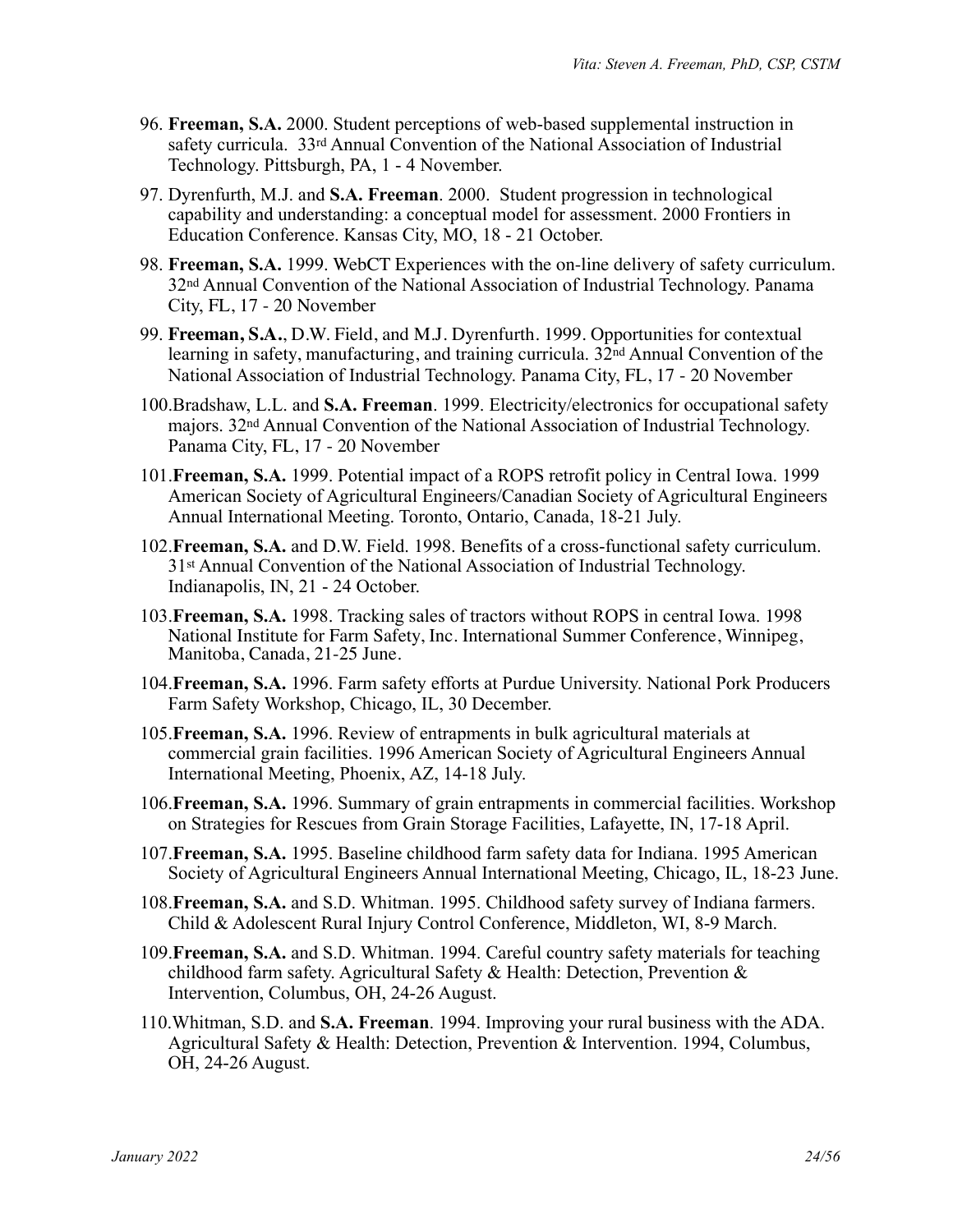- 96. **Freeman, S.A.** 2000. Student perceptions of web-based supplemental instruction in safety curricula. 33rd Annual Convention of the National Association of Industrial Technology. Pittsburgh, PA, 1 - 4 November.
- 97. Dyrenfurth, M.J. and **S.A. Freeman**. 2000. Student progression in technological capability and understanding: a conceptual model for assessment. 2000 Frontiers in Education Conference. Kansas City, MO, 18 - 21 October.
- 98. **Freeman, S.A.** 1999. WebCT Experiences with the on-line delivery of safety curriculum. 32nd Annual Convention of the National Association of Industrial Technology. Panama City, FL, 17 - 20 November
- 99. **Freeman, S.A.**, D.W. Field, and M.J. Dyrenfurth. 1999. Opportunities for contextual learning in safety, manufacturing, and training curricula. 32nd Annual Convention of the National Association of Industrial Technology. Panama City, FL, 17 - 20 November
- 100.Bradshaw, L.L. and **S.A. Freeman**. 1999. Electricity/electronics for occupational safety majors. 32nd Annual Convention of the National Association of Industrial Technology. Panama City, FL, 17 - 20 November
- 101.**Freeman, S.A.** 1999. Potential impact of a ROPS retrofit policy in Central Iowa. 1999 American Society of Agricultural Engineers/Canadian Society of Agricultural Engineers Annual International Meeting. Toronto, Ontario, Canada, 18-21 July.
- 102.**Freeman, S.A.** and D.W. Field. 1998. Benefits of a cross-functional safety curriculum. 31st Annual Convention of the National Association of Industrial Technology. Indianapolis, IN, 21 - 24 October.
- 103.**Freeman, S.A.** 1998. Tracking sales of tractors without ROPS in central Iowa. 1998 National Institute for Farm Safety, Inc. International Summer Conference, Winnipeg, Manitoba, Canada, 21-25 June.
- 104.**Freeman, S.A.** 1996. Farm safety efforts at Purdue University. National Pork Producers Farm Safety Workshop, Chicago, IL, 30 December.
- 105.**Freeman, S.A.** 1996. Review of entrapments in bulk agricultural materials at commercial grain facilities. 1996 American Society of Agricultural Engineers Annual International Meeting, Phoenix, AZ, 14-18 July.
- 106.**Freeman, S.A.** 1996. Summary of grain entrapments in commercial facilities. Workshop on Strategies for Rescues from Grain Storage Facilities, Lafayette, IN, 17-18 April.
- 107.**Freeman, S.A.** 1995. Baseline childhood farm safety data for Indiana. 1995 American Society of Agricultural Engineers Annual International Meeting, Chicago, IL, 18-23 June.
- 108.**Freeman, S.A.** and S.D. Whitman. 1995. Childhood safety survey of Indiana farmers. Child & Adolescent Rural Injury Control Conference, Middleton, WI, 8-9 March.
- 109.**Freeman, S.A.** and S.D. Whitman. 1994. Careful country safety materials for teaching childhood farm safety. Agricultural Safety & Health: Detection, Prevention & Intervention, Columbus, OH, 24-26 August.
- 110.Whitman, S.D. and **S.A. Freeman**. 1994. Improving your rural business with the ADA. Agricultural Safety & Health: Detection, Prevention & Intervention. 1994, Columbus, OH, 24-26 August.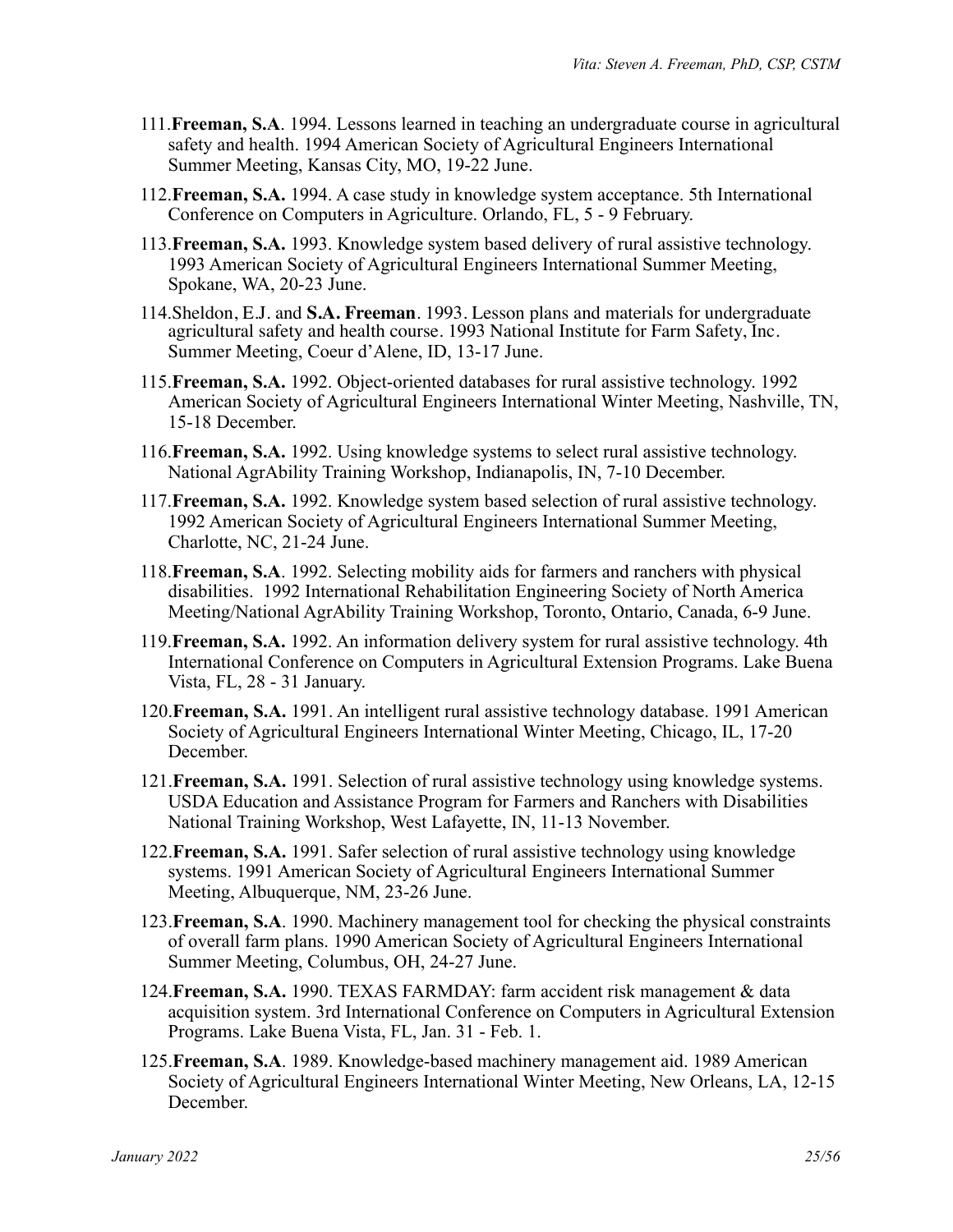- 111.**Freeman, S.A**. 1994. Lessons learned in teaching an undergraduate course in agricultural safety and health. 1994 American Society of Agricultural Engineers International Summer Meeting, Kansas City, MO, 19-22 June.
- 112.**Freeman, S.A.** 1994. A case study in knowledge system acceptance. 5th International Conference on Computers in Agriculture. Orlando, FL, 5 - 9 February.
- 113.**Freeman, S.A.** 1993. Knowledge system based delivery of rural assistive technology. 1993 American Society of Agricultural Engineers International Summer Meeting, Spokane, WA, 20-23 June.
- 114.Sheldon, E.J. and **S.A. Freeman**. 1993. Lesson plans and materials for undergraduate agricultural safety and health course. 1993 National Institute for Farm Safety, Inc. Summer Meeting, Coeur d'Alene, ID, 13-17 June.
- 115.**Freeman, S.A.** 1992. Object-oriented databases for rural assistive technology. 1992 American Society of Agricultural Engineers International Winter Meeting, Nashville, TN, 15-18 December.
- 116.**Freeman, S.A.** 1992. Using knowledge systems to select rural assistive technology. National AgrAbility Training Workshop, Indianapolis, IN, 7-10 December.
- 117.**Freeman, S.A.** 1992. Knowledge system based selection of rural assistive technology. 1992 American Society of Agricultural Engineers International Summer Meeting, Charlotte, NC, 21-24 June.
- 118.**Freeman, S.A**. 1992. Selecting mobility aids for farmers and ranchers with physical disabilities. 1992 International Rehabilitation Engineering Society of North America Meeting/National AgrAbility Training Workshop, Toronto, Ontario, Canada, 6-9 June.
- 119.**Freeman, S.A.** 1992. An information delivery system for rural assistive technology. 4th International Conference on Computers in Agricultural Extension Programs. Lake Buena Vista, FL, 28 - 31 January.
- 120.**Freeman, S.A.** 1991. An intelligent rural assistive technology database. 1991 American Society of Agricultural Engineers International Winter Meeting, Chicago, IL, 17-20 December.
- 121.**Freeman, S.A.** 1991. Selection of rural assistive technology using knowledge systems. USDA Education and Assistance Program for Farmers and Ranchers with Disabilities National Training Workshop, West Lafayette, IN, 11-13 November.
- 122.**Freeman, S.A.** 1991. Safer selection of rural assistive technology using knowledge systems. 1991 American Society of Agricultural Engineers International Summer Meeting, Albuquerque, NM, 23-26 June.
- 123.**Freeman, S.A**. 1990. Machinery management tool for checking the physical constraints of overall farm plans. 1990 American Society of Agricultural Engineers International Summer Meeting, Columbus, OH, 24-27 June.
- 124.**Freeman, S.A.** 1990. TEXAS FARMDAY: farm accident risk management & data acquisition system. 3rd International Conference on Computers in Agricultural Extension Programs. Lake Buena Vista, FL, Jan. 31 - Feb. 1.
- 125.**Freeman, S.A**. 1989. Knowledge-based machinery management aid. 1989 American Society of Agricultural Engineers International Winter Meeting, New Orleans, LA, 12-15 December.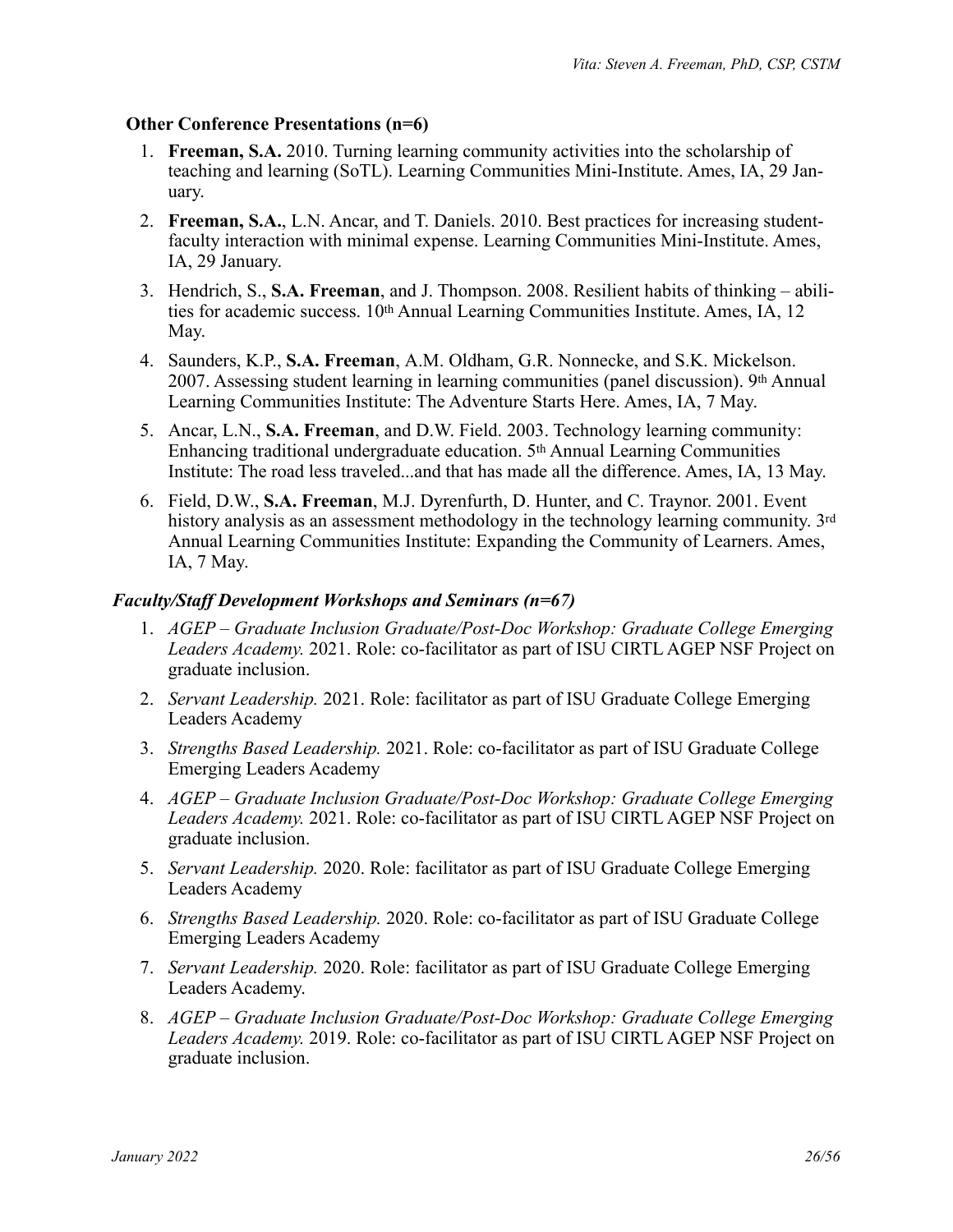#### **Other Conference Presentations (n=6)**

- 1. **Freeman, S.A.** 2010. Turning learning community activities into the scholarship of teaching and learning (SoTL). Learning Communities Mini-Institute. Ames, IA, 29 January.
- 2. **Freeman, S.A.**, L.N. Ancar, and T. Daniels. 2010. Best practices for increasing studentfaculty interaction with minimal expense. Learning Communities Mini-Institute. Ames, IA, 29 January.
- 3. Hendrich, S., **S.A. Freeman**, and J. Thompson. 2008. Resilient habits of thinking abilities for academic success. 10th Annual Learning Communities Institute. Ames, IA, 12 May.
- 4. Saunders, K.P., **S.A. Freeman**, A.M. Oldham, G.R. Nonnecke, and S.K. Mickelson. 2007. Assessing student learning in learning communities (panel discussion).  $9<sup>th</sup>$  Annual Learning Communities Institute: The Adventure Starts Here. Ames, IA, 7 May.
- 5. Ancar, L.N., **S.A. Freeman**, and D.W. Field. 2003. Technology learning community: Enhancing traditional undergraduate education. 5th Annual Learning Communities Institute: The road less traveled...and that has made all the difference. Ames, IA, 13 May.
- 6. Field, D.W., **S.A. Freeman**, M.J. Dyrenfurth, D. Hunter, and C. Traynor. 2001. Event history analysis as an assessment methodology in the technology learning community. 3rd Annual Learning Communities Institute: Expanding the Community of Learners. Ames, IA, 7 May.

### *Faculty/Staff Development Workshops and Seminars (n=67)*

- 1. *AGEP Graduate Inclusion Graduate/Post-Doc Workshop: Graduate College Emerging Leaders Academy.* 2021. Role: co-facilitator as part of ISU CIRTL AGEP NSF Project on graduate inclusion.
- 2. *Servant Leadership.* 2021. Role: facilitator as part of ISU Graduate College Emerging Leaders Academy
- 3. *Strengths Based Leadership.* 2021. Role: co-facilitator as part of ISU Graduate College Emerging Leaders Academy
- 4. *AGEP Graduate Inclusion Graduate/Post-Doc Workshop: Graduate College Emerging Leaders Academy.* 2021. Role: co-facilitator as part of ISU CIRTL AGEP NSF Project on graduate inclusion.
- 5. *Servant Leadership.* 2020. Role: facilitator as part of ISU Graduate College Emerging Leaders Academy
- 6. *Strengths Based Leadership.* 2020. Role: co-facilitator as part of ISU Graduate College Emerging Leaders Academy
- 7. *Servant Leadership.* 2020. Role: facilitator as part of ISU Graduate College Emerging Leaders Academy.
- 8. *AGEP Graduate Inclusion Graduate/Post-Doc Workshop: Graduate College Emerging Leaders Academy.* 2019. Role: co-facilitator as part of ISU CIRTL AGEP NSF Project on graduate inclusion.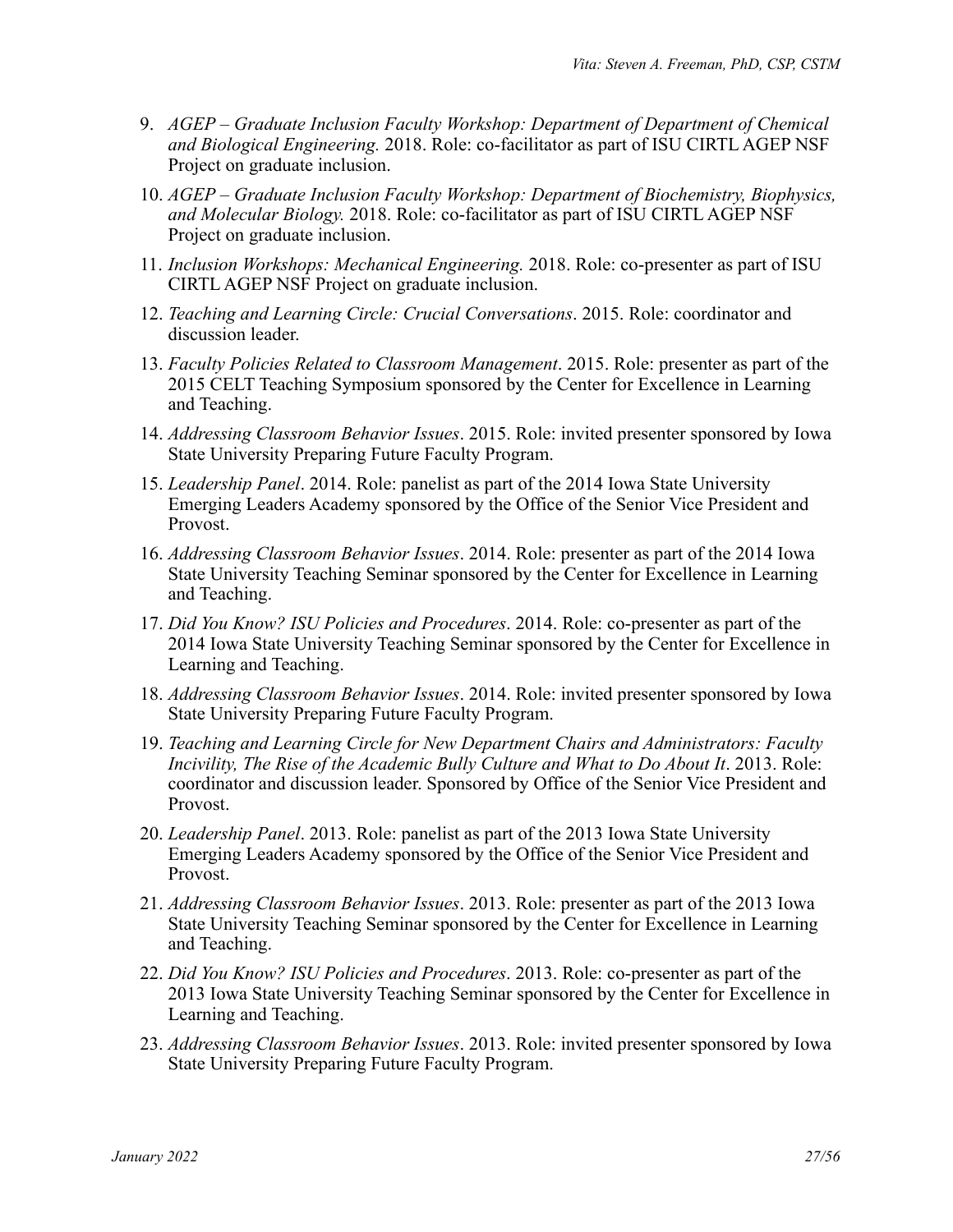- 9. *AGEP Graduate Inclusion Faculty Workshop: Department of Department of Chemical and Biological Engineering.* 2018. Role: co-facilitator as part of ISU CIRTL AGEP NSF Project on graduate inclusion.
- 10. *AGEP Graduate Inclusion Faculty Workshop: Department of Biochemistry, Biophysics, and Molecular Biology.* 2018. Role: co-facilitator as part of ISU CIRTL AGEP NSF Project on graduate inclusion.
- 11. *Inclusion Workshops: Mechanical Engineering.* 2018. Role: co-presenter as part of ISU CIRTL AGEP NSF Project on graduate inclusion.
- 12. *Teaching and Learning Circle: Crucial Conversations*. 2015. Role: coordinator and discussion leader.
- 13. *Faculty Policies Related to Classroom Management*. 2015. Role: presenter as part of the 2015 CELT Teaching Symposium sponsored by the Center for Excellence in Learning and Teaching.
- 14. *Addressing Classroom Behavior Issues*. 2015. Role: invited presenter sponsored by Iowa State University Preparing Future Faculty Program.
- 15. *Leadership Panel*. 2014. Role: panelist as part of the 2014 Iowa State University Emerging Leaders Academy sponsored by the Office of the Senior Vice President and Provost.
- 16. *Addressing Classroom Behavior Issues*. 2014. Role: presenter as part of the 2014 Iowa State University Teaching Seminar sponsored by the Center for Excellence in Learning and Teaching.
- 17. *Did You Know? ISU Policies and Procedures*. 2014. Role: co-presenter as part of the 2014 Iowa State University Teaching Seminar sponsored by the Center for Excellence in Learning and Teaching.
- 18. *Addressing Classroom Behavior Issues*. 2014. Role: invited presenter sponsored by Iowa State University Preparing Future Faculty Program.
- 19. *Teaching and Learning Circle for New Department Chairs and Administrators: Faculty Incivility, The Rise of the Academic Bully Culture and What to Do About It*. 2013. Role: coordinator and discussion leader. Sponsored by Office of the Senior Vice President and Provost.
- 20. *Leadership Panel*. 2013. Role: panelist as part of the 2013 Iowa State University Emerging Leaders Academy sponsored by the Office of the Senior Vice President and Provost.
- 21. *Addressing Classroom Behavior Issues*. 2013. Role: presenter as part of the 2013 Iowa State University Teaching Seminar sponsored by the Center for Excellence in Learning and Teaching.
- 22. *Did You Know? ISU Policies and Procedures*. 2013. Role: co-presenter as part of the 2013 Iowa State University Teaching Seminar sponsored by the Center for Excellence in Learning and Teaching.
- 23. *Addressing Classroom Behavior Issues*. 2013. Role: invited presenter sponsored by Iowa State University Preparing Future Faculty Program.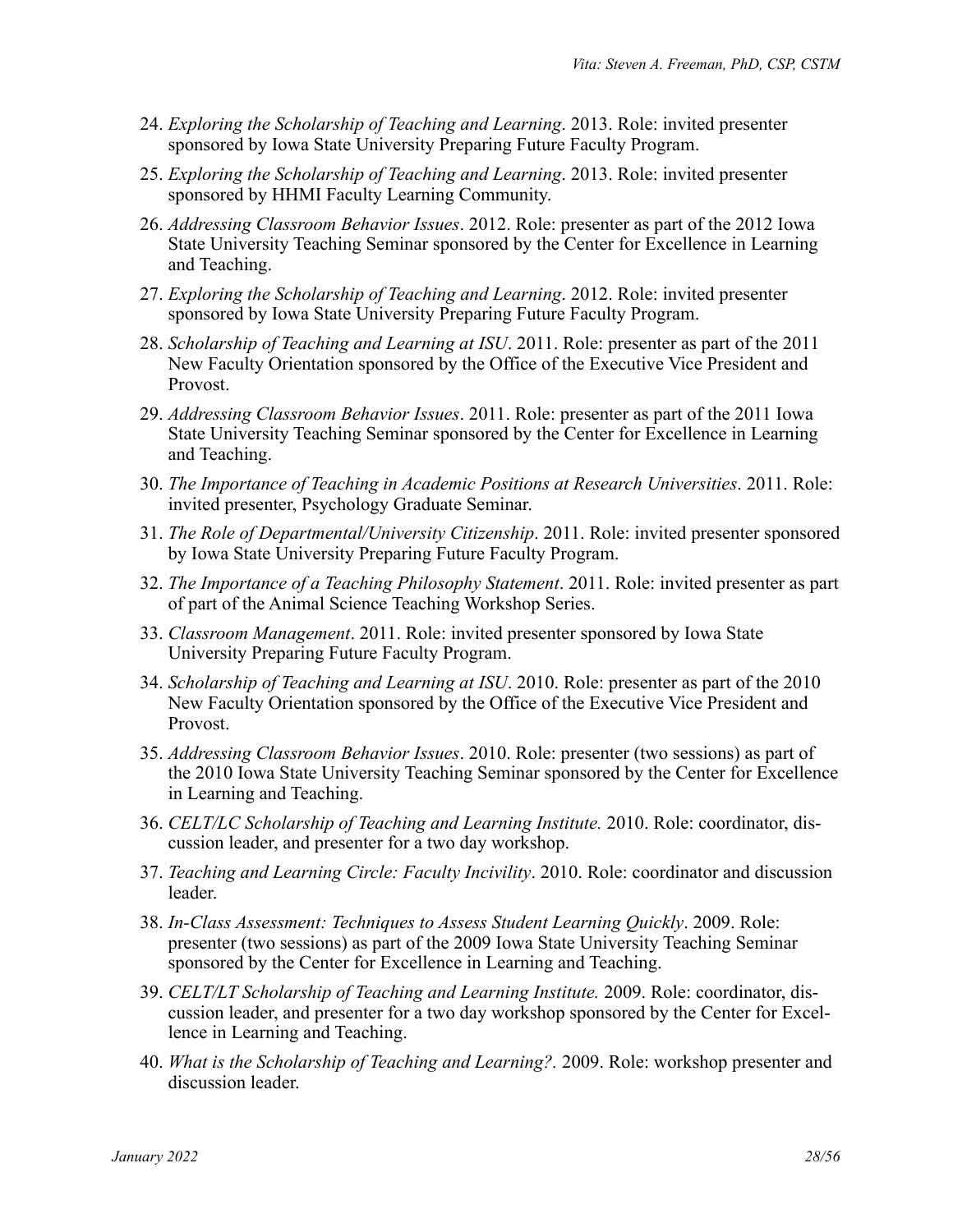- 24. *Exploring the Scholarship of Teaching and Learning*. 2013. Role: invited presenter sponsored by Iowa State University Preparing Future Faculty Program.
- 25. *Exploring the Scholarship of Teaching and Learning*. 2013. Role: invited presenter sponsored by HHMI Faculty Learning Community.
- 26. *Addressing Classroom Behavior Issues*. 2012. Role: presenter as part of the 2012 Iowa State University Teaching Seminar sponsored by the Center for Excellence in Learning and Teaching.
- 27. *Exploring the Scholarship of Teaching and Learning*. 2012. Role: invited presenter sponsored by Iowa State University Preparing Future Faculty Program.
- 28. *Scholarship of Teaching and Learning at ISU*. 2011. Role: presenter as part of the 2011 New Faculty Orientation sponsored by the Office of the Executive Vice President and Provost.
- 29. *Addressing Classroom Behavior Issues*. 2011. Role: presenter as part of the 2011 Iowa State University Teaching Seminar sponsored by the Center for Excellence in Learning and Teaching.
- 30. *The Importance of Teaching in Academic Positions at Research Universities*. 2011. Role: invited presenter, Psychology Graduate Seminar.
- 31. *The Role of Departmental/University Citizenship*. 2011. Role: invited presenter sponsored by Iowa State University Preparing Future Faculty Program.
- 32. *The Importance of a Teaching Philosophy Statement*. 2011. Role: invited presenter as part of part of the Animal Science Teaching Workshop Series.
- 33. *Classroom Management*. 2011. Role: invited presenter sponsored by Iowa State University Preparing Future Faculty Program.
- 34. *Scholarship of Teaching and Learning at ISU*. 2010. Role: presenter as part of the 2010 New Faculty Orientation sponsored by the Office of the Executive Vice President and Provost.
- 35. *Addressing Classroom Behavior Issues*. 2010. Role: presenter (two sessions) as part of the 2010 Iowa State University Teaching Seminar sponsored by the Center for Excellence in Learning and Teaching.
- 36. *CELT/LC Scholarship of Teaching and Learning Institute.* 2010. Role: coordinator, discussion leader, and presenter for a two day workshop.
- 37. *Teaching and Learning Circle: Faculty Incivility*. 2010. Role: coordinator and discussion leader.
- 38. *In-Class Assessment: Techniques to Assess Student Learning Quickly*. 2009. Role: presenter (two sessions) as part of the 2009 Iowa State University Teaching Seminar sponsored by the Center for Excellence in Learning and Teaching.
- 39. *CELT/LT Scholarship of Teaching and Learning Institute.* 2009. Role: coordinator, discussion leader, and presenter for a two day workshop sponsored by the Center for Excellence in Learning and Teaching.
- 40. *What is the Scholarship of Teaching and Learning?.* 2009. Role: workshop presenter and discussion leader.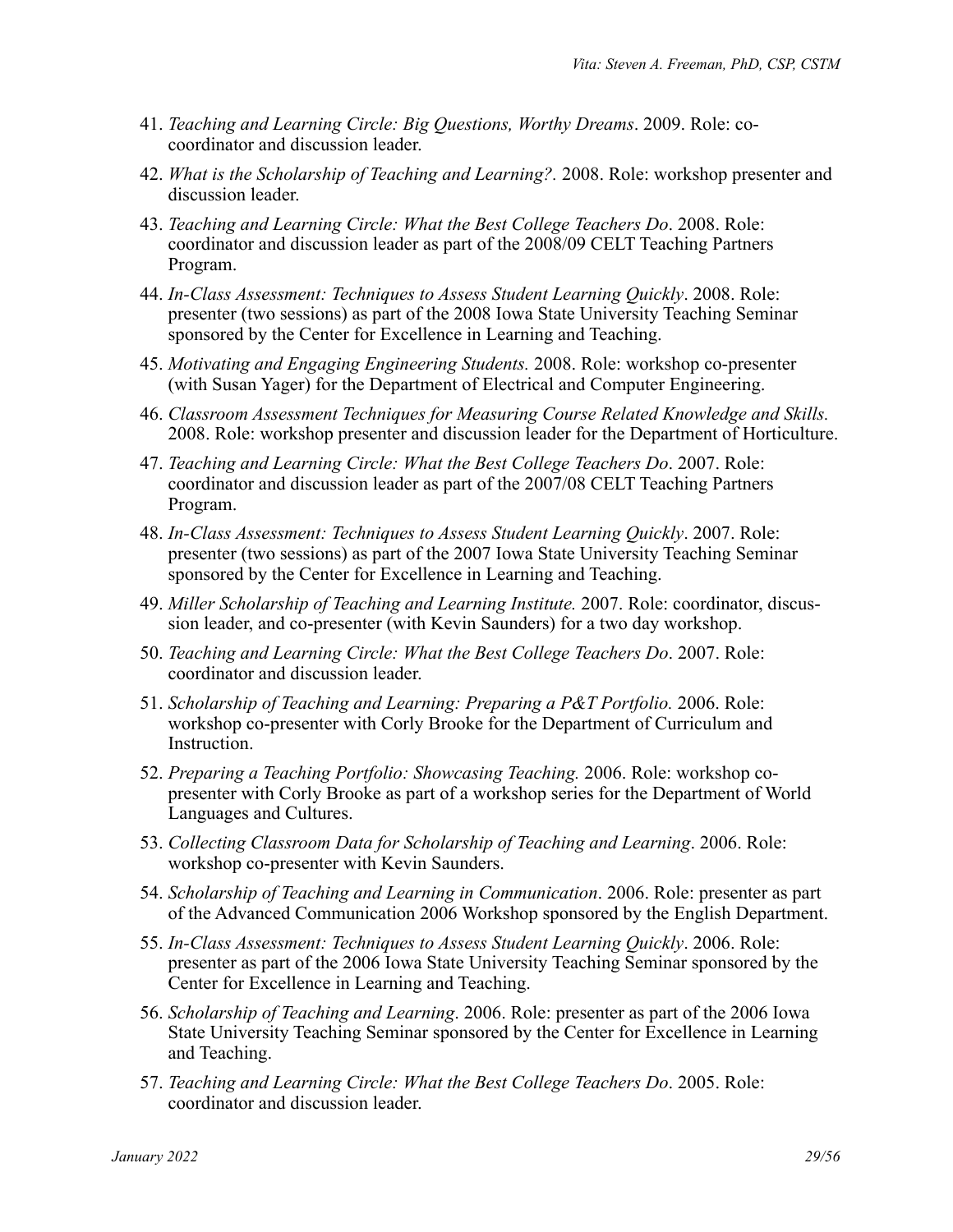- 41. *Teaching and Learning Circle: Big Questions, Worthy Dreams*. 2009. Role: cocoordinator and discussion leader.
- 42. *What is the Scholarship of Teaching and Learning?.* 2008. Role: workshop presenter and discussion leader.
- 43. *Teaching and Learning Circle: What the Best College Teachers Do*. 2008. Role: coordinator and discussion leader as part of the 2008/09 CELT Teaching Partners Program.
- 44. *In-Class Assessment: Techniques to Assess Student Learning Quickly*. 2008. Role: presenter (two sessions) as part of the 2008 Iowa State University Teaching Seminar sponsored by the Center for Excellence in Learning and Teaching.
- 45. *Motivating and Engaging Engineering Students.* 2008. Role: workshop co-presenter (with Susan Yager) for the Department of Electrical and Computer Engineering.
- 46. *Classroom Assessment Techniques for Measuring Course Related Knowledge and Skills.*  2008. Role: workshop presenter and discussion leader for the Department of Horticulture.
- 47. *Teaching and Learning Circle: What the Best College Teachers Do*. 2007. Role: coordinator and discussion leader as part of the 2007/08 CELT Teaching Partners Program.
- 48. *In-Class Assessment: Techniques to Assess Student Learning Quickly*. 2007. Role: presenter (two sessions) as part of the 2007 Iowa State University Teaching Seminar sponsored by the Center for Excellence in Learning and Teaching.
- 49. *Miller Scholarship of Teaching and Learning Institute.* 2007. Role: coordinator, discussion leader, and co-presenter (with Kevin Saunders) for a two day workshop.
- 50. *Teaching and Learning Circle: What the Best College Teachers Do*. 2007. Role: coordinator and discussion leader.
- 51. *Scholarship of Teaching and Learning: Preparing a P&T Portfolio.* 2006. Role: workshop co-presenter with Corly Brooke for the Department of Curriculum and Instruction.
- 52. *Preparing a Teaching Portfolio: Showcasing Teaching.* 2006. Role: workshop copresenter with Corly Brooke as part of a workshop series for the Department of World Languages and Cultures.
- 53. *Collecting Classroom Data for Scholarship of Teaching and Learning*. 2006. Role: workshop co-presenter with Kevin Saunders.
- 54. *Scholarship of Teaching and Learning in Communication*. 2006. Role: presenter as part of the Advanced Communication 2006 Workshop sponsored by the English Department.
- 55. *In-Class Assessment: Techniques to Assess Student Learning Quickly*. 2006. Role: presenter as part of the 2006 Iowa State University Teaching Seminar sponsored by the Center for Excellence in Learning and Teaching.
- 56. *Scholarship of Teaching and Learning*. 2006. Role: presenter as part of the 2006 Iowa State University Teaching Seminar sponsored by the Center for Excellence in Learning and Teaching.
- 57. *Teaching and Learning Circle: What the Best College Teachers Do*. 2005. Role: coordinator and discussion leader.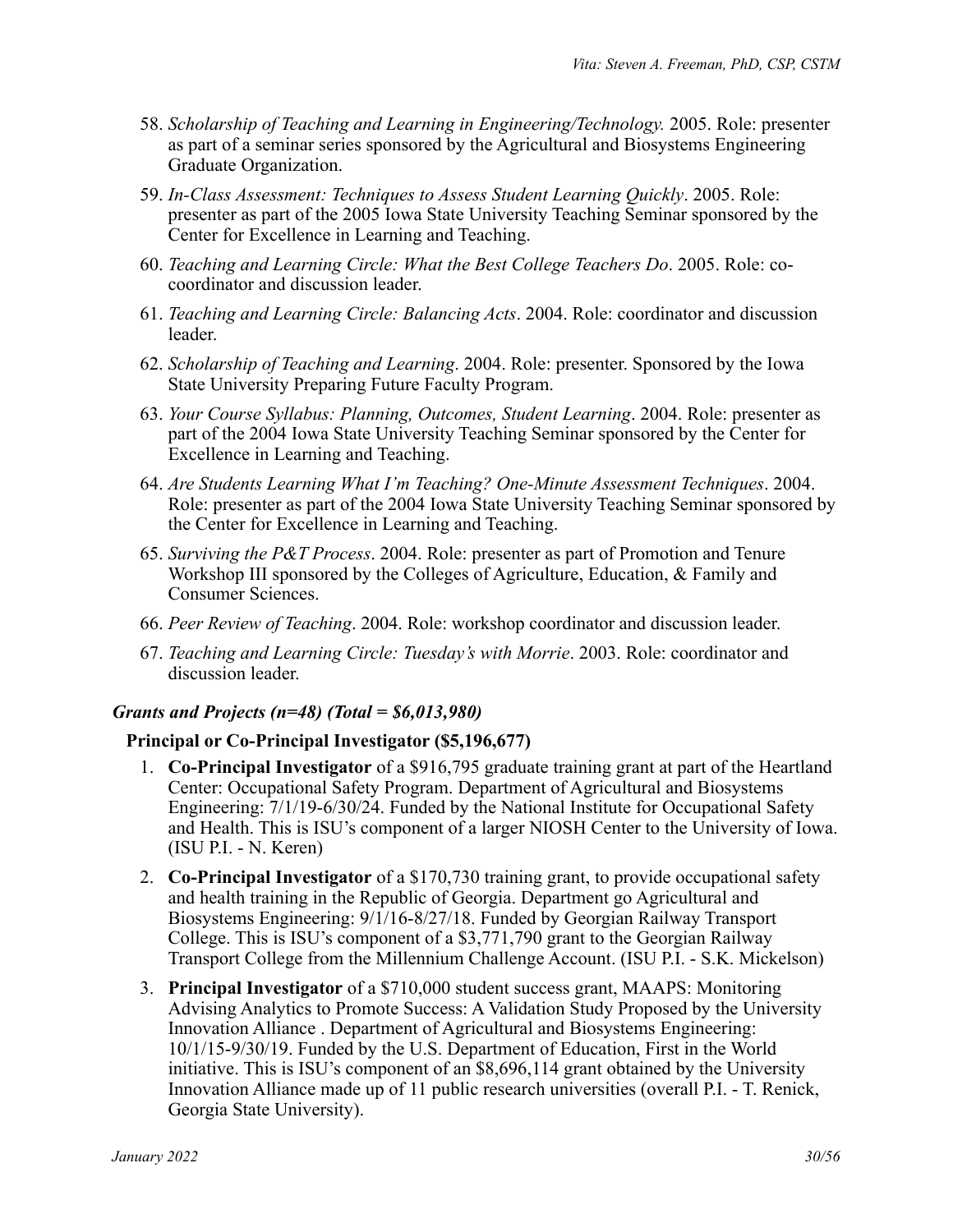- 58. *Scholarship of Teaching and Learning in Engineering/Technology.* 2005. Role: presenter as part of a seminar series sponsored by the Agricultural and Biosystems Engineering Graduate Organization.
- 59. *In-Class Assessment: Techniques to Assess Student Learning Quickly*. 2005. Role: presenter as part of the 2005 Iowa State University Teaching Seminar sponsored by the Center for Excellence in Learning and Teaching.
- 60. *Teaching and Learning Circle: What the Best College Teachers Do*. 2005. Role: cocoordinator and discussion leader.
- 61. *Teaching and Learning Circle: Balancing Acts*. 2004. Role: coordinator and discussion leader.
- 62. *Scholarship of Teaching and Learning*. 2004. Role: presenter. Sponsored by the Iowa State University Preparing Future Faculty Program.
- 63. *Your Course Syllabus: Planning, Outcomes, Student Learning*. 2004. Role: presenter as part of the 2004 Iowa State University Teaching Seminar sponsored by the Center for Excellence in Learning and Teaching.
- 64. *Are Students Learning What I'm Teaching? One-Minute Assessment Techniques*. 2004. Role: presenter as part of the 2004 Iowa State University Teaching Seminar sponsored by the Center for Excellence in Learning and Teaching.
- 65. *Surviving the P&T Process*. 2004. Role: presenter as part of Promotion and Tenure Workshop III sponsored by the Colleges of Agriculture, Education, & Family and Consumer Sciences.
- 66. *Peer Review of Teaching*. 2004. Role: workshop coordinator and discussion leader.
- 67. *Teaching and Learning Circle: Tuesday's with Morrie*. 2003. Role: coordinator and discussion leader.

#### *Grants and Projects (n=48) (Total = \$6,013,980)*

#### **Principal or Co-Principal Investigator (\$5,196,677)**

- 1. **Co-Principal Investigator** of a \$916,795 graduate training grant at part of the Heartland Center: Occupational Safety Program. Department of Agricultural and Biosystems Engineering: 7/1/19-6/30/24. Funded by the National Institute for Occupational Safety and Health. This is ISU's component of a larger NIOSH Center to the University of Iowa. (ISU P.I. - N. Keren)
- 2. **Co-Principal Investigator** of a \$170,730 training grant, to provide occupational safety and health training in the Republic of Georgia. Department go Agricultural and Biosystems Engineering: 9/1/16-8/27/18. Funded by Georgian Railway Transport College. This is ISU's component of a \$3,771,790 grant to the Georgian Railway Transport College from the Millennium Challenge Account. (ISU P.I. - S.K. Mickelson)
- 3. **Principal Investigator** of a \$710,000 student success grant, MAAPS: Monitoring Advising Analytics to Promote Success: A Validation Study Proposed by the University Innovation Alliance . Department of Agricultural and Biosystems Engineering: 10/1/15-9/30/19. Funded by the U.S. Department of Education, First in the World initiative. This is ISU's component of an \$8,696,114 grant obtained by the University Innovation Alliance made up of 11 public research universities (overall P.I. - T. Renick, Georgia State University).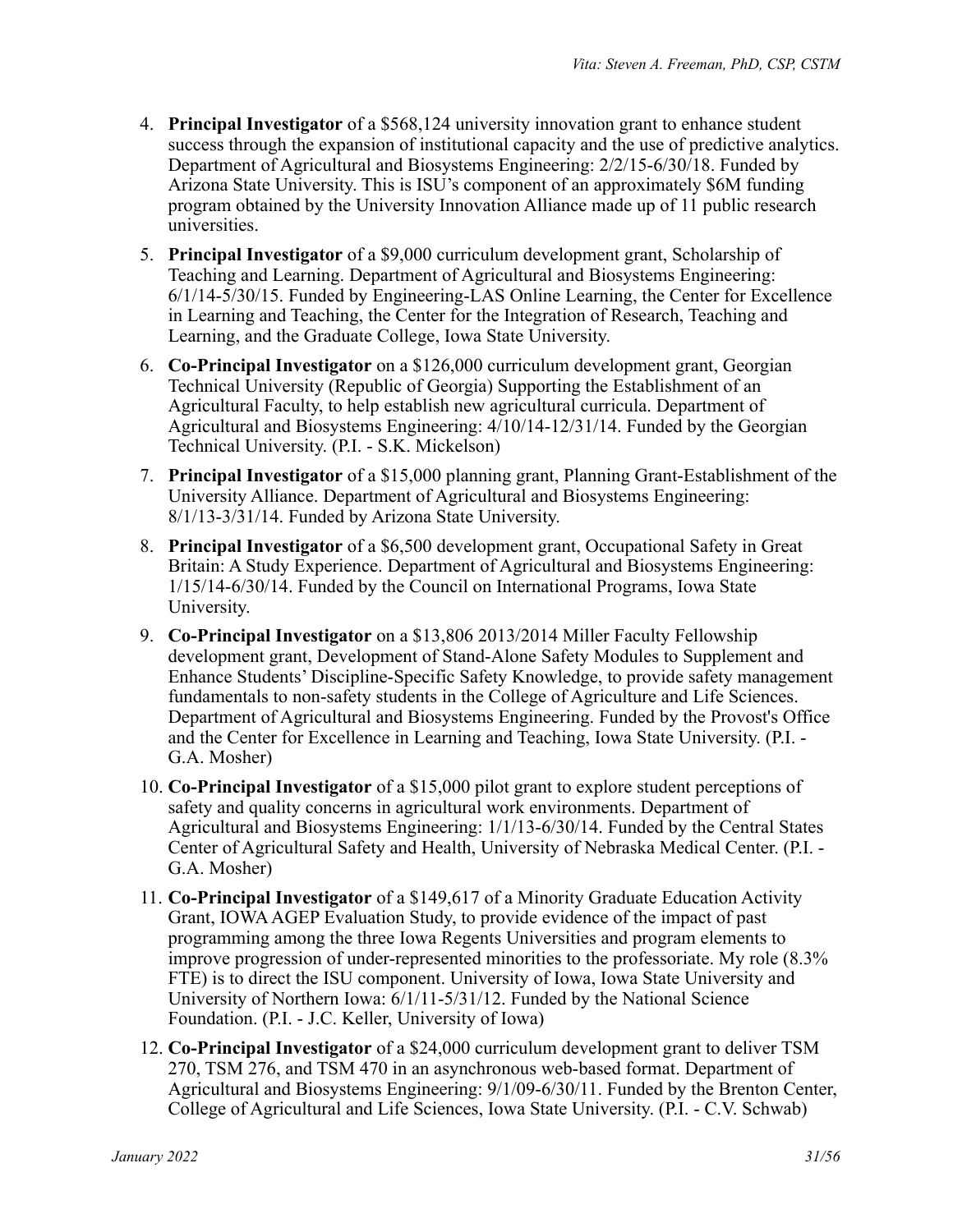- 4. **Principal Investigator** of a \$568,124 university innovation grant to enhance student success through the expansion of institutional capacity and the use of predictive analytics. Department of Agricultural and Biosystems Engineering: 2/2/15-6/30/18. Funded by Arizona State University. This is ISU's component of an approximately \$6M funding program obtained by the University Innovation Alliance made up of 11 public research universities.
- 5. **Principal Investigator** of a \$9,000 curriculum development grant, Scholarship of Teaching and Learning. Department of Agricultural and Biosystems Engineering: 6/1/14-5/30/15. Funded by Engineering-LAS Online Learning, the Center for Excellence in Learning and Teaching, the Center for the Integration of Research, Teaching and Learning, and the Graduate College, Iowa State University.
- 6. **Co-Principal Investigator** on a \$126,000 curriculum development grant, Georgian Technical University (Republic of Georgia) Supporting the Establishment of an Agricultural Faculty, to help establish new agricultural curricula. Department of Agricultural and Biosystems Engineering: 4/10/14-12/31/14. Funded by the Georgian Technical University. (P.I. - S.K. Mickelson)
- 7. **Principal Investigator** of a \$15,000 planning grant, Planning Grant-Establishment of the University Alliance. Department of Agricultural and Biosystems Engineering: 8/1/13-3/31/14. Funded by Arizona State University.
- 8. **Principal Investigator** of a \$6,500 development grant, Occupational Safety in Great Britain: A Study Experience. Department of Agricultural and Biosystems Engineering: 1/15/14-6/30/14. Funded by the Council on International Programs, Iowa State University.
- 9. **Co-Principal Investigator** on a \$13,806 2013/2014 Miller Faculty Fellowship development grant, Development of Stand-Alone Safety Modules to Supplement and Enhance Students' Discipline-Specific Safety Knowledge, to provide safety management fundamentals to non-safety students in the College of Agriculture and Life Sciences. Department of Agricultural and Biosystems Engineering. Funded by the Provost's Office and the Center for Excellence in Learning and Teaching, Iowa State University. (P.I. - G.A. Mosher)
- 10. **Co-Principal Investigator** of a \$15,000 pilot grant to explore student perceptions of safety and quality concerns in agricultural work environments. Department of Agricultural and Biosystems Engineering: 1/1/13-6/30/14. Funded by the Central States Center of Agricultural Safety and Health, University of Nebraska Medical Center. (P.I. - G.A. Mosher)
- 11. **Co-Principal Investigator** of a \$149,617 of a Minority Graduate Education Activity Grant, IOWA AGEP Evaluation Study, to provide evidence of the impact of past programming among the three Iowa Regents Universities and program elements to improve progression of under-represented minorities to the professoriate. My role (8.3% FTE) is to direct the ISU component. University of Iowa, Iowa State University and University of Northern Iowa: 6/1/11-5/31/12. Funded by the National Science Foundation. (P.I. - J.C. Keller, University of Iowa)
- 12. **Co-Principal Investigator** of a \$24,000 curriculum development grant to deliver TSM 270, TSM 276, and TSM 470 in an asynchronous web-based format. Department of Agricultural and Biosystems Engineering: 9/1/09-6/30/11. Funded by the Brenton Center, College of Agricultural and Life Sciences, Iowa State University. (P.I. - C.V. Schwab)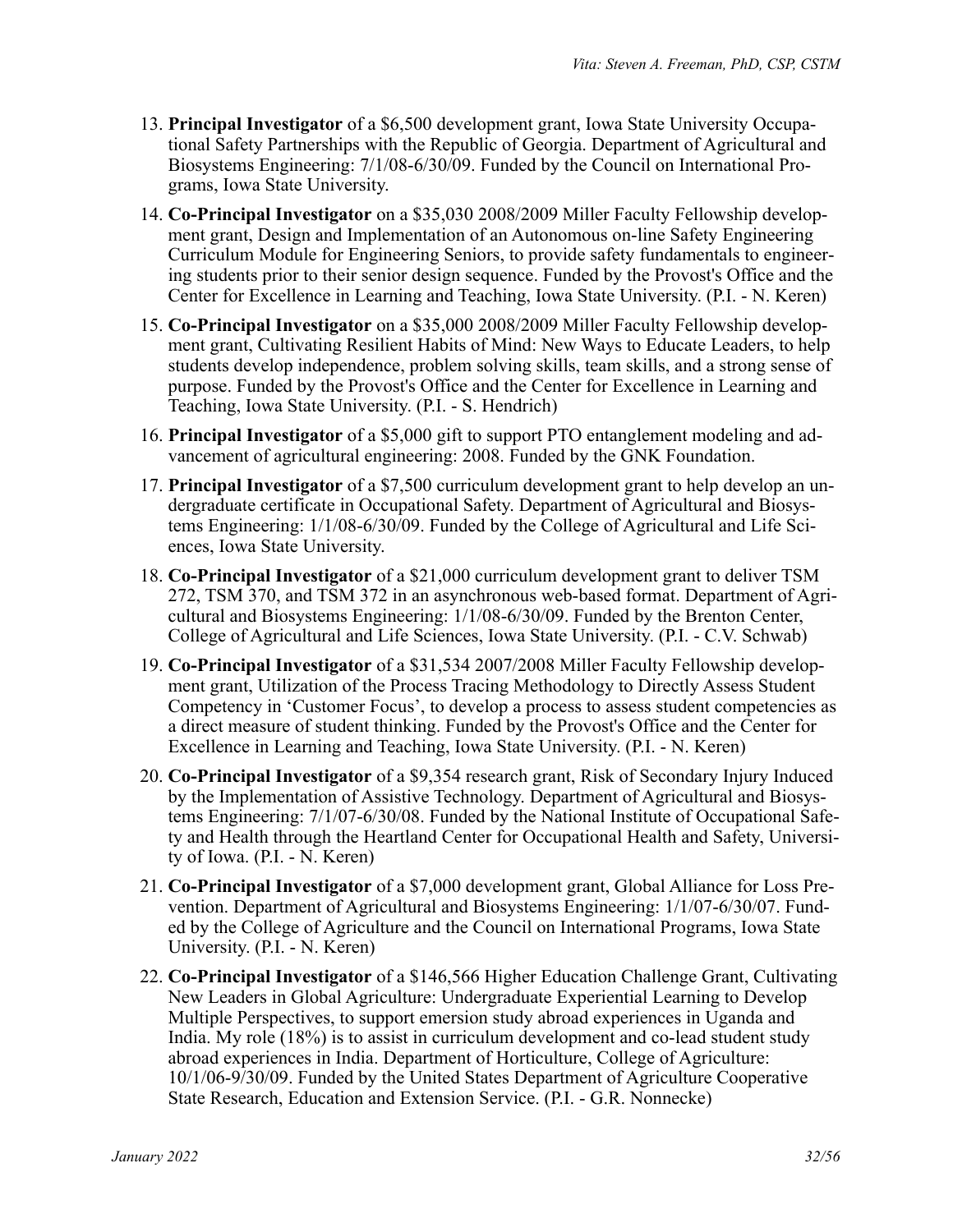- 13. **Principal Investigator** of a \$6,500 development grant, Iowa State University Occupational Safety Partnerships with the Republic of Georgia. Department of Agricultural and Biosystems Engineering: 7/1/08-6/30/09. Funded by the Council on International Programs, Iowa State University.
- 14. **Co-Principal Investigator** on a \$35,030 2008/2009 Miller Faculty Fellowship development grant, Design and Implementation of an Autonomous on-line Safety Engineering Curriculum Module for Engineering Seniors, to provide safety fundamentals to engineering students prior to their senior design sequence. Funded by the Provost's Office and the Center for Excellence in Learning and Teaching, Iowa State University. (P.I. - N. Keren)
- 15. **Co-Principal Investigator** on a \$35,000 2008/2009 Miller Faculty Fellowship development grant, Cultivating Resilient Habits of Mind: New Ways to Educate Leaders, to help students develop independence, problem solving skills, team skills, and a strong sense of purpose. Funded by the Provost's Office and the Center for Excellence in Learning and Teaching, Iowa State University. (P.I. - S. Hendrich)
- 16. **Principal Investigator** of a \$5,000 gift to support PTO entanglement modeling and advancement of agricultural engineering: 2008. Funded by the GNK Foundation.
- 17. **Principal Investigator** of a \$7,500 curriculum development grant to help develop an undergraduate certificate in Occupational Safety. Department of Agricultural and Biosystems Engineering: 1/1/08-6/30/09. Funded by the College of Agricultural and Life Sciences, Iowa State University.
- 18. **Co-Principal Investigator** of a \$21,000 curriculum development grant to deliver TSM 272, TSM 370, and TSM 372 in an asynchronous web-based format. Department of Agricultural and Biosystems Engineering: 1/1/08-6/30/09. Funded by the Brenton Center, College of Agricultural and Life Sciences, Iowa State University. (P.I. - C.V. Schwab)
- 19. **Co-Principal Investigator** of a \$31,534 2007/2008 Miller Faculty Fellowship development grant, Utilization of the Process Tracing Methodology to Directly Assess Student Competency in 'Customer Focus', to develop a process to assess student competencies as a direct measure of student thinking. Funded by the Provost's Office and the Center for Excellence in Learning and Teaching, Iowa State University. (P.I. - N. Keren)
- 20. **Co-Principal Investigator** of a \$9,354 research grant, Risk of Secondary Injury Induced by the Implementation of Assistive Technology. Department of Agricultural and Biosystems Engineering: 7/1/07-6/30/08. Funded by the National Institute of Occupational Safety and Health through the Heartland Center for Occupational Health and Safety, University of Iowa. (P.I. - N. Keren)
- 21. **Co-Principal Investigator** of a \$7,000 development grant, Global Alliance for Loss Prevention. Department of Agricultural and Biosystems Engineering: 1/1/07-6/30/07. Funded by the College of Agriculture and the Council on International Programs, Iowa State University. (P.I. - N. Keren)
- 22. **Co-Principal Investigator** of a \$146,566 Higher Education Challenge Grant, Cultivating New Leaders in Global Agriculture: Undergraduate Experiential Learning to Develop Multiple Perspectives, to support emersion study abroad experiences in Uganda and India. My role (18%) is to assist in curriculum development and co-lead student study abroad experiences in India. Department of Horticulture, College of Agriculture: 10/1/06-9/30/09. Funded by the United States Department of Agriculture Cooperative State Research, Education and Extension Service. (P.I. - G.R. Nonnecke)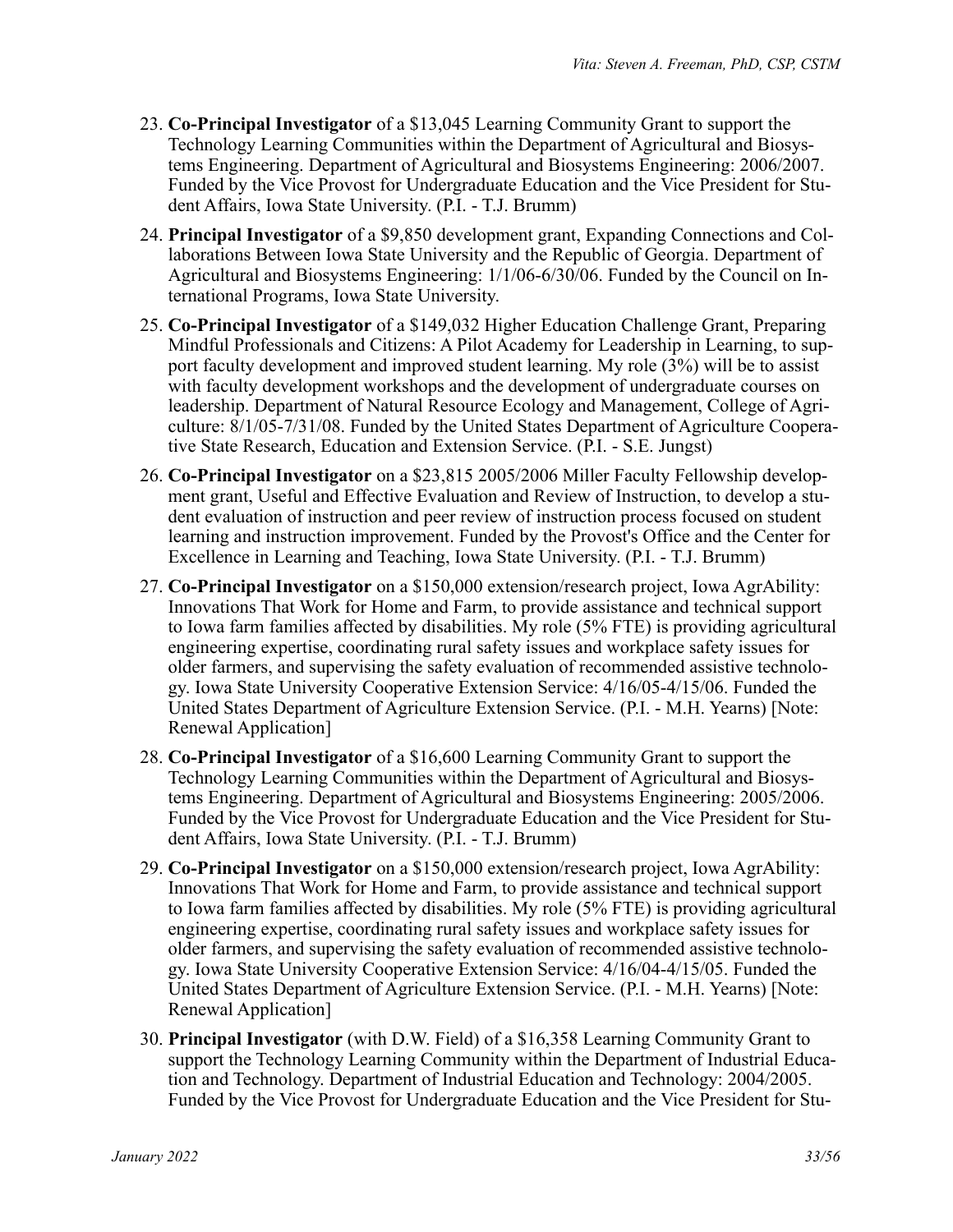- 23. **Co-Principal Investigator** of a \$13,045 Learning Community Grant to support the Technology Learning Communities within the Department of Agricultural and Biosystems Engineering. Department of Agricultural and Biosystems Engineering: 2006/2007. Funded by the Vice Provost for Undergraduate Education and the Vice President for Student Affairs, Iowa State University. (P.I. - T.J. Brumm)
- 24. **Principal Investigator** of a \$9,850 development grant, Expanding Connections and Collaborations Between Iowa State University and the Republic of Georgia. Department of Agricultural and Biosystems Engineering: 1/1/06-6/30/06. Funded by the Council on International Programs, Iowa State University.
- 25. **Co-Principal Investigator** of a \$149,032 Higher Education Challenge Grant, Preparing Mindful Professionals and Citizens: A Pilot Academy for Leadership in Learning, to support faculty development and improved student learning. My role (3%) will be to assist with faculty development workshops and the development of undergraduate courses on leadership. Department of Natural Resource Ecology and Management, College of Agriculture: 8/1/05-7/31/08. Funded by the United States Department of Agriculture Cooperative State Research, Education and Extension Service. (P.I. - S.E. Jungst)
- 26. **Co-Principal Investigator** on a \$23,815 2005/2006 Miller Faculty Fellowship development grant, Useful and Effective Evaluation and Review of Instruction, to develop a student evaluation of instruction and peer review of instruction process focused on student learning and instruction improvement. Funded by the Provost's Office and the Center for Excellence in Learning and Teaching, Iowa State University. (P.I. - T.J. Brumm)
- 27. **Co-Principal Investigator** on a \$150,000 extension/research project, Iowa AgrAbility: Innovations That Work for Home and Farm, to provide assistance and technical support to Iowa farm families affected by disabilities. My role (5% FTE) is providing agricultural engineering expertise, coordinating rural safety issues and workplace safety issues for older farmers, and supervising the safety evaluation of recommended assistive technology. Iowa State University Cooperative Extension Service: 4/16/05-4/15/06. Funded the United States Department of Agriculture Extension Service. (P.I. - M.H. Yearns) [Note: Renewal Application]
- 28. **Co-Principal Investigator** of a \$16,600 Learning Community Grant to support the Technology Learning Communities within the Department of Agricultural and Biosystems Engineering. Department of Agricultural and Biosystems Engineering: 2005/2006. Funded by the Vice Provost for Undergraduate Education and the Vice President for Student Affairs, Iowa State University. (P.I. - T.J. Brumm)
- 29. **Co-Principal Investigator** on a \$150,000 extension/research project, Iowa AgrAbility: Innovations That Work for Home and Farm, to provide assistance and technical support to Iowa farm families affected by disabilities. My role (5% FTE) is providing agricultural engineering expertise, coordinating rural safety issues and workplace safety issues for older farmers, and supervising the safety evaluation of recommended assistive technology. Iowa State University Cooperative Extension Service: 4/16/04-4/15/05. Funded the United States Department of Agriculture Extension Service. (P.I. - M.H. Yearns) [Note: Renewal Application]
- 30. **Principal Investigator** (with D.W. Field) of a \$16,358 Learning Community Grant to support the Technology Learning Community within the Department of Industrial Education and Technology. Department of Industrial Education and Technology: 2004/2005. Funded by the Vice Provost for Undergraduate Education and the Vice President for Stu-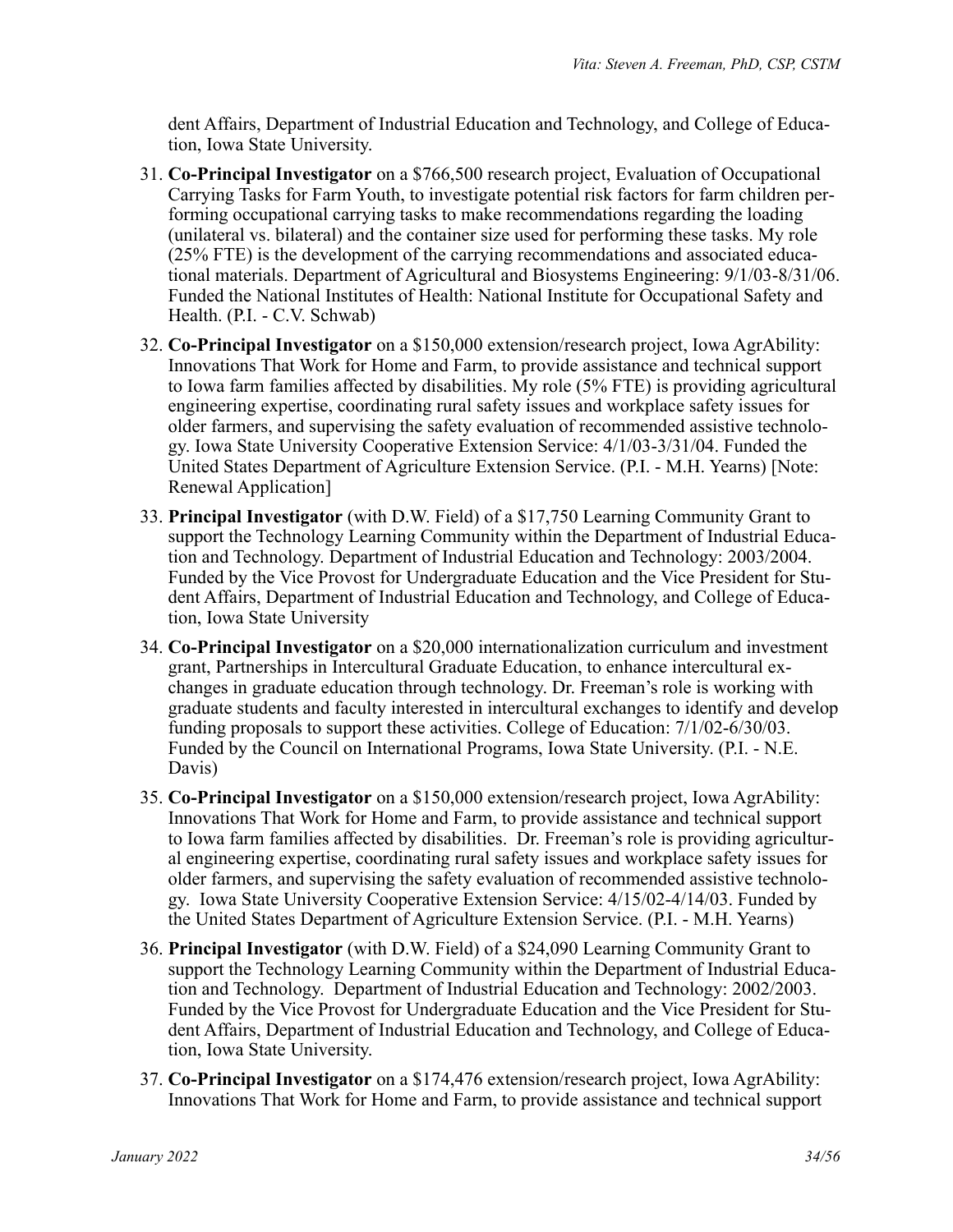dent Affairs, Department of Industrial Education and Technology, and College of Education, Iowa State University.

- 31. **Co-Principal Investigator** on a \$766,500 research project, Evaluation of Occupational Carrying Tasks for Farm Youth, to investigate potential risk factors for farm children performing occupational carrying tasks to make recommendations regarding the loading (unilateral vs. bilateral) and the container size used for performing these tasks. My role (25% FTE) is the development of the carrying recommendations and associated educational materials. Department of Agricultural and Biosystems Engineering: 9/1/03-8/31/06. Funded the National Institutes of Health: National Institute for Occupational Safety and Health. (P.I. - C.V. Schwab)
- 32. **Co-Principal Investigator** on a \$150,000 extension/research project, Iowa AgrAbility: Innovations That Work for Home and Farm, to provide assistance and technical support to Iowa farm families affected by disabilities. My role (5% FTE) is providing agricultural engineering expertise, coordinating rural safety issues and workplace safety issues for older farmers, and supervising the safety evaluation of recommended assistive technology. Iowa State University Cooperative Extension Service: 4/1/03-3/31/04. Funded the United States Department of Agriculture Extension Service. (P.I. - M.H. Yearns) [Note: Renewal Application]
- 33. **Principal Investigator** (with D.W. Field) of a \$17,750 Learning Community Grant to support the Technology Learning Community within the Department of Industrial Education and Technology. Department of Industrial Education and Technology: 2003/2004. Funded by the Vice Provost for Undergraduate Education and the Vice President for Student Affairs, Department of Industrial Education and Technology, and College of Education, Iowa State University
- 34. **Co-Principal Investigator** on a \$20,000 internationalization curriculum and investment grant, Partnerships in Intercultural Graduate Education, to enhance intercultural exchanges in graduate education through technology. Dr. Freeman's role is working with graduate students and faculty interested in intercultural exchanges to identify and develop funding proposals to support these activities. College of Education: 7/1/02-6/30/03. Funded by the Council on International Programs, Iowa State University. (P.I. - N.E. Davis)
- 35. **Co-Principal Investigator** on a \$150,000 extension/research project, Iowa AgrAbility: Innovations That Work for Home and Farm, to provide assistance and technical support to Iowa farm families affected by disabilities. Dr. Freeman's role is providing agricultural engineering expertise, coordinating rural safety issues and workplace safety issues for older farmers, and supervising the safety evaluation of recommended assistive technology. Iowa State University Cooperative Extension Service: 4/15/02-4/14/03. Funded by the United States Department of Agriculture Extension Service. (P.I. - M.H. Yearns)
- 36. **Principal Investigator** (with D.W. Field) of a \$24,090 Learning Community Grant to support the Technology Learning Community within the Department of Industrial Education and Technology. Department of Industrial Education and Technology: 2002/2003. Funded by the Vice Provost for Undergraduate Education and the Vice President for Student Affairs, Department of Industrial Education and Technology, and College of Education, Iowa State University.
- 37. **Co-Principal Investigator** on a \$174,476 extension/research project, Iowa AgrAbility: Innovations That Work for Home and Farm, to provide assistance and technical support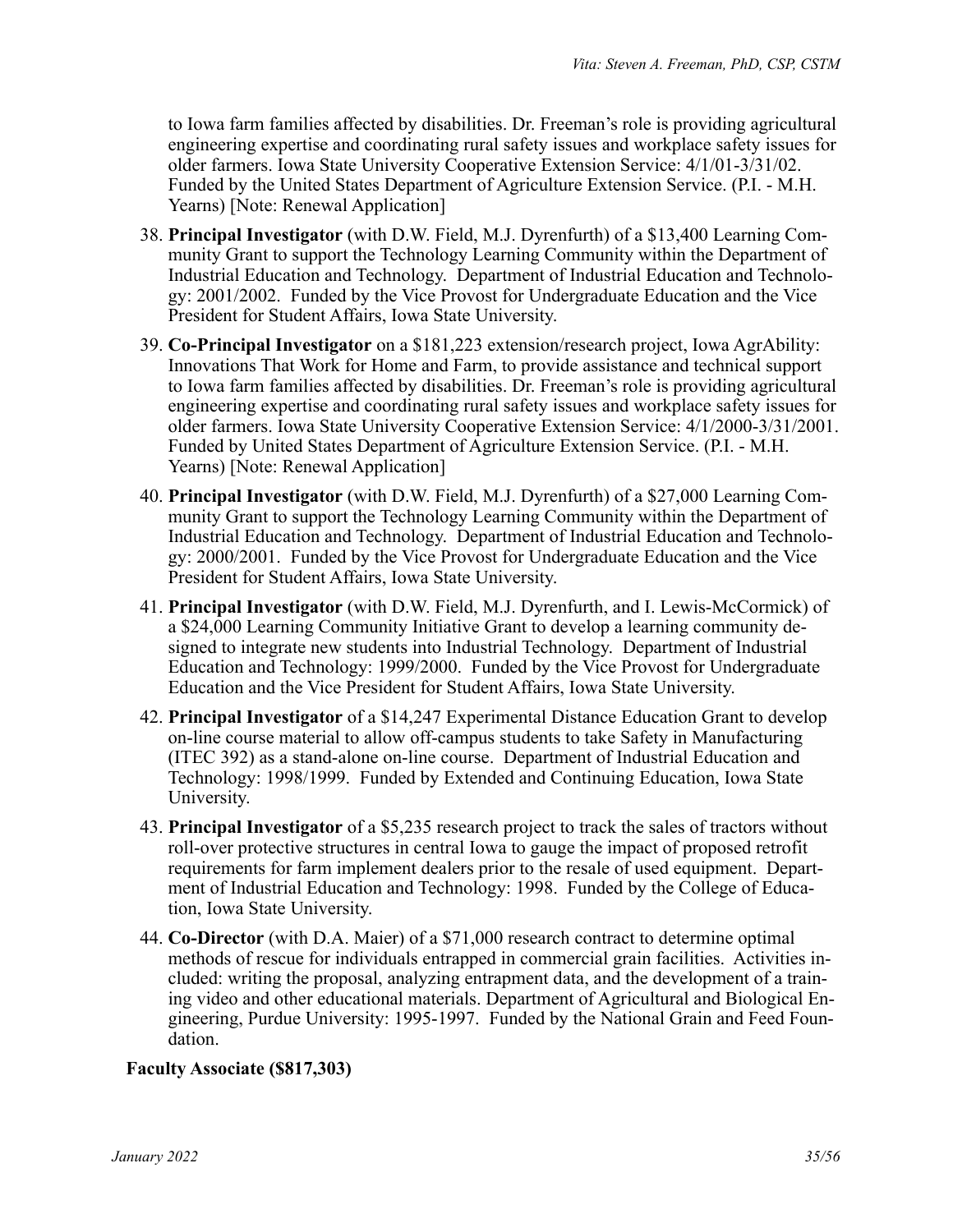to Iowa farm families affected by disabilities. Dr. Freeman's role is providing agricultural engineering expertise and coordinating rural safety issues and workplace safety issues for older farmers. Iowa State University Cooperative Extension Service: 4/1/01-3/31/02. Funded by the United States Department of Agriculture Extension Service. (P.I. - M.H. Yearns) [Note: Renewal Application]

- 38. **Principal Investigator** (with D.W. Field, M.J. Dyrenfurth) of a \$13,400 Learning Community Grant to support the Technology Learning Community within the Department of Industrial Education and Technology. Department of Industrial Education and Technology: 2001/2002. Funded by the Vice Provost for Undergraduate Education and the Vice President for Student Affairs, Iowa State University.
- 39. **Co-Principal Investigator** on a \$181,223 extension/research project, Iowa AgrAbility: Innovations That Work for Home and Farm, to provide assistance and technical support to Iowa farm families affected by disabilities. Dr. Freeman's role is providing agricultural engineering expertise and coordinating rural safety issues and workplace safety issues for older farmers. Iowa State University Cooperative Extension Service: 4/1/2000-3/31/2001. Funded by United States Department of Agriculture Extension Service. (P.I. - M.H. Yearns) [Note: Renewal Application]
- 40. **Principal Investigator** (with D.W. Field, M.J. Dyrenfurth) of a \$27,000 Learning Community Grant to support the Technology Learning Community within the Department of Industrial Education and Technology. Department of Industrial Education and Technology: 2000/2001. Funded by the Vice Provost for Undergraduate Education and the Vice President for Student Affairs, Iowa State University.
- 41. **Principal Investigator** (with D.W. Field, M.J. Dyrenfurth, and I. Lewis-McCormick) of a \$24,000 Learning Community Initiative Grant to develop a learning community designed to integrate new students into Industrial Technology. Department of Industrial Education and Technology: 1999/2000. Funded by the Vice Provost for Undergraduate Education and the Vice President for Student Affairs, Iowa State University.
- 42. **Principal Investigator** of a \$14,247 Experimental Distance Education Grant to develop on-line course material to allow off-campus students to take Safety in Manufacturing (ITEC 392) as a stand-alone on-line course. Department of Industrial Education and Technology: 1998/1999. Funded by Extended and Continuing Education, Iowa State University.
- 43. **Principal Investigator** of a \$5,235 research project to track the sales of tractors without roll-over protective structures in central Iowa to gauge the impact of proposed retrofit requirements for farm implement dealers prior to the resale of used equipment. Department of Industrial Education and Technology: 1998. Funded by the College of Education, Iowa State University.
- 44. **Co-Director** (with D.A. Maier) of a \$71,000 research contract to determine optimal methods of rescue for individuals entrapped in commercial grain facilities. Activities included: writing the proposal, analyzing entrapment data, and the development of a training video and other educational materials. Department of Agricultural and Biological Engineering, Purdue University: 1995-1997. Funded by the National Grain and Feed Foundation.

# **Faculty Associate (\$817,303)**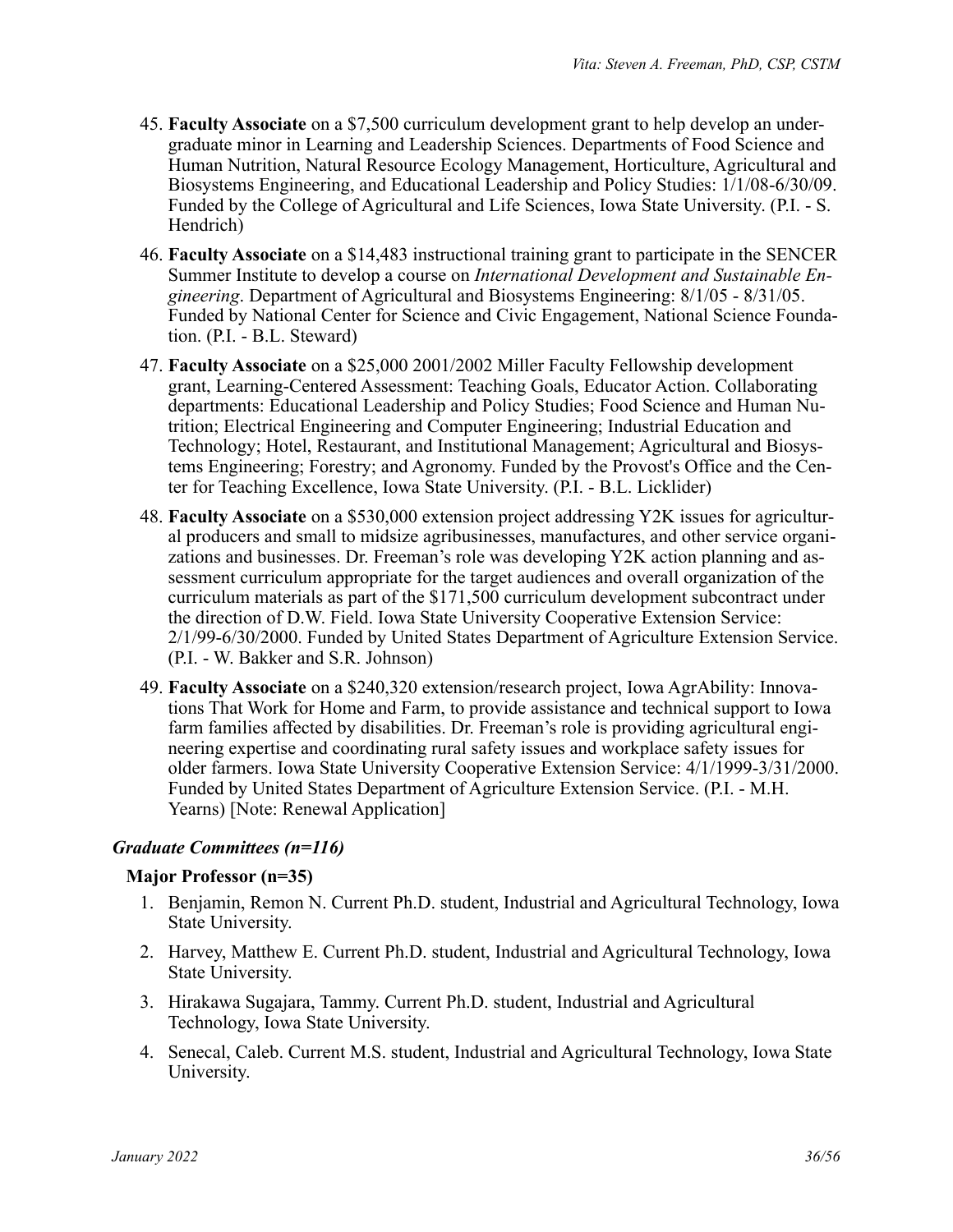- 45. **Faculty Associate** on a \$7,500 curriculum development grant to help develop an undergraduate minor in Learning and Leadership Sciences. Departments of Food Science and Human Nutrition, Natural Resource Ecology Management, Horticulture, Agricultural and Biosystems Engineering, and Educational Leadership and Policy Studies: 1/1/08-6/30/09. Funded by the College of Agricultural and Life Sciences, Iowa State University. (P.I. - S. Hendrich)
- 46. **Faculty Associate** on a \$14,483 instructional training grant to participate in the SENCER Summer Institute to develop a course on *International Development and Sustainable Engineering*. Department of Agricultural and Biosystems Engineering: 8/1/05 - 8/31/05. Funded by National Center for Science and Civic Engagement, National Science Foundation. (P.I. - B.L. Steward)
- 47. **Faculty Associate** on a \$25,000 2001/2002 Miller Faculty Fellowship development grant, Learning-Centered Assessment: Teaching Goals, Educator Action. Collaborating departments: Educational Leadership and Policy Studies; Food Science and Human Nutrition; Electrical Engineering and Computer Engineering; Industrial Education and Technology; Hotel, Restaurant, and Institutional Management; Agricultural and Biosystems Engineering; Forestry; and Agronomy. Funded by the Provost's Office and the Center for Teaching Excellence, Iowa State University. (P.I. - B.L. Licklider)
- 48. **Faculty Associate** on a \$530,000 extension project addressing Y2K issues for agricultural producers and small to midsize agribusinesses, manufactures, and other service organizations and businesses. Dr. Freeman's role was developing Y2K action planning and assessment curriculum appropriate for the target audiences and overall organization of the curriculum materials as part of the \$171,500 curriculum development subcontract under the direction of D.W. Field. Iowa State University Cooperative Extension Service: 2/1/99-6/30/2000. Funded by United States Department of Agriculture Extension Service. (P.I. - W. Bakker and S.R. Johnson)
- 49. **Faculty Associate** on a \$240,320 extension/research project, Iowa AgrAbility: Innovations That Work for Home and Farm, to provide assistance and technical support to Iowa farm families affected by disabilities. Dr. Freeman's role is providing agricultural engineering expertise and coordinating rural safety issues and workplace safety issues for older farmers. Iowa State University Cooperative Extension Service: 4/1/1999-3/31/2000. Funded by United States Department of Agriculture Extension Service. (P.I. - M.H. Yearns) [Note: Renewal Application]

# *Graduate Committees (n=116)*

#### **Major Professor (n=35)**

- 1. Benjamin, Remon N. Current Ph.D. student, Industrial and Agricultural Technology, Iowa State University.
- 2. Harvey, Matthew E. Current Ph.D. student, Industrial and Agricultural Technology, Iowa State University.
- 3. Hirakawa Sugajara, Tammy. Current Ph.D. student, Industrial and Agricultural Technology, Iowa State University.
- 4. Senecal, Caleb. Current M.S. student, Industrial and Agricultural Technology, Iowa State University.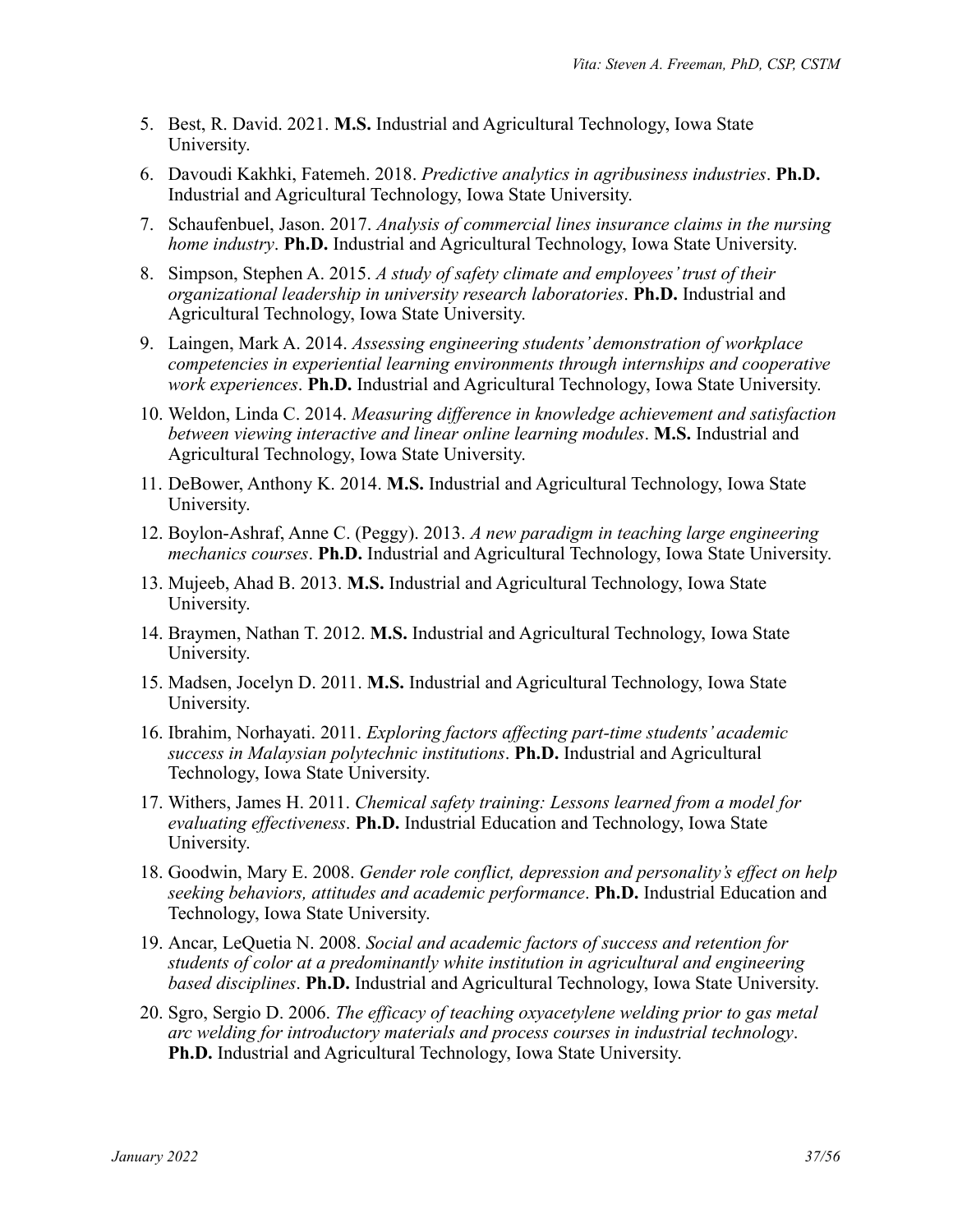- 5. Best, R. David. 2021. **M.S.** Industrial and Agricultural Technology, Iowa State University.
- 6. Davoudi Kakhki, Fatemeh. 2018. *Predictive analytics in agribusiness industries*. **Ph.D.** Industrial and Agricultural Technology, Iowa State University.
- 7. Schaufenbuel, Jason. 2017. *Analysis of commercial lines insurance claims in the nursing home industry*. **Ph.D.** Industrial and Agricultural Technology, Iowa State University.
- 8. Simpson, Stephen A. 2015. *A study of safety climate and employees' trust of their organizational leadership in university research laboratories*. **Ph.D.** Industrial and Agricultural Technology, Iowa State University.
- 9. Laingen, Mark A. 2014. *Assessing engineering students' demonstration of workplace competencies in experiential learning environments through internships and cooperative work experiences*. **Ph.D.** Industrial and Agricultural Technology, Iowa State University.
- 10. Weldon, Linda C. 2014. *Measuring difference in knowledge achievement and satisfaction between viewing interactive and linear online learning modules*. **M.S.** Industrial and Agricultural Technology, Iowa State University.
- 11. DeBower, Anthony K. 2014. **M.S.** Industrial and Agricultural Technology, Iowa State University.
- 12. Boylon-Ashraf, Anne C. (Peggy). 2013. *A new paradigm in teaching large engineering mechanics courses*. **Ph.D.** Industrial and Agricultural Technology, Iowa State University.
- 13. Mujeeb, Ahad B. 2013. **M.S.** Industrial and Agricultural Technology, Iowa State University.
- 14. Braymen, Nathan T. 2012. **M.S.** Industrial and Agricultural Technology, Iowa State University.
- 15. Madsen, Jocelyn D. 2011. **M.S.** Industrial and Agricultural Technology, Iowa State University.
- 16. Ibrahim, Norhayati. 2011. *Exploring factors affecting part-time students' academic success in Malaysian polytechnic institutions*. **Ph.D.** Industrial and Agricultural Technology, Iowa State University.
- 17. Withers, James H. 2011. *Chemical safety training: Lessons learned from a model for evaluating effectiveness*. **Ph.D.** Industrial Education and Technology, Iowa State University.
- 18. Goodwin, Mary E. 2008. *Gender role conflict, depression and personality's effect on help seeking behaviors, attitudes and academic performance*. **Ph.D.** Industrial Education and Technology, Iowa State University.
- 19. Ancar, LeQuetia N. 2008. *Social and academic factors of success and retention for students of color at a predominantly white institution in agricultural and engineering based disciplines*. **Ph.D.** Industrial and Agricultural Technology, Iowa State University.
- 20. Sgro, Sergio D. 2006. *The efficacy of teaching oxyacetylene welding prior to gas metal arc welding for introductory materials and process courses in industrial technology*. **Ph.D.** Industrial and Agricultural Technology, Iowa State University.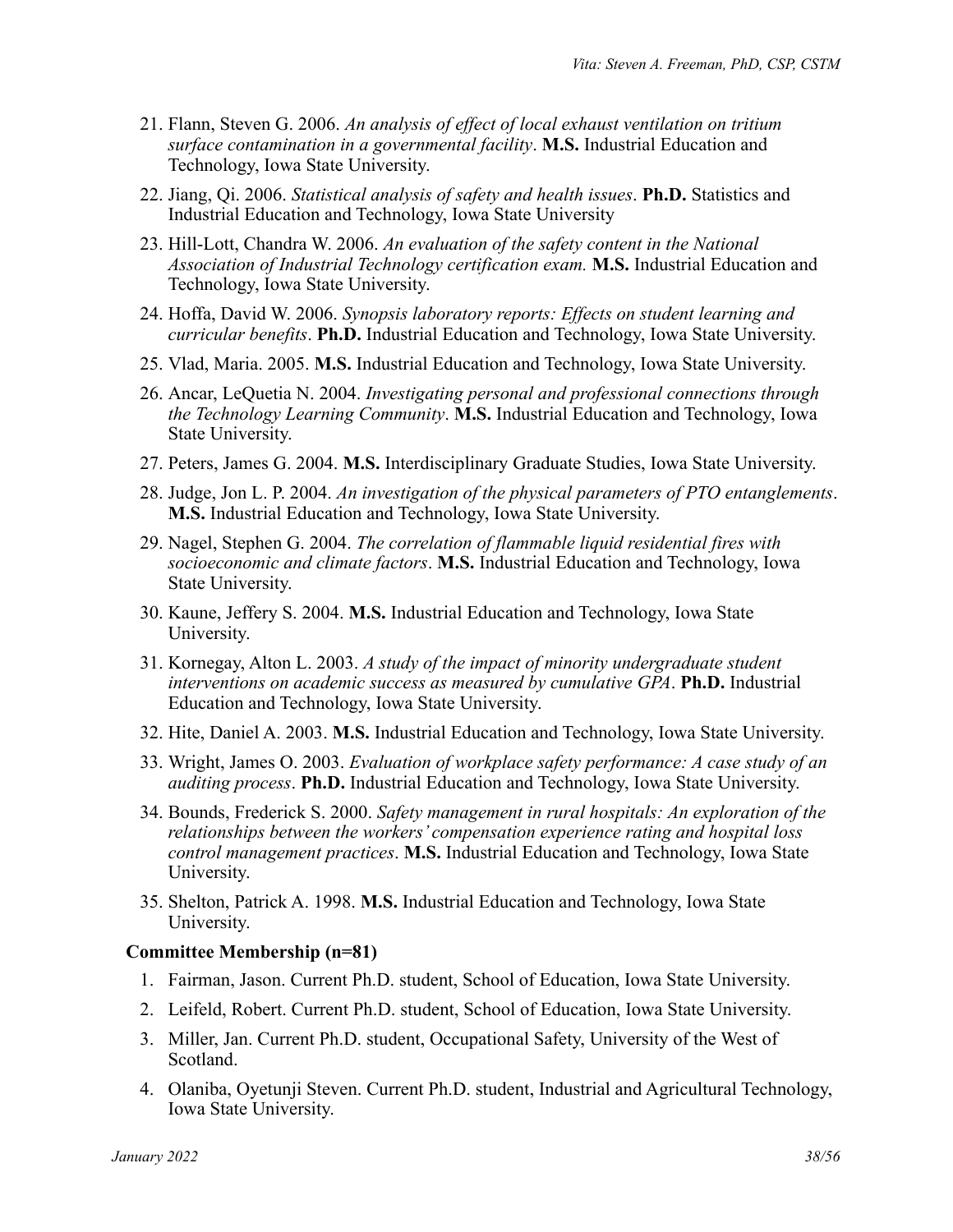- 21. Flann, Steven G. 2006. *An analysis of effect of local exhaust ventilation on tritium surface contamination in a governmental facility*. **M.S.** Industrial Education and Technology, Iowa State University.
- 22. Jiang, Qi. 2006. *Statistical analysis of safety and health issues*. **Ph.D.** Statistics and Industrial Education and Technology, Iowa State University
- 23. Hill-Lott, Chandra W. 2006. *An evaluation of the safety content in the National Association of Industrial Technology certification exam.* **M.S.** Industrial Education and Technology, Iowa State University.
- 24. Hoffa, David W. 2006. *Synopsis laboratory reports: Effects on student learning and curricular benefits*. **Ph.D.** Industrial Education and Technology, Iowa State University.
- 25. Vlad, Maria. 2005. **M.S.** Industrial Education and Technology, Iowa State University.
- 26. Ancar, LeQuetia N. 2004. *Investigating personal and professional connections through the Technology Learning Community*. **M.S.** Industrial Education and Technology, Iowa State University.
- 27. Peters, James G. 2004. **M.S.** Interdisciplinary Graduate Studies, Iowa State University.
- 28. Judge, Jon L. P. 2004. *An investigation of the physical parameters of PTO entanglements*. **M.S.** Industrial Education and Technology, Iowa State University.
- 29. Nagel, Stephen G. 2004. *The correlation of flammable liquid residential fires with socioeconomic and climate factors*. **M.S.** Industrial Education and Technology, Iowa State University.
- 30. Kaune, Jeffery S. 2004. **M.S.** Industrial Education and Technology, Iowa State University.
- 31. Kornegay, Alton L. 2003. *A study of the impact of minority undergraduate student interventions on academic success as measured by cumulative GPA*. **Ph.D.** Industrial Education and Technology, Iowa State University.
- 32. Hite, Daniel A. 2003. **M.S.** Industrial Education and Technology, Iowa State University.
- 33. Wright, James O. 2003. *Evaluation of workplace safety performance: A case study of an auditing process*. **Ph.D.** Industrial Education and Technology, Iowa State University.
- 34. Bounds, Frederick S. 2000. *Safety management in rural hospitals: An exploration of the relationships between the workers' compensation experience rating and hospital loss control management practices*. **M.S.** Industrial Education and Technology, Iowa State University.
- 35. Shelton, Patrick A. 1998. **M.S.** Industrial Education and Technology, Iowa State University.

#### **Committee Membership (n=81)**

- 1. Fairman, Jason. Current Ph.D. student, School of Education, Iowa State University.
- 2. Leifeld, Robert. Current Ph.D. student, School of Education, Iowa State University.
- 3. Miller, Jan. Current Ph.D. student, Occupational Safety, University of the West of Scotland.
- 4. Olaniba, Oyetunji Steven. Current Ph.D. student, Industrial and Agricultural Technology, Iowa State University.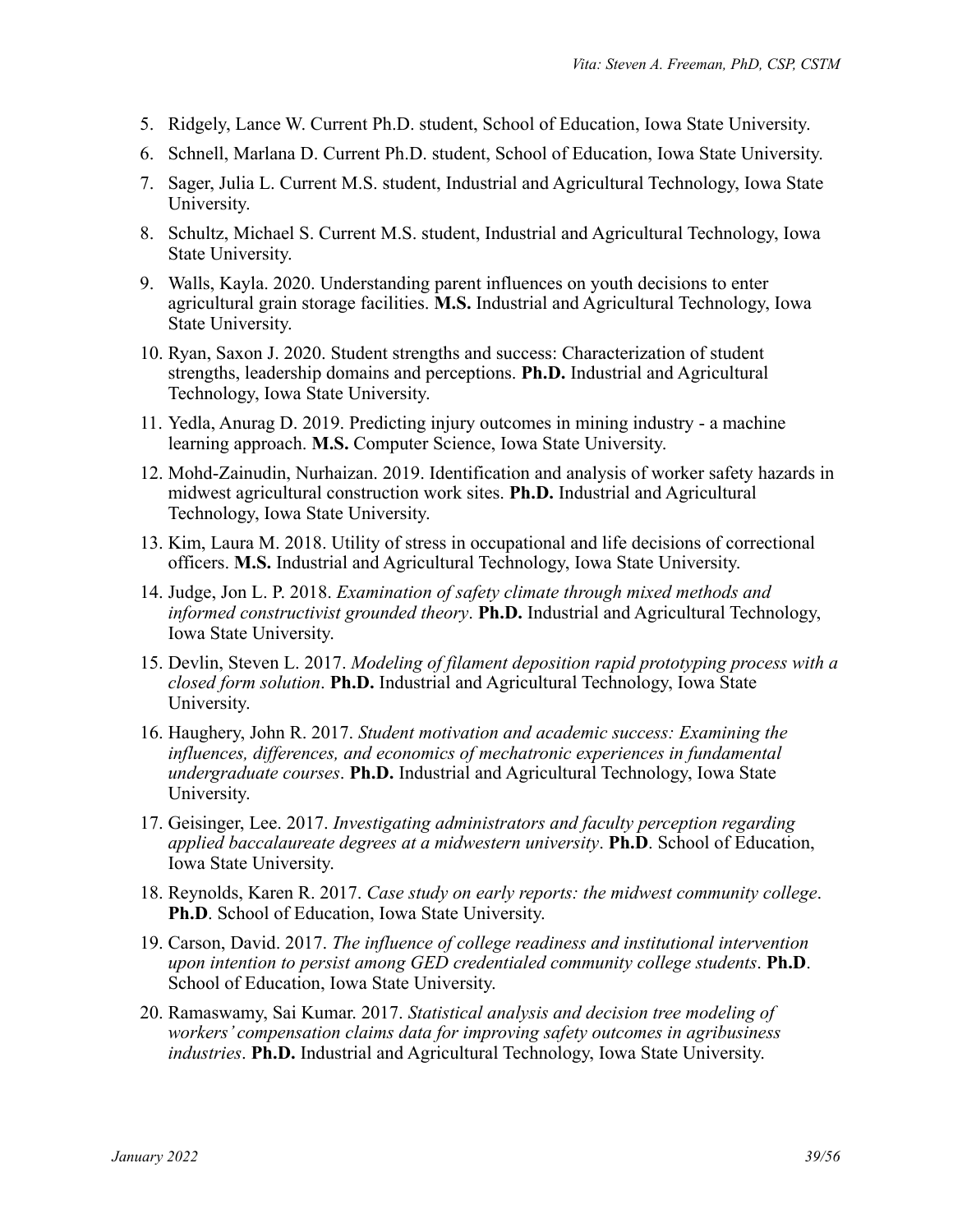- 5. Ridgely, Lance W. Current Ph.D. student, School of Education, Iowa State University.
- 6. Schnell, Marlana D. Current Ph.D. student, School of Education, Iowa State University.
- 7. Sager, Julia L. Current M.S. student, Industrial and Agricultural Technology, Iowa State University.
- 8. Schultz, Michael S. Current M.S. student, Industrial and Agricultural Technology, Iowa State University.
- 9. Walls, Kayla. 2020. Understanding parent influences on youth decisions to enter agricultural grain storage facilities. **M.S.** Industrial and Agricultural Technology, Iowa State University.
- 10. Ryan, Saxon J. 2020. Student strengths and success: Characterization of student strengths, leadership domains and perceptions. **Ph.D.** Industrial and Agricultural Technology, Iowa State University.
- 11. Yedla, Anurag D. 2019. Predicting injury outcomes in mining industry a machine learning approach. **M.S.** Computer Science, Iowa State University.
- 12. Mohd-Zainudin, Nurhaizan. 2019. Identification and analysis of worker safety hazards in midwest agricultural construction work sites. **Ph.D.** Industrial and Agricultural Technology, Iowa State University.
- 13. Kim, Laura M. 2018. Utility of stress in occupational and life decisions of correctional officers. **M.S.** Industrial and Agricultural Technology, Iowa State University.
- 14. Judge, Jon L. P. 2018. *Examination of safety climate through mixed methods and informed constructivist grounded theory*. **Ph.D.** Industrial and Agricultural Technology, Iowa State University.
- 15. Devlin, Steven L. 2017. *Modeling of filament deposition rapid prototyping process with a closed form solution*. **Ph.D.** Industrial and Agricultural Technology, Iowa State University.
- 16. Haughery, John R. 2017. *Student motivation and academic success: Examining the influences, differences, and economics of mechatronic experiences in fundamental undergraduate courses*. **Ph.D.** Industrial and Agricultural Technology, Iowa State University.
- 17. Geisinger, Lee. 2017. *Investigating administrators and faculty perception regarding applied baccalaureate degrees at a midwestern university*. **Ph.D**. School of Education, Iowa State University.
- 18. Reynolds, Karen R. 2017. *Case study on early reports: the midwest community college*. **Ph.D**. School of Education, Iowa State University.
- 19. Carson, David. 2017. *The influence of college readiness and institutional intervention upon intention to persist among GED credentialed community college students*. **Ph.D**. School of Education, Iowa State University.
- 20. Ramaswamy, Sai Kumar. 2017. *Statistical analysis and decision tree modeling of workers' compensation claims data for improving safety outcomes in agribusiness industries*. **Ph.D.** Industrial and Agricultural Technology, Iowa State University.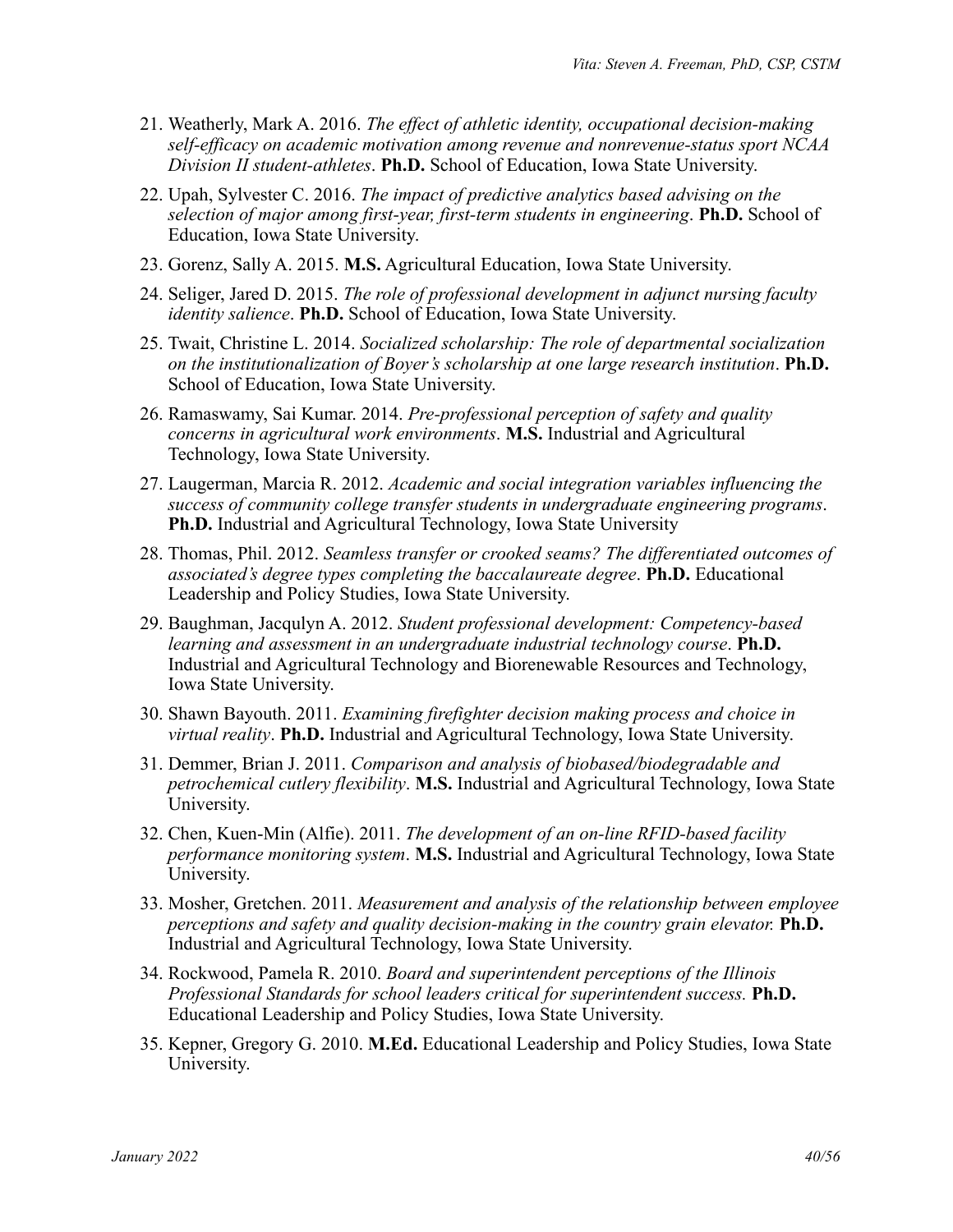- 21. Weatherly, Mark A. 2016. *The effect of athletic identity, occupational decision-making self-efficacy on academic motivation among revenue and nonrevenue-status sport NCAA Division II student-athletes*. **Ph.D.** School of Education, Iowa State University.
- 22. Upah, Sylvester C. 2016. *The impact of predictive analytics based advising on the selection of major among first-year, first-term students in engineering*. **Ph.D.** School of Education, Iowa State University.
- 23. Gorenz, Sally A. 2015. **M.S.** Agricultural Education, Iowa State University.
- 24. Seliger, Jared D. 2015. *The role of professional development in adjunct nursing faculty identity salience*. **Ph.D.** School of Education, Iowa State University.
- 25. Twait, Christine L. 2014. *Socialized scholarship: The role of departmental socialization on the institutionalization of Boyer's scholarship at one large research institution*. **Ph.D.** School of Education, Iowa State University.
- 26. Ramaswamy, Sai Kumar. 2014. *Pre-professional perception of safety and quality concerns in agricultural work environments*. **M.S.** Industrial and Agricultural Technology, Iowa State University.
- 27. Laugerman, Marcia R. 2012. *Academic and social integration variables influencing the success of community college transfer students in undergraduate engineering programs*. **Ph.D.** Industrial and Agricultural Technology, Iowa State University
- 28. Thomas, Phil. 2012. *Seamless transfer or crooked seams? The differentiated outcomes of associated's degree types completing the baccalaureate degree*. **Ph.D.** Educational Leadership and Policy Studies, Iowa State University.
- 29. Baughman, Jacqulyn A. 2012. *Student professional development: Competency-based learning and assessment in an undergraduate industrial technology course*. **Ph.D.** Industrial and Agricultural Technology and Biorenewable Resources and Technology, Iowa State University.
- 30. Shawn Bayouth. 2011. *Examining firefighter decision making process and choice in virtual reality*. **Ph.D.** Industrial and Agricultural Technology, Iowa State University.
- 31. Demmer, Brian J. 2011. *Comparison and analysis of biobased/biodegradable and petrochemical cutlery flexibility*. **M.S.** Industrial and Agricultural Technology, Iowa State University.
- 32. Chen, Kuen-Min (Alfie). 2011. *The development of an on-line RFID-based facility performance monitoring system*. **M.S.** Industrial and Agricultural Technology, Iowa State University.
- 33. Mosher, Gretchen. 2011. *Measurement and analysis of the relationship between employee perceptions and safety and quality decision-making in the country grain elevator.* **Ph.D.** Industrial and Agricultural Technology, Iowa State University.
- 34. Rockwood, Pamela R. 2010. *Board and superintendent perceptions of the Illinois Professional Standards for school leaders critical for superintendent success.* **Ph.D.** Educational Leadership and Policy Studies, Iowa State University.
- 35. Kepner, Gregory G. 2010. **M.Ed.** Educational Leadership and Policy Studies, Iowa State University.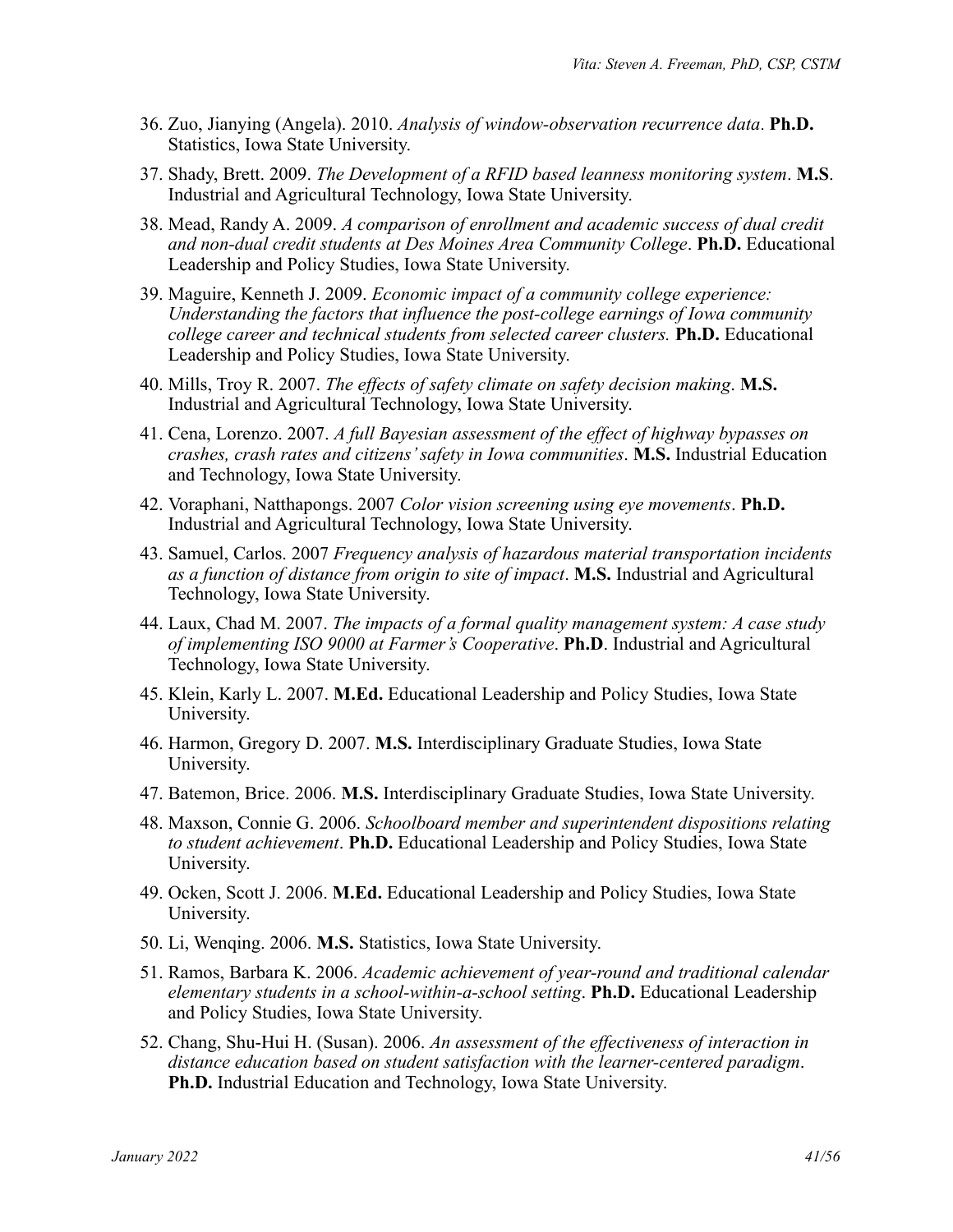- 36. Zuo, Jianying (Angela). 2010. *Analysis of window-observation recurrence data*. **Ph.D.** Statistics, Iowa State University.
- 37. Shady, Brett. 2009. *The Development of a RFID based leanness monitoring system*. **M.S**. Industrial and Agricultural Technology, Iowa State University.
- 38. Mead, Randy A. 2009. *A comparison of enrollment and academic success of dual credit and non-dual credit students at Des Moines Area Community College*. **Ph.D.** Educational Leadership and Policy Studies, Iowa State University.
- 39. Maguire, Kenneth J. 2009. *Economic impact of a community college experience: Understanding the factors that influence the post-college earnings of Iowa community college career and technical students from selected career clusters.* **Ph.D.** Educational Leadership and Policy Studies, Iowa State University.
- 40. Mills, Troy R. 2007. *The effects of safety climate on safety decision making*. **M.S.** Industrial and Agricultural Technology, Iowa State University.
- 41. Cena, Lorenzo. 2007. *A full Bayesian assessment of the effect of highway bypasses on crashes, crash rates and citizens' safety in Iowa communities*. **M.S.** Industrial Education and Technology, Iowa State University.
- 42. Voraphani, Natthapongs. 2007 *Color vision screening using eye movements*. **Ph.D.** Industrial and Agricultural Technology, Iowa State University.
- 43. Samuel, Carlos. 2007 *Frequency analysis of hazardous material transportation incidents as a function of distance from origin to site of impact*. **M.S.** Industrial and Agricultural Technology, Iowa State University.
- 44. Laux, Chad M. 2007. *The impacts of a formal quality management system: A case study of implementing ISO 9000 at Farmer's Cooperative*. **Ph.D**. Industrial and Agricultural Technology, Iowa State University.
- 45. Klein, Karly L. 2007. **M.Ed.** Educational Leadership and Policy Studies, Iowa State University.
- 46. Harmon, Gregory D. 2007. **M.S.** Interdisciplinary Graduate Studies, Iowa State University.
- 47. Batemon, Brice. 2006. **M.S.** Interdisciplinary Graduate Studies, Iowa State University.
- 48. Maxson, Connie G. 2006. *Schoolboard member and superintendent dispositions relating to student achievement*. **Ph.D.** Educational Leadership and Policy Studies, Iowa State University.
- 49. Ocken, Scott J. 2006. **M.Ed.** Educational Leadership and Policy Studies, Iowa State University.
- 50. Li, Wenqing. 2006. **M.S.** Statistics, Iowa State University.
- 51. Ramos, Barbara K. 2006. *Academic achievement of year-round and traditional calendar elementary students in a school-within-a-school setting*. **Ph.D.** Educational Leadership and Policy Studies, Iowa State University.
- 52. Chang, Shu-Hui H. (Susan). 2006. *An assessment of the effectiveness of interaction in distance education based on student satisfaction with the learner-centered paradigm*. **Ph.D.** Industrial Education and Technology, Iowa State University.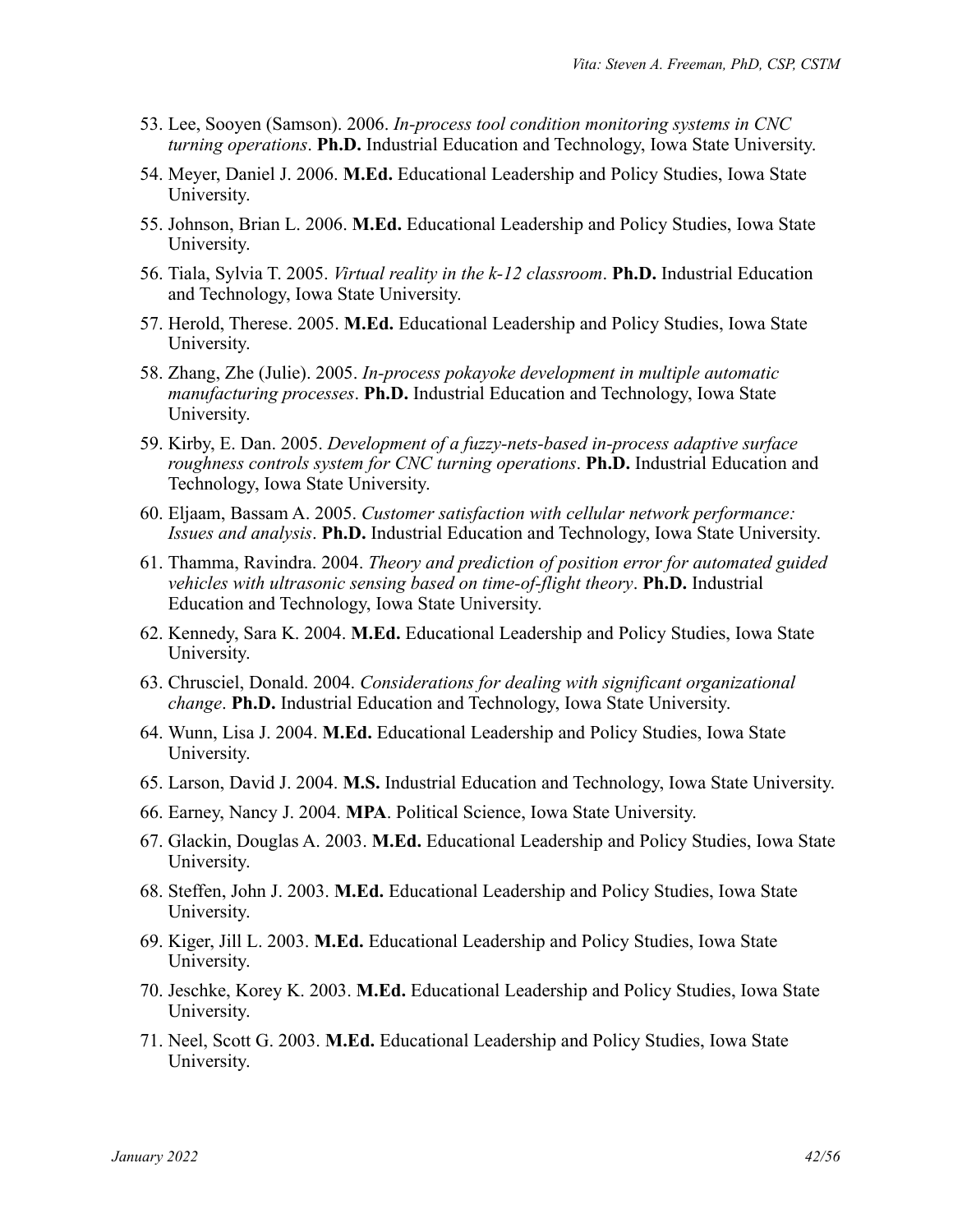- 53. Lee, Sooyen (Samson). 2006. *In-process tool condition monitoring systems in CNC turning operations*. **Ph.D.** Industrial Education and Technology, Iowa State University.
- 54. Meyer, Daniel J. 2006. **M.Ed.** Educational Leadership and Policy Studies, Iowa State University.
- 55. Johnson, Brian L. 2006. **M.Ed.** Educational Leadership and Policy Studies, Iowa State University.
- 56. Tiala, Sylvia T. 2005. *Virtual reality in the k-12 classroom*. **Ph.D.** Industrial Education and Technology, Iowa State University.
- 57. Herold, Therese. 2005. **M.Ed.** Educational Leadership and Policy Studies, Iowa State University.
- 58. Zhang, Zhe (Julie). 2005. *In-process pokayoke development in multiple automatic manufacturing processes*. **Ph.D.** Industrial Education and Technology, Iowa State University.
- 59. Kirby, E. Dan. 2005. *Development of a fuzzy-nets-based in-process adaptive surface roughness controls system for CNC turning operations*. **Ph.D.** Industrial Education and Technology, Iowa State University.
- 60. Eljaam, Bassam A. 2005. *Customer satisfaction with cellular network performance: Issues and analysis*. **Ph.D.** Industrial Education and Technology, Iowa State University.
- 61. Thamma, Ravindra. 2004. *Theory and prediction of position error for automated guided vehicles with ultrasonic sensing based on time-of-flight theory*. **Ph.D.** Industrial Education and Technology, Iowa State University.
- 62. Kennedy, Sara K. 2004. **M.Ed.** Educational Leadership and Policy Studies, Iowa State University.
- 63. Chrusciel, Donald. 2004. *Considerations for dealing with significant organizational change*. **Ph.D.** Industrial Education and Technology, Iowa State University.
- 64. Wunn, Lisa J. 2004. **M.Ed.** Educational Leadership and Policy Studies, Iowa State University.
- 65. Larson, David J. 2004. **M.S.** Industrial Education and Technology, Iowa State University.
- 66. Earney, Nancy J. 2004. **MPA**. Political Science, Iowa State University.
- 67. Glackin, Douglas A. 2003. **M.Ed.** Educational Leadership and Policy Studies, Iowa State University.
- 68. Steffen, John J. 2003. **M.Ed.** Educational Leadership and Policy Studies, Iowa State University.
- 69. Kiger, Jill L. 2003. **M.Ed.** Educational Leadership and Policy Studies, Iowa State University.
- 70. Jeschke, Korey K. 2003. **M.Ed.** Educational Leadership and Policy Studies, Iowa State University.
- 71. Neel, Scott G. 2003. **M.Ed.** Educational Leadership and Policy Studies, Iowa State University.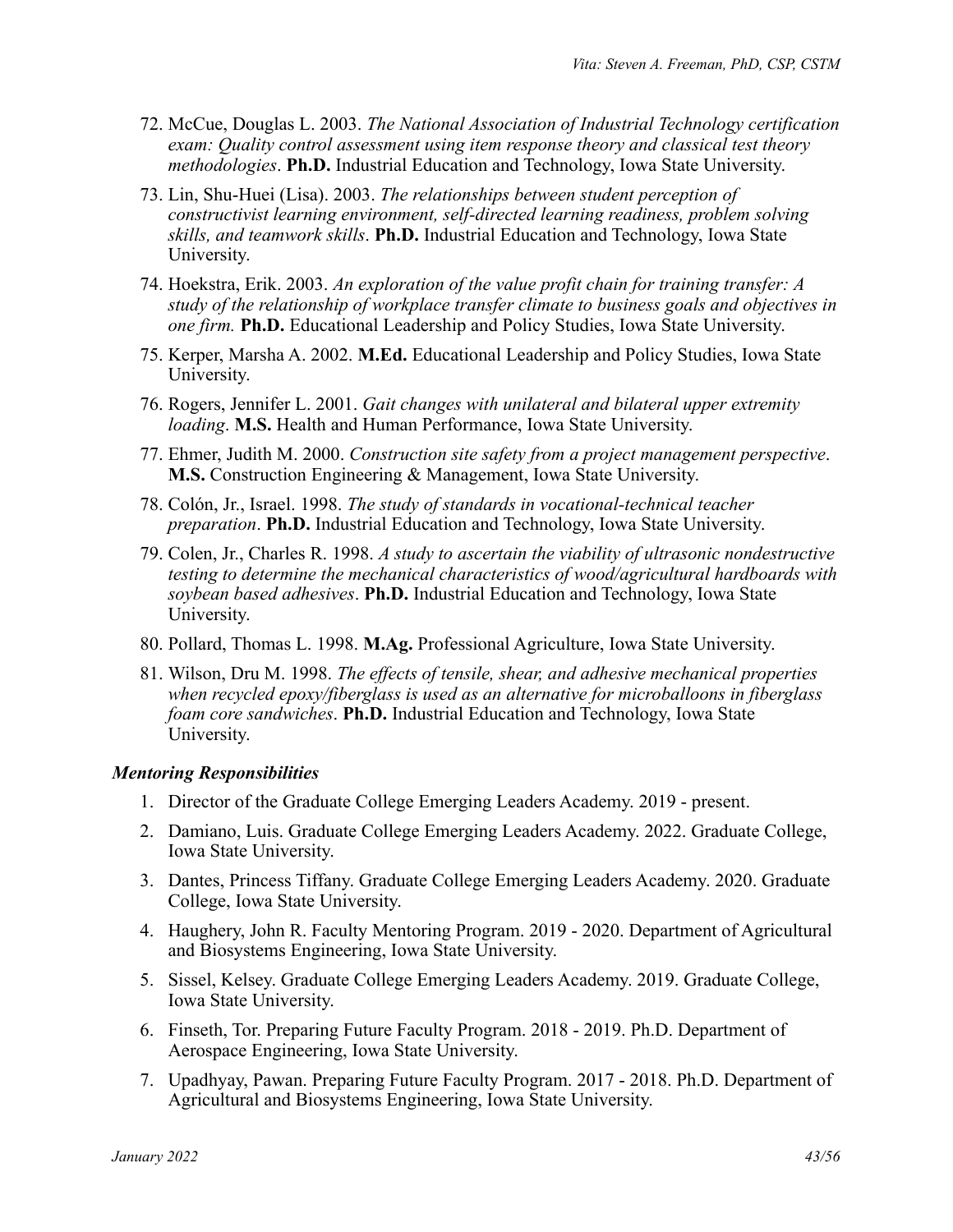- 72. McCue, Douglas L. 2003. *The National Association of Industrial Technology certification exam: Quality control assessment using item response theory and classical test theory methodologies*. **Ph.D.** Industrial Education and Technology, Iowa State University.
- 73. Lin, Shu-Huei (Lisa). 2003. *The relationships between student perception of constructivist learning environment, self-directed learning readiness, problem solving skills, and teamwork skills*. **Ph.D.** Industrial Education and Technology, Iowa State University.
- 74. Hoekstra, Erik. 2003. *An exploration of the value profit chain for training transfer: A study of the relationship of workplace transfer climate to business goals and objectives in one firm.* **Ph.D.** Educational Leadership and Policy Studies, Iowa State University.
- 75. Kerper, Marsha A. 2002. **M.Ed.** Educational Leadership and Policy Studies, Iowa State University.
- 76. Rogers, Jennifer L. 2001. *Gait changes with unilateral and bilateral upper extremity loading*. **M.S.** Health and Human Performance, Iowa State University.
- 77. Ehmer, Judith M. 2000. *Construction site safety from a project management perspective*. **M.S.** Construction Engineering & Management, Iowa State University.
- 78. Colón, Jr., Israel. 1998. *The study of standards in vocational-technical teacher preparation*. **Ph.D.** Industrial Education and Technology, Iowa State University.
- 79. Colen, Jr., Charles R. 1998. *A study to ascertain the viability of ultrasonic nondestructive testing to determine the mechanical characteristics of wood/agricultural hardboards with soybean based adhesives*. **Ph.D.** Industrial Education and Technology, Iowa State University.
- 80. Pollard, Thomas L. 1998. **M.Ag.** Professional Agriculture, Iowa State University.
- 81. Wilson, Dru M. 1998. *The effects of tensile, shear, and adhesive mechanical properties when recycled epoxy/fiberglass is used as an alternative for microballoons in fiberglass foam core sandwiches*. **Ph.D.** Industrial Education and Technology, Iowa State University.

# *Mentoring Responsibilities*

- 1. Director of the Graduate College Emerging Leaders Academy. 2019 present.
- 2. Damiano, Luis. Graduate College Emerging Leaders Academy. 2022. Graduate College, Iowa State University.
- 3. Dantes, Princess Tiffany. Graduate College Emerging Leaders Academy. 2020. Graduate College, Iowa State University.
- 4. Haughery, John R. Faculty Mentoring Program. 2019 2020. Department of Agricultural and Biosystems Engineering, Iowa State University.
- 5. Sissel, Kelsey. Graduate College Emerging Leaders Academy. 2019. Graduate College, Iowa State University.
- 6. Finseth, Tor. Preparing Future Faculty Program. 2018 2019. Ph.D. Department of Aerospace Engineering, Iowa State University.
- 7. Upadhyay, Pawan. Preparing Future Faculty Program. 2017 2018. Ph.D. Department of Agricultural and Biosystems Engineering, Iowa State University.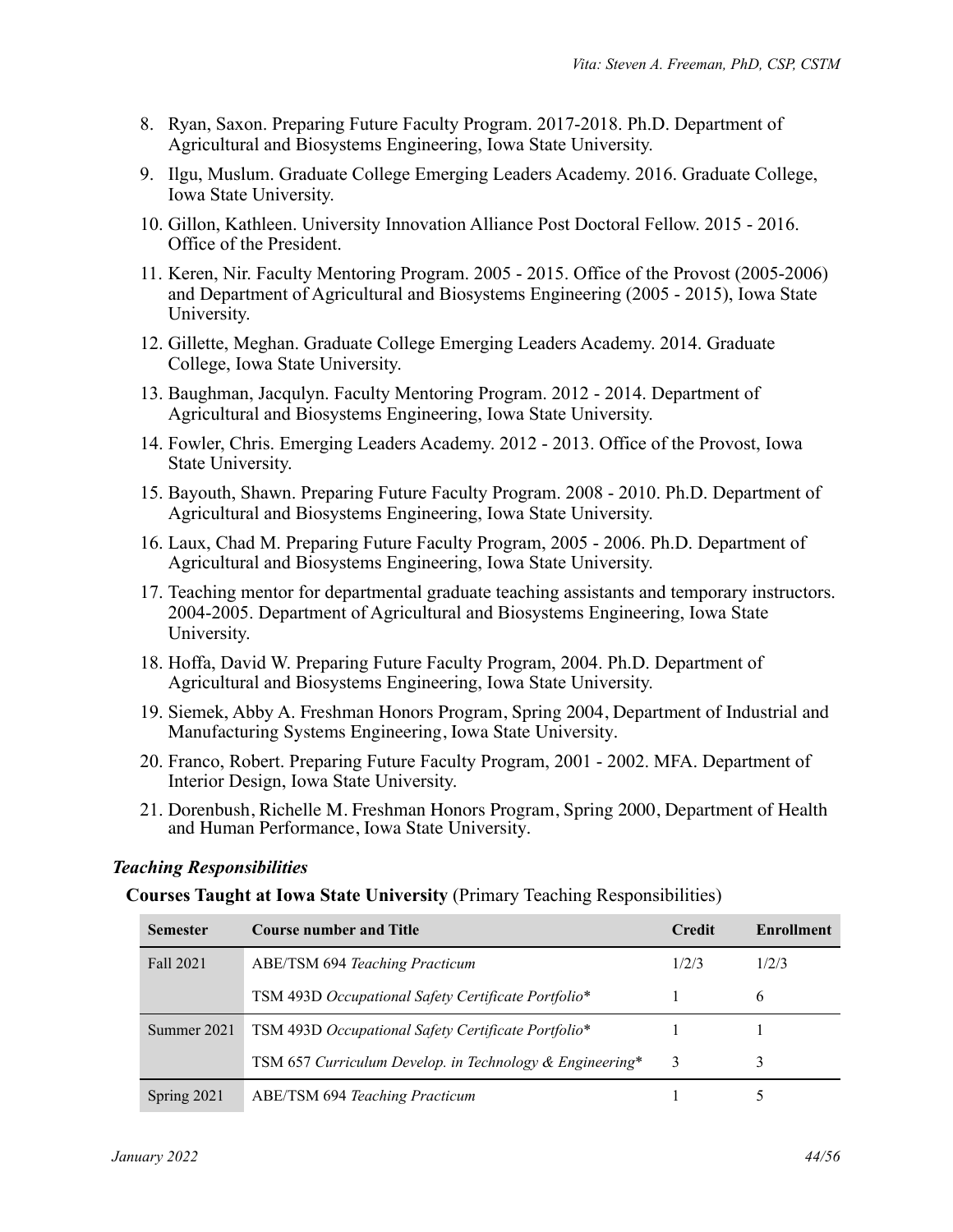- 8. Ryan, Saxon. Preparing Future Faculty Program. 2017-2018. Ph.D. Department of Agricultural and Biosystems Engineering, Iowa State University.
- 9. Ilgu, Muslum. Graduate College Emerging Leaders Academy. 2016. Graduate College, Iowa State University.
- 10. Gillon, Kathleen. University Innovation Alliance Post Doctoral Fellow. 2015 2016. Office of the President.
- 11. Keren, Nir. Faculty Mentoring Program. 2005 2015. Office of the Provost (2005-2006) and Department of Agricultural and Biosystems Engineering (2005 - 2015), Iowa State University.
- 12. Gillette, Meghan. Graduate College Emerging Leaders Academy. 2014. Graduate College, Iowa State University.
- 13. Baughman, Jacqulyn. Faculty Mentoring Program. 2012 2014. Department of Agricultural and Biosystems Engineering, Iowa State University.
- 14. Fowler, Chris. Emerging Leaders Academy. 2012 2013. Office of the Provost, Iowa State University.
- 15. Bayouth, Shawn. Preparing Future Faculty Program. 2008 2010. Ph.D. Department of Agricultural and Biosystems Engineering, Iowa State University.
- 16. Laux, Chad M. Preparing Future Faculty Program, 2005 2006. Ph.D. Department of Agricultural and Biosystems Engineering, Iowa State University.
- 17. Teaching mentor for departmental graduate teaching assistants and temporary instructors. 2004-2005. Department of Agricultural and Biosystems Engineering, Iowa State University.
- 18. Hoffa, David W. Preparing Future Faculty Program, 2004. Ph.D. Department of Agricultural and Biosystems Engineering, Iowa State University.
- 19. Siemek, Abby A. Freshman Honors Program, Spring 2004, Department of Industrial and Manufacturing Systems Engineering, Iowa State University.
- 20. Franco, Robert. Preparing Future Faculty Program, 2001 2002. MFA. Department of Interior Design, Iowa State University.
- 21. Dorenbush, Richelle M. Freshman Honors Program, Spring 2000, Department of Health and Human Performance, Iowa State University.

# *Teaching Responsibilities*

**Courses Taught at Iowa State University** (Primary Teaching Responsibilities)

| <b>Semester</b> | <b>Course number and Title</b>                           | <b>Credit</b> | Enrollment |
|-----------------|----------------------------------------------------------|---------------|------------|
| Fall 2021       | <b>ABE/TSM 694 Teaching Practicum</b>                    | 1/2/3         | 1/2/3      |
|                 | TSM 493D Occupational Safety Certificate Portfolio*      |               | 6          |
| Summer 2021     | TSM 493D Occupational Safety Certificate Portfolio*      |               |            |
|                 | TSM 657 Curriculum Develop. in Technology & Engineering* | 3             |            |
| Spring 2021     | <b>ABE/TSM 694 Teaching Practicum</b>                    |               |            |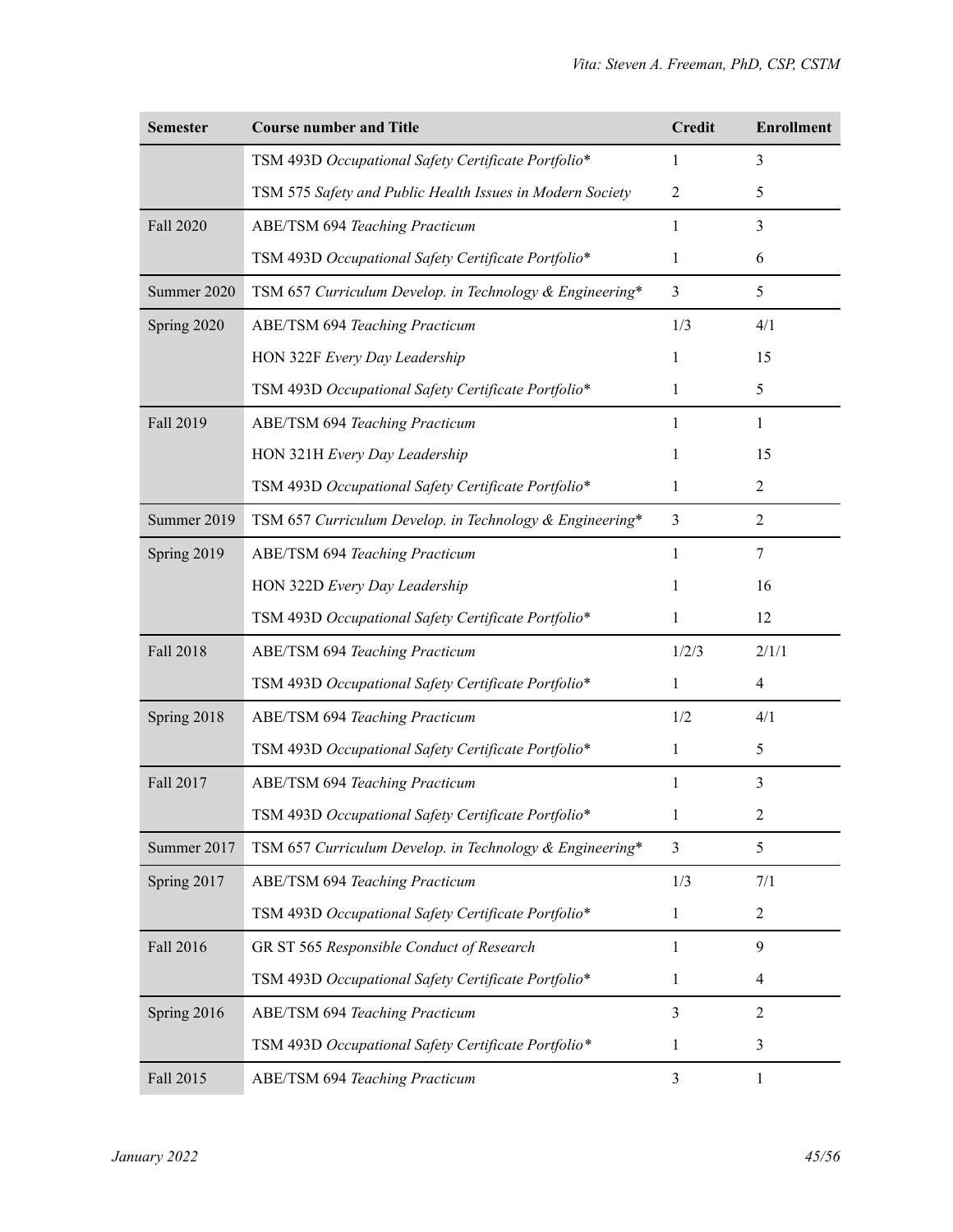| <b>Semester</b>  | <b>Course number and Title</b>                            | <b>Credit</b>  | <b>Enrollment</b> |
|------------------|-----------------------------------------------------------|----------------|-------------------|
|                  | TSM 493D Occupational Safety Certificate Portfolio*       | 1              | 3                 |
|                  | TSM 575 Safety and Public Health Issues in Modern Society | $\overline{2}$ | 5                 |
| Fall 2020        | <b>ABE/TSM 694 Teaching Practicum</b>                     | 1              | 3                 |
|                  | TSM 493D Occupational Safety Certificate Portfolio*       | 1              | 6                 |
| Summer 2020      | TSM 657 Curriculum Develop. in Technology & Engineering*  | $\overline{3}$ | 5                 |
| Spring 2020      | ABE/TSM 694 Teaching Practicum                            | 1/3            | 4/1               |
|                  | HON 322F Every Day Leadership                             | 1              | 15                |
|                  | TSM 493D Occupational Safety Certificate Portfolio*       | 1              | 5                 |
| Fall 2019        | <b>ABE/TSM 694 Teaching Practicum</b>                     | 1              | 1                 |
|                  | HON 321H Every Day Leadership                             | 1              | 15                |
|                  | TSM 493D Occupational Safety Certificate Portfolio*       | 1              | 2                 |
| Summer 2019      | TSM 657 Curriculum Develop. in Technology & Engineering*  | 3              | $\overline{2}$    |
| Spring 2019      | ABE/TSM 694 Teaching Practicum                            | 1              | 7                 |
|                  | HON 322D Every Day Leadership                             | 1              | 16                |
|                  | TSM 493D Occupational Safety Certificate Portfolio*       | 1              | 12                |
| <b>Fall 2018</b> | ABE/TSM 694 Teaching Practicum                            | 1/2/3          | 2/1/1             |
|                  | TSM 493D Occupational Safety Certificate Portfolio*       | 1              | 4                 |
| Spring 2018      | ABE/TSM 694 Teaching Practicum                            | 1/2            | 4/1               |
|                  | TSM 493D Occupational Safety Certificate Portfolio*       | 1              | 5                 |
| Fall 2017        | <b>ABE/TSM 694 Teaching Practicum</b>                     | 1              | 3                 |
|                  | TSM 493D Occupational Safety Certificate Portfolio*       | 1              | 2                 |
| Summer 2017      | TSM 657 Curriculum Develop. in Technology & Engineering*  | 3              | 5                 |
| Spring 2017      | <b>ABE/TSM 694 Teaching Practicum</b>                     | 1/3            | 7/1               |
|                  | TSM 493D Occupational Safety Certificate Portfolio*       | 1              | 2                 |
| Fall 2016        | GR ST 565 Responsible Conduct of Research                 | 1              | 9                 |
|                  | TSM 493D Occupational Safety Certificate Portfolio*       | 1              | 4                 |
| Spring 2016      | <b>ABE/TSM 694 Teaching Practicum</b>                     | 3              | $\overline{2}$    |
|                  | TSM 493D Occupational Safety Certificate Portfolio*       | 1              | 3                 |
| Fall 2015        | <b>ABE/TSM 694 Teaching Practicum</b>                     | 3              | $\mathbf{1}$      |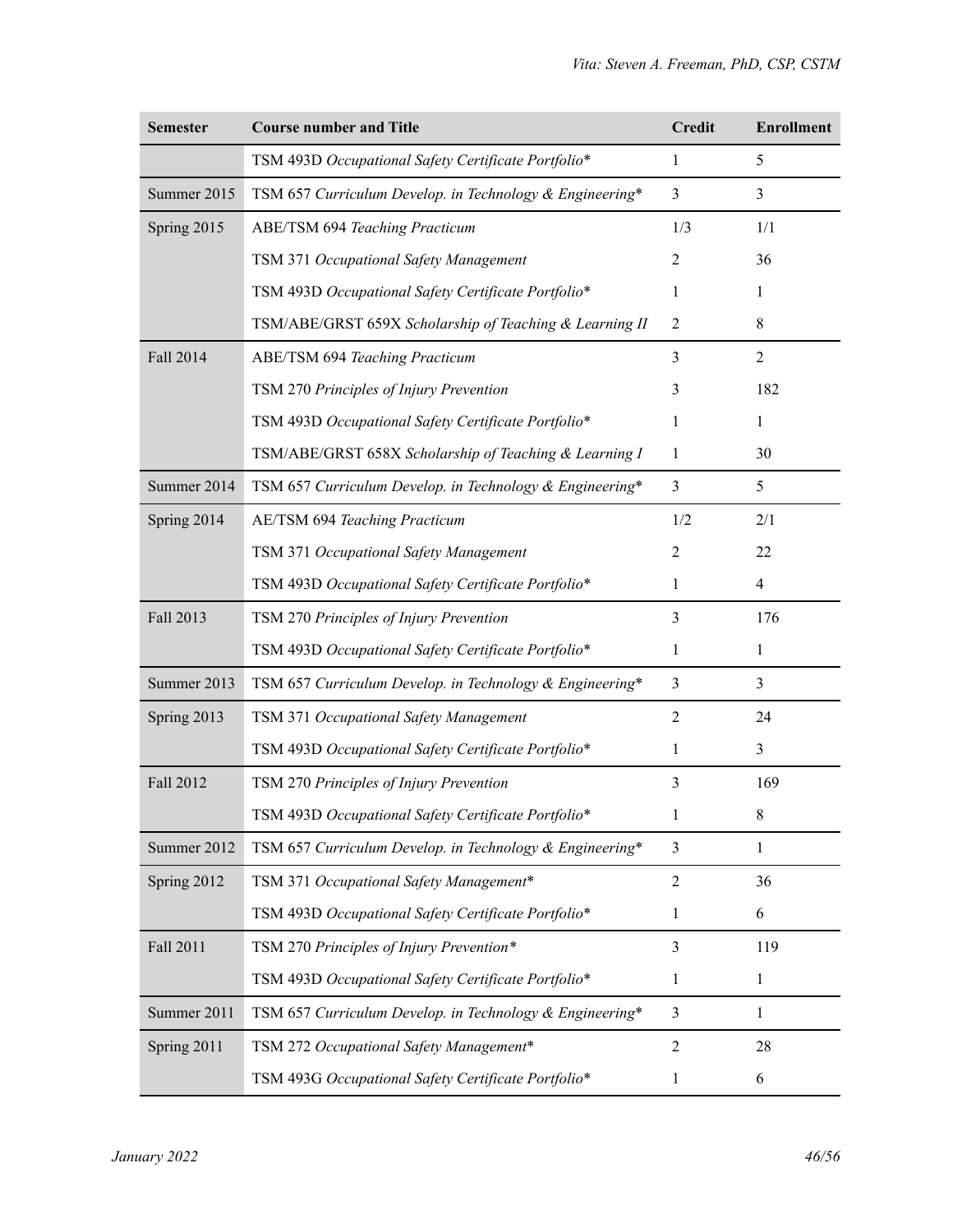| <b>Semester</b>  | <b>Course number and Title</b>                           | <b>Credit</b>  | <b>Enrollment</b> |
|------------------|----------------------------------------------------------|----------------|-------------------|
|                  | TSM 493D Occupational Safety Certificate Portfolio*      | 1              | 5                 |
| Summer 2015      | TSM 657 Curriculum Develop. in Technology & Engineering* | 3              | 3                 |
| Spring 2015      | ABE/TSM 694 Teaching Practicum                           | 1/3            | 1/1               |
|                  | TSM 371 Occupational Safety Management                   | $\overline{2}$ | 36                |
|                  | TSM 493D Occupational Safety Certificate Portfolio*      | T              | 1                 |
|                  | TSM/ABE/GRST 659X Scholarship of Teaching & Learning II  | $\overline{2}$ | $\,$ 8 $\,$       |
| <b>Fall 2014</b> | ABE/TSM 694 Teaching Practicum                           | 3              | $\overline{2}$    |
|                  | TSM 270 Principles of Injury Prevention                  | 3              | 182               |
|                  | TSM 493D Occupational Safety Certificate Portfolio*      | 1              | 1                 |
|                  | TSM/ABE/GRST 658X Scholarship of Teaching & Learning I   | 1              | 30                |
| Summer 2014      | TSM 657 Curriculum Develop. in Technology & Engineering* | $\mathfrak{Z}$ | 5                 |
| Spring 2014      | AE/TSM 694 Teaching Practicum                            | 1/2            | 2/1               |
|                  | TSM 371 Occupational Safety Management                   | 2              | 22                |
|                  | TSM 493D Occupational Safety Certificate Portfolio*      | 1              | 4                 |
| <b>Fall 2013</b> | TSM 270 Principles of Injury Prevention                  | 3              | 176               |
|                  | TSM 493D Occupational Safety Certificate Portfolio*      | 1              | 1                 |
| Summer 2013      | TSM 657 Curriculum Develop. in Technology & Engineering* | 3              | 3                 |
| Spring 2013      | TSM 371 Occupational Safety Management                   | $\overline{2}$ | 24                |
|                  | TSM 493D Occupational Safety Certificate Portfolio*      | 1              | 3                 |
| <b>Fall 2012</b> | TSM 270 Principles of Injury Prevention                  | 3              | 169               |
|                  | TSM 493D Occupational Safety Certificate Portfolio*      |                | 8                 |
| Summer 2012      | TSM 657 Curriculum Develop. in Technology & Engineering* | 3              | 1                 |
| Spring 2012      | TSM 371 Occupational Safety Management*                  | $\overline{2}$ | 36                |
|                  | TSM 493D Occupational Safety Certificate Portfolio*      | 1              | 6                 |
| Fall 2011        | TSM 270 Principles of Injury Prevention*                 | 3              | 119               |
|                  | TSM 493D Occupational Safety Certificate Portfolio*      | 1              | 1                 |
| Summer 2011      | TSM 657 Curriculum Develop. in Technology & Engineering* | 3              | 1                 |
| Spring 2011      | TSM 272 Occupational Safety Management*                  | $\overline{2}$ | 28                |
|                  | TSM 493G Occupational Safety Certificate Portfolio*      | 1              | 6                 |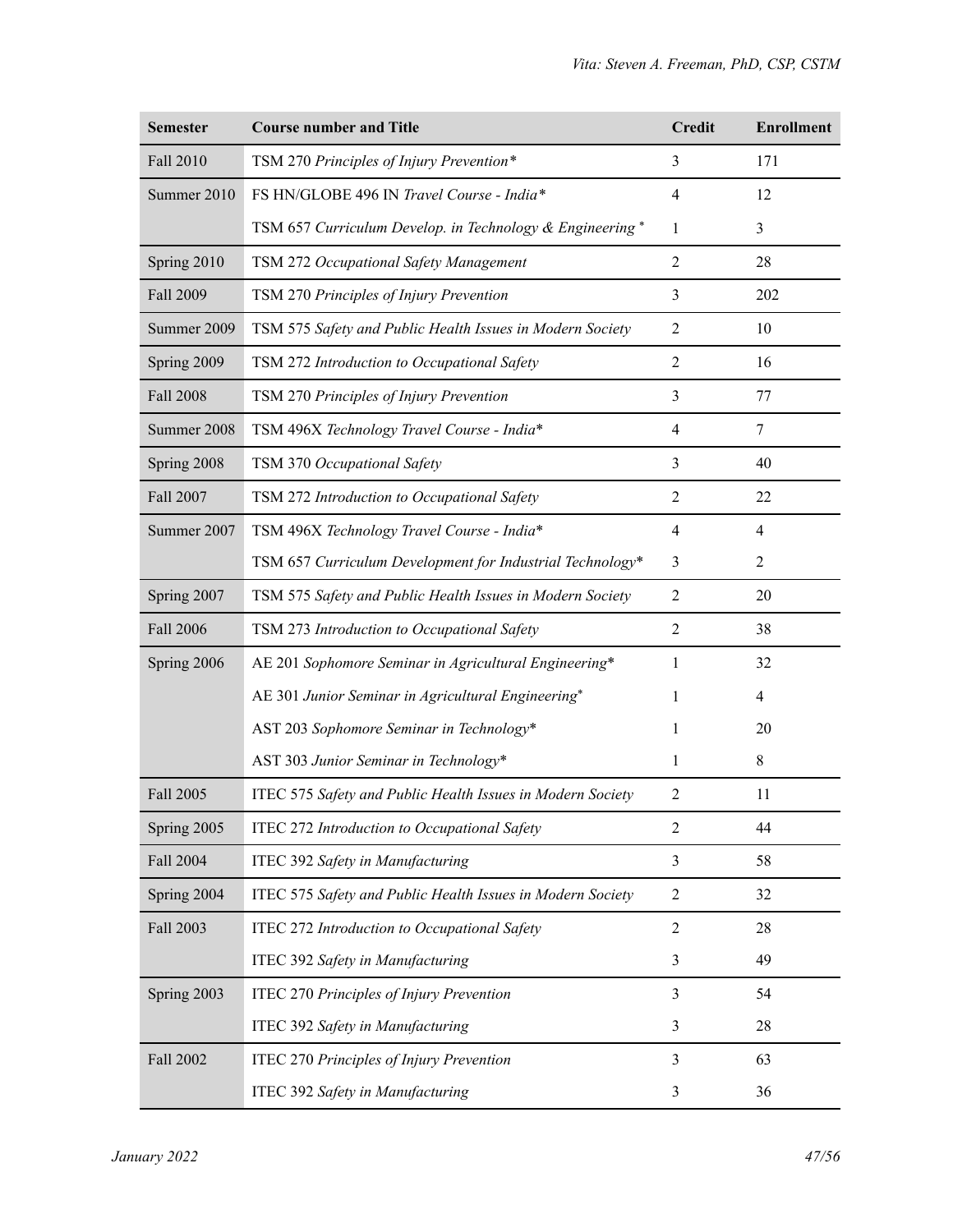| <b>Semester</b>  | <b>Course number and Title</b>                             | <b>Credit</b>  | <b>Enrollment</b> |
|------------------|------------------------------------------------------------|----------------|-------------------|
| <b>Fall 2010</b> | TSM 270 Principles of Injury Prevention*                   | 3              | 171               |
| Summer 2010      | FS HN/GLOBE 496 IN Travel Course - India*                  |                | 12                |
|                  | TSM 657 Curriculum Develop. in Technology & Engineering*   | 1              | 3                 |
| Spring 2010      | TSM 272 Occupational Safety Management                     | $\overline{2}$ | 28                |
| Fall 2009        | TSM 270 Principles of Injury Prevention                    | 3              | 202               |
| Summer 2009      | TSM 575 Safety and Public Health Issues in Modern Society  | $\overline{2}$ | 10                |
| Spring 2009      | TSM 272 Introduction to Occupational Safety                | $\overline{2}$ | 16                |
| <b>Fall 2008</b> | TSM 270 Principles of Injury Prevention                    | 3              | 77                |
| Summer 2008      | TSM 496X Technology Travel Course - India*                 | $\overline{4}$ | $\tau$            |
| Spring 2008      | TSM 370 Occupational Safety                                | 3              | 40                |
| <b>Fall 2007</b> | TSM 272 Introduction to Occupational Safety                | $\overline{2}$ | 22                |
| Summer 2007      | TSM 496X Technology Travel Course - India*                 | $\overline{4}$ | $\overline{4}$    |
|                  | TSM 657 Curriculum Development for Industrial Technology*  | 3              | $\overline{2}$    |
| Spring 2007      | TSM 575 Safety and Public Health Issues in Modern Society  | $\overline{2}$ | 20                |
| <b>Fall 2006</b> | TSM 273 Introduction to Occupational Safety                | $\overline{2}$ | 38                |
| Spring 2006      | AE 201 Sophomore Seminar in Agricultural Engineering*      | 1              | 32                |
|                  | AE 301 Junior Seminar in Agricultural Engineering*         | 1              | $\overline{4}$    |
|                  | AST 203 Sophomore Seminar in Technology*                   | 1              | 20                |
|                  | AST 303 Junior Seminar in Technology*                      | 1              | 8                 |
| Fall 2005        | ITEC 575 Safety and Public Health Issues in Modern Society | $\overline{2}$ | 11                |
| Spring 2005      | ITEC 272 Introduction to Occupational Safety               | $\overline{2}$ | 44                |
| <b>Fall 2004</b> | ITEC 392 Safety in Manufacturing                           | 3              | 58                |
| Spring 2004      | ITEC 575 Safety and Public Health Issues in Modern Society | $\overline{2}$ | 32                |
| Fall 2003        | ITEC 272 Introduction to Occupational Safety               | $\overline{2}$ | 28                |
|                  | ITEC 392 Safety in Manufacturing                           | 3              | 49                |
| Spring 2003      | <b>ITEC 270 Principles of Injury Prevention</b>            | 3              | 54                |
|                  | ITEC 392 Safety in Manufacturing                           | 3              | 28                |
| Fall 2002        | <b>ITEC 270 Principles of Injury Prevention</b>            | 3              | 63                |
|                  | ITEC 392 Safety in Manufacturing                           | 3              | 36                |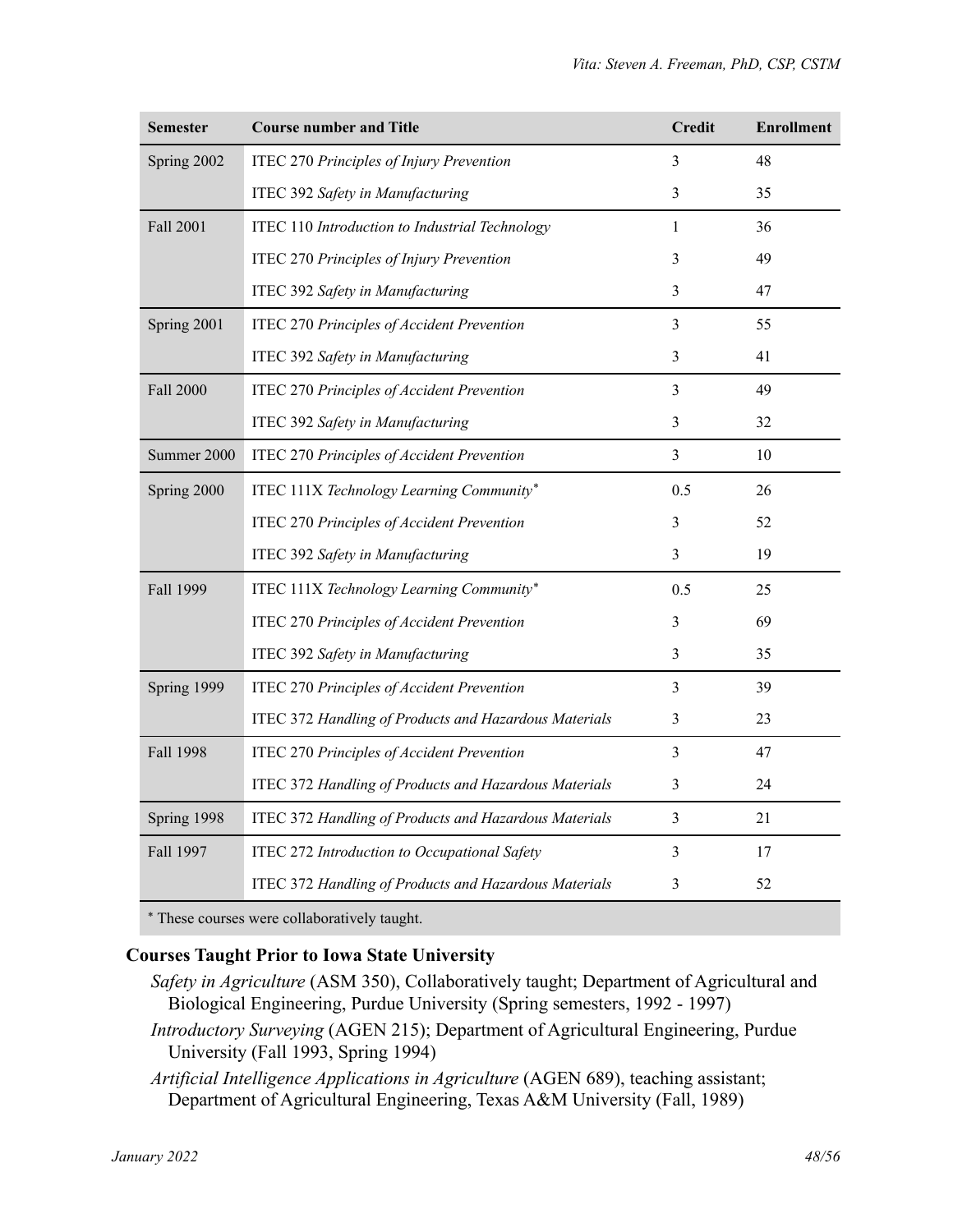| <b>Semester</b>  | <b>Course number and Title</b>                        | <b>Credit</b>  | <b>Enrollment</b> |
|------------------|-------------------------------------------------------|----------------|-------------------|
| Spring 2002      | ITEC 270 Principles of Injury Prevention              | 3              | 48                |
|                  | ITEC 392 Safety in Manufacturing                      | 3              | 35                |
| <b>Fall 2001</b> | ITEC 110 Introduction to Industrial Technology        | $\mathbf{1}$   | 36                |
|                  | <b>ITEC 270 Principles of Injury Prevention</b>       | 3              | 49                |
|                  | ITEC 392 Safety in Manufacturing                      | 3              | 47                |
| Spring 2001      | ITEC 270 Principles of Accident Prevention            | 3              | 55                |
|                  | ITEC 392 Safety in Manufacturing                      | 3              | 41                |
| <b>Fall 2000</b> | ITEC 270 Principles of Accident Prevention            | 3              | 49                |
|                  | ITEC 392 Safety in Manufacturing                      | 3              | 32                |
| Summer 2000      | <b>ITEC 270 Principles of Accident Prevention</b>     | $\mathfrak{Z}$ | $10\,$            |
| Spring 2000      | ITEC 111X Technology Learning Community*              | 0.5            | 26                |
|                  | <b>ITEC 270 Principles of Accident Prevention</b>     | 3              | 52                |
|                  | ITEC 392 Safety in Manufacturing                      | 3              | 19                |
| Fall 1999        | ITEC 111X Technology Learning Community*              | 0.5            | 25                |
|                  | <b>ITEC 270 Principles of Accident Prevention</b>     | 3              | 69                |
|                  | ITEC 392 Safety in Manufacturing                      | 3              | 35                |
| Spring 1999      | ITEC 270 Principles of Accident Prevention            | 3              | 39                |
|                  | ITEC 372 Handling of Products and Hazardous Materials | 3              | 23                |
| Fall 1998        | <b>ITEC 270 Principles of Accident Prevention</b>     | 3              | 47                |
|                  | ITEC 372 Handling of Products and Hazardous Materials | 3              | 24                |
| Spring 1998      | ITEC 372 Handling of Products and Hazardous Materials | 3              | 21                |
| Fall 1997        | ITEC 272 Introduction to Occupational Safety          | 3              | 17                |
|                  | ITEC 372 Handling of Products and Hazardous Materials | 3              | 52                |
|                  | $-11 - 1$ , and $-1 - 1 - 1$ , and $-1 - 1$           |                |                   |

These courses were collaboratively taught.

#### **Courses Taught Prior to Iowa State University**

- *Safety in Agriculture* (ASM 350), Collaboratively taught; Department of Agricultural and Biological Engineering, Purdue University (Spring semesters, 1992 - 1997)
- *Introductory Surveying* (AGEN 215); Department of Agricultural Engineering, Purdue University (Fall 1993, Spring 1994)
- *Artificial Intelligence Applications in Agriculture* (AGEN 689), teaching assistant; Department of Agricultural Engineering, Texas A&M University (Fall, 1989)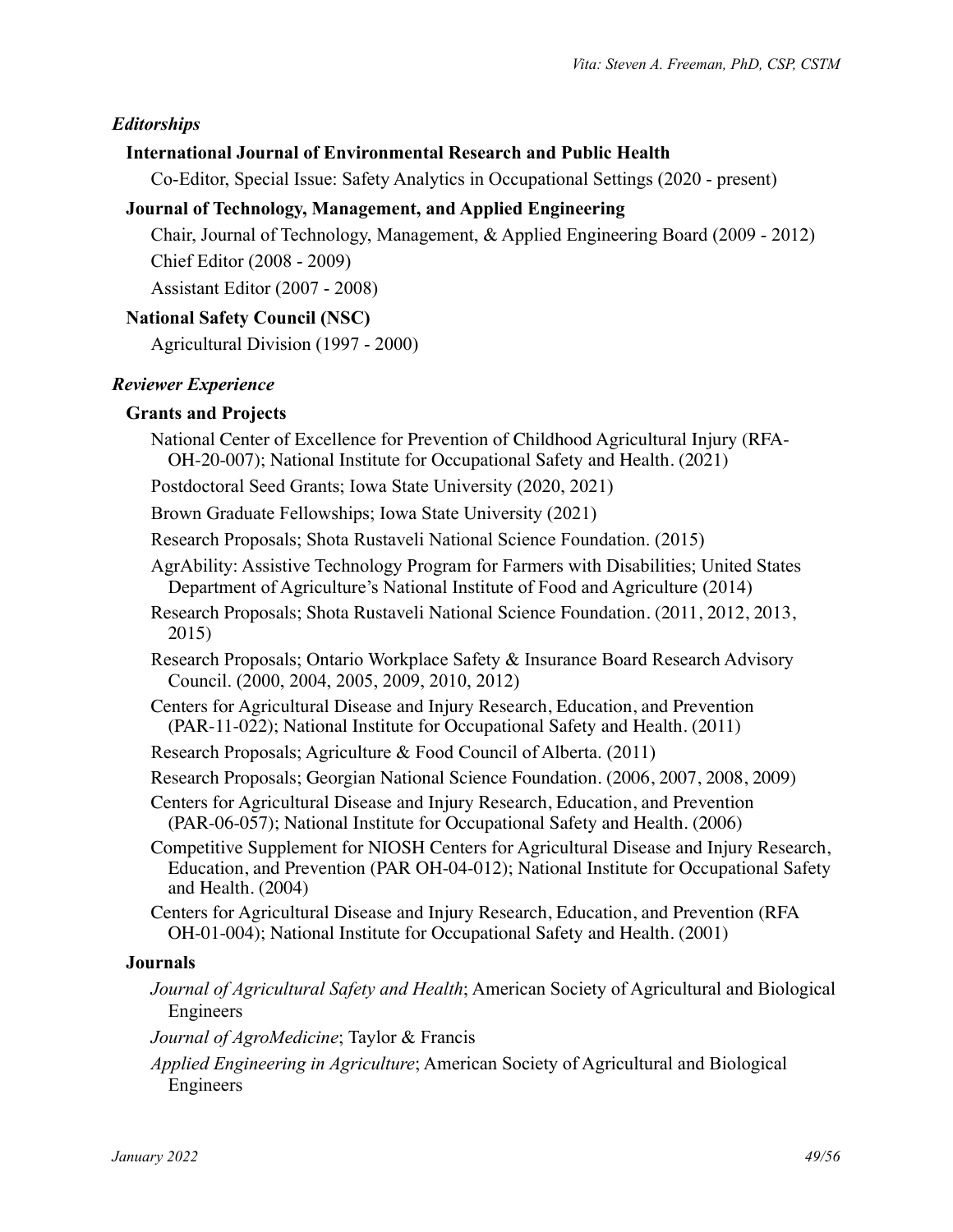# *Editorships*

# **International Journal of Environmental Research and Public Health**

Co-Editor, Special Issue: Safety Analytics in Occupational Settings (2020 - present)

# **Journal of Technology, Management, and Applied Engineering**

Chair, Journal of Technology, Management, & Applied Engineering Board (2009 - 2012) Chief Editor (2008 - 2009)

Assistant Editor (2007 - 2008)

# **National Safety Council (NSC)**

Agricultural Division (1997 - 2000)

# *Reviewer Experience*

# **Grants and Projects**

- National Center of Excellence for Prevention of Childhood Agricultural Injury (RFA-OH-20-007); National Institute for Occupational Safety and Health. (2021)
- Postdoctoral Seed Grants; Iowa State University (2020, 2021)

Brown Graduate Fellowships; Iowa State University (2021)

Research Proposals; Shota Rustaveli National Science Foundation. (2015)

- AgrAbility: Assistive Technology Program for Farmers with Disabilities; United States Department of Agriculture's National Institute of Food and Agriculture (2014)
- Research Proposals; Shota Rustaveli National Science Foundation. (2011, 2012, 2013, 2015)

Research Proposals; Ontario Workplace Safety & Insurance Board Research Advisory Council. (2000, 2004, 2005, 2009, 2010, 2012)

Centers for Agricultural Disease and Injury Research, Education, and Prevention (PAR-11-022); National Institute for Occupational Safety and Health. (2011)

Research Proposals; Agriculture & Food Council of Alberta. (2011)

Research Proposals; Georgian National Science Foundation. (2006, 2007, 2008, 2009)

Centers for Agricultural Disease and Injury Research, Education, and Prevention (PAR-06-057); National Institute for Occupational Safety and Health. (2006)

Competitive Supplement for NIOSH Centers for Agricultural Disease and Injury Research, Education, and Prevention (PAR OH-04-012); National Institute for Occupational Safety and Health. (2004)

Centers for Agricultural Disease and Injury Research, Education, and Prevention (RFA OH-01-004); National Institute for Occupational Safety and Health. (2001)

# **Journals**

- *Journal of Agricultural Safety and Health*; American Society of Agricultural and Biological Engineers
- *Journal of AgroMedicine*; Taylor & Francis

*Applied Engineering in Agriculture*; American Society of Agricultural and Biological Engineers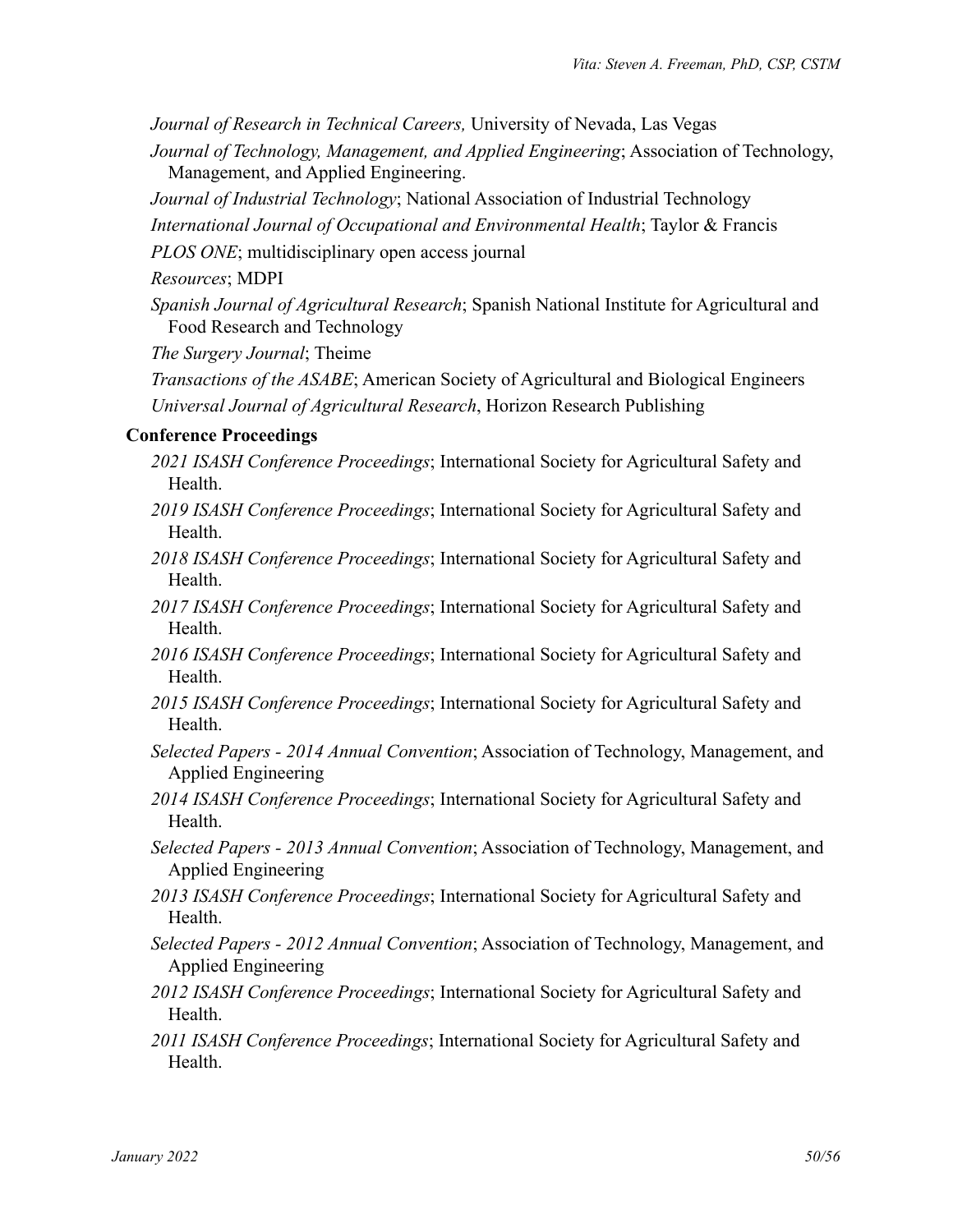*Journal of Research in Technical Careers,* University of Nevada, Las Vegas

*Journal of Technology, Management, and Applied Engineering*; Association of Technology, Management, and Applied Engineering.

*Journal of Industrial Technology*; National Association of Industrial Technology

*International Journal of Occupational and Environmental Health*; Taylor & Francis

*PLOS ONE*; multidisciplinary open access journal

*Resources*; MDPI

*Spanish Journal of Agricultural Research*; Spanish National Institute for Agricultural and Food Research and Technology

*The Surgery Journal*; Theime

*Transactions of the ASABE*; American Society of Agricultural and Biological Engineers *Universal Journal of Agricultural Research*, Horizon Research Publishing

#### **Conference Proceedings**

- *2021 ISASH Conference Proceedings*; International Society for Agricultural Safety and Health.
- *2019 ISASH Conference Proceedings*; International Society for Agricultural Safety and Health.
- *2018 ISASH Conference Proceedings*; International Society for Agricultural Safety and Health.
- *2017 ISASH Conference Proceedings*; International Society for Agricultural Safety and **Health**
- *2016 ISASH Conference Proceedings*; International Society for Agricultural Safety and Health.
- *2015 ISASH Conference Proceedings*; International Society for Agricultural Safety and Health.
- *Selected Papers 2014 Annual Convention*; Association of Technology, Management, and Applied Engineering
- *2014 ISASH Conference Proceedings*; International Society for Agricultural Safety and Health.
- *Selected Papers 2013 Annual Convention*; Association of Technology, Management, and Applied Engineering
- *2013 ISASH Conference Proceedings*; International Society for Agricultural Safety and Health.
- *Selected Papers 2012 Annual Convention*; Association of Technology, Management, and Applied Engineering
- *2012 ISASH Conference Proceedings*; International Society for Agricultural Safety and Health.
- *2011 ISASH Conference Proceedings*; International Society for Agricultural Safety and Health.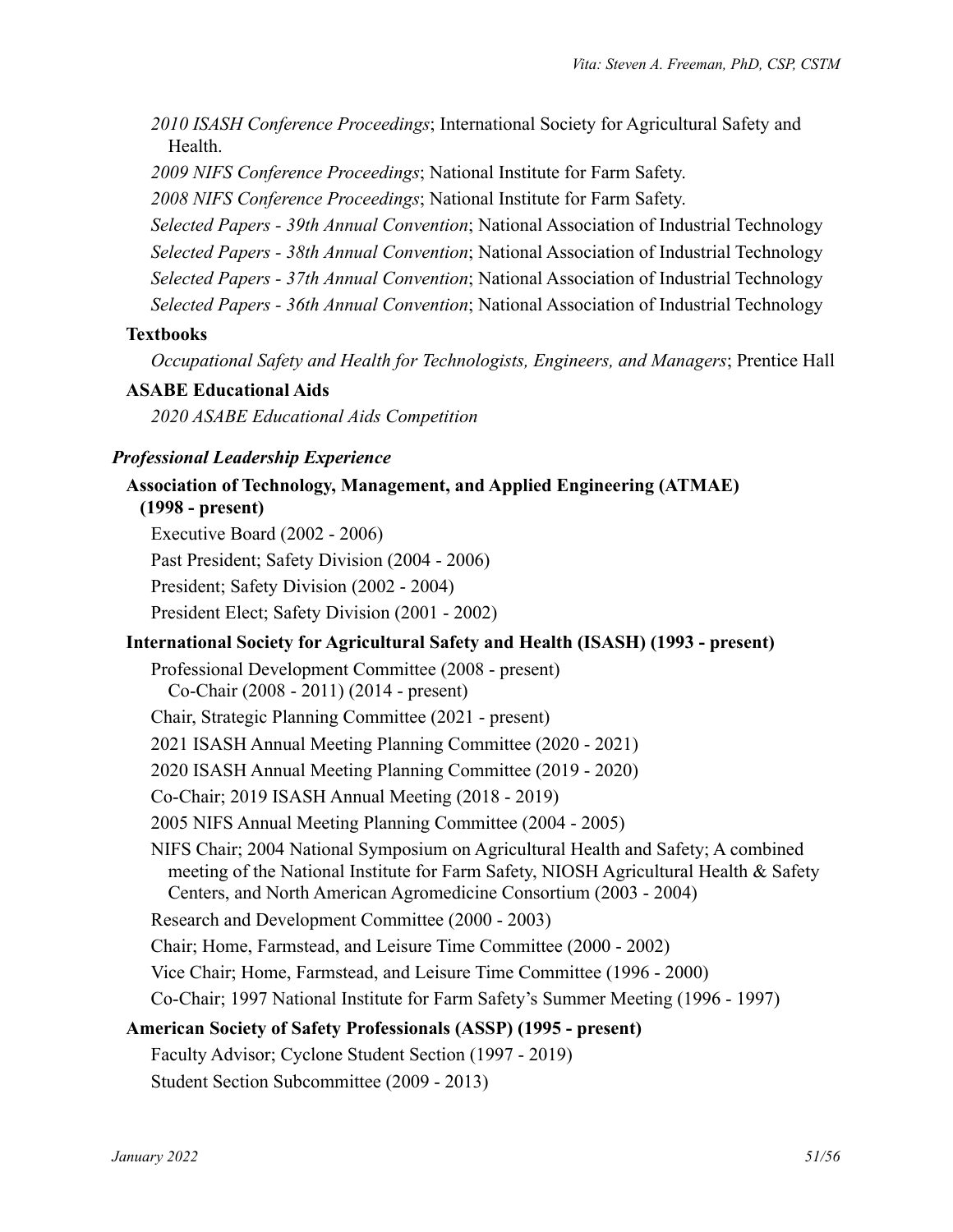*2010 ISASH Conference Proceedings*; International Society for Agricultural Safety and Health.

*2009 NIFS Conference Proceedings*; National Institute for Farm Safety.

*2008 NIFS Conference Proceedings*; National Institute for Farm Safety.

*Selected Papers - 39th Annual Convention*; National Association of Industrial Technology

*Selected Papers - 38th Annual Convention*; National Association of Industrial Technology

*Selected Papers - 37th Annual Convention*; National Association of Industrial Technology

*Selected Papers - 36th Annual Convention*; National Association of Industrial Technology

### **Textbooks**

*Occupational Safety and Health for Technologists, Engineers, and Managers*; Prentice Hall

### **ASABE Educational Aids**

*2020 ASABE Educational Aids Competition*

## *Professional Leadership Experience*

# **Association of Technology, Management, and Applied Engineering (ATMAE)**

**(1998 - present)** Executive Board (2002 - 2006) Past President; Safety Division (2004 - 2006) President; Safety Division (2002 - 2004) President Elect; Safety Division (2001 - 2002)

# **International Society for Agricultural Safety and Health (ISASH) (1993 - present)**

Professional Development Committee (2008 - present) Co-Chair (2008 - 2011) (2014 - present) Chair, Strategic Planning Committee (2021 - present) 2021 ISASH Annual Meeting Planning Committee (2020 - 2021) 2020 ISASH Annual Meeting Planning Committee (2019 - 2020) Co-Chair; 2019 ISASH Annual Meeting (2018 - 2019) 2005 NIFS Annual Meeting Planning Committee (2004 - 2005) NIFS Chair; 2004 National Symposium on Agricultural Health and Safety; A combined meeting of the National Institute for Farm Safety, NIOSH Agricultural Health & Safety Centers, and North American Agromedicine Consortium (2003 - 2004) Research and Development Committee (2000 - 2003) Chair; Home, Farmstead, and Leisure Time Committee (2000 - 2002) Vice Chair; Home, Farmstead, and Leisure Time Committee (1996 - 2000) Co-Chair; 1997 National Institute for Farm Safety's Summer Meeting (1996 - 1997) **American Society of Safety Professionals (ASSP) (1995 - present)** Faculty Advisor; Cyclone Student Section (1997 - 2019)

Student Section Subcommittee (2009 - 2013)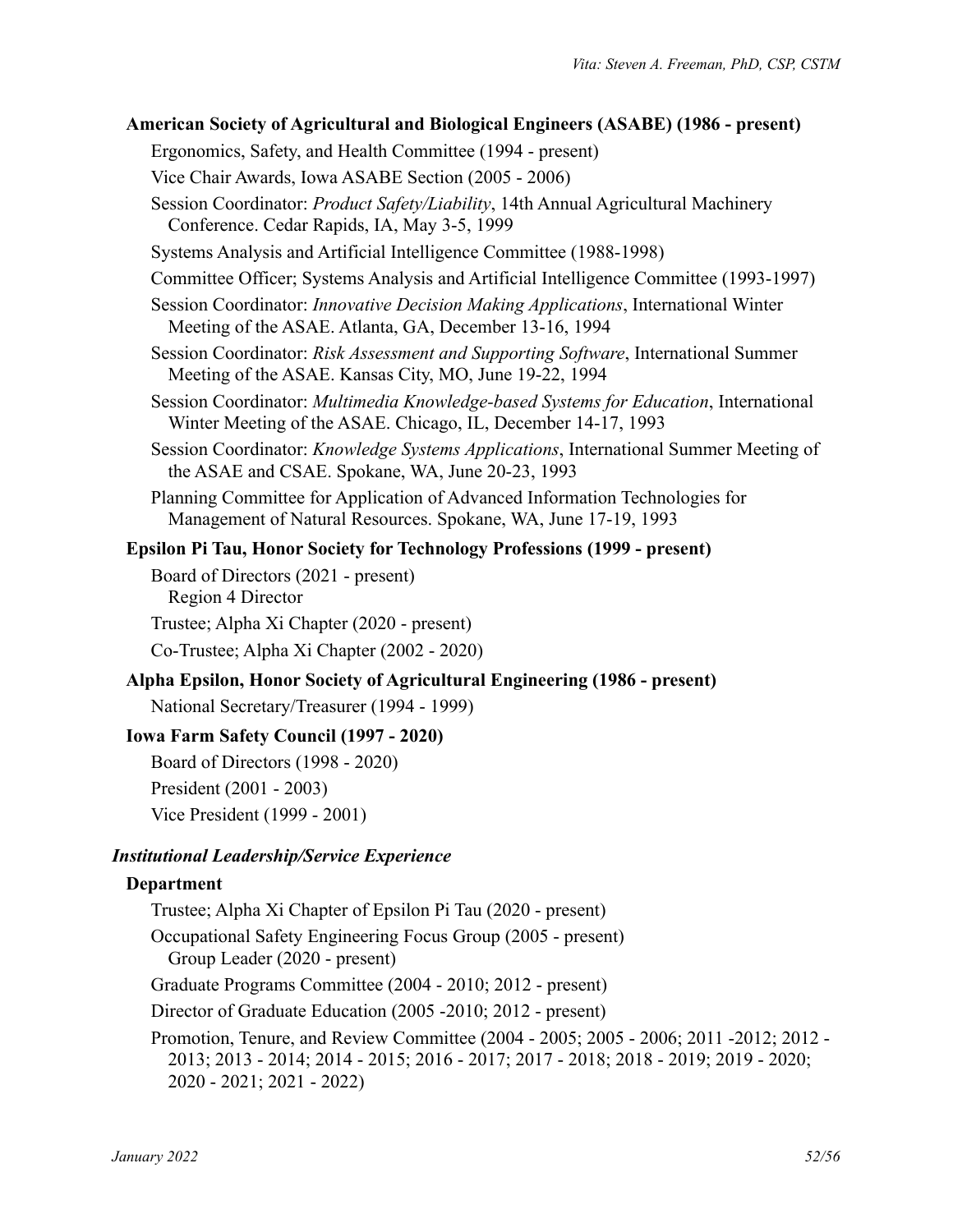| American Society of Agricultural and Biological Engineers (ASABE) (1986 - present)                                                                    |
|-------------------------------------------------------------------------------------------------------------------------------------------------------|
| Ergonomics, Safety, and Health Committee (1994 - present)                                                                                             |
| Vice Chair Awards, Iowa ASABE Section (2005 - 2006)                                                                                                   |
| Session Coordinator: Product Safety/Liability, 14th Annual Agricultural Machinery<br>Conference. Cedar Rapids, IA, May 3-5, 1999                      |
| Systems Analysis and Artificial Intelligence Committee (1988-1998)                                                                                    |
| Committee Officer; Systems Analysis and Artificial Intelligence Committee (1993-1997)                                                                 |
| Session Coordinator: <i>Innovative Decision Making Applications</i> , International Winter<br>Meeting of the ASAE. Atlanta, GA, December 13-16, 1994  |
| Session Coordinator: Risk Assessment and Supporting Software, International Summer<br>Meeting of the ASAE. Kansas City, MO, June 19-22, 1994          |
| Session Coordinator: Multimedia Knowledge-based Systems for Education, International<br>Winter Meeting of the ASAE. Chicago, IL, December 14-17, 1993 |
| Session Coordinator: Knowledge Systems Applications, International Summer Meeting of<br>the ASAE and CSAE. Spokane, WA, June 20-23, 1993              |
| Planning Committee for Application of Advanced Information Technologies for<br>Management of Natural Resources. Spokane, WA, June 17-19, 1993         |
| <b>Epsilon Pi Tau, Honor Society for Technology Professions (1999 - present)</b>                                                                      |
| Board of Directors (2021 - present)<br>Region 4 Director                                                                                              |
| Trustee; Alpha Xi Chapter (2020 - present)                                                                                                            |
| Co-Trustee; Alpha Xi Chapter (2002 - 2020)                                                                                                            |
| Alpha Epsilon, Honor Society of Agricultural Engineering (1986 - present)                                                                             |
| National Secretary/Treasurer (1994 - 1999)                                                                                                            |
| <b>Iowa Farm Safety Council (1997 - 2020)</b>                                                                                                         |
| Board of Directors (1998 - 2020)                                                                                                                      |
| President (2001 - 2003)                                                                                                                               |
| Vice President (1999 - 2001)                                                                                                                          |
| <b>Institutional Leadership/Service Experience</b>                                                                                                    |
| Department                                                                                                                                            |
| Trustee; Alpha Xi Chapter of Epsilon Pi Tau (2020 - present)                                                                                          |
| Occupational Safety Engineering Focus Group (2005 - present)<br>Group Leader (2020 - present)                                                         |

Graduate Programs Committee (2004 - 2010; 2012 - present)

Director of Graduate Education (2005 -2010; 2012 - present)

Promotion, Tenure, and Review Committee (2004 - 2005; 2005 - 2006; 2011 -2012; 2012 - 2013; 2013 - 2014; 2014 - 2015; 2016 - 2017; 2017 - 2018; 2018 - 2019; 2019 - 2020; 2020 - 2021; 2021 - 2022)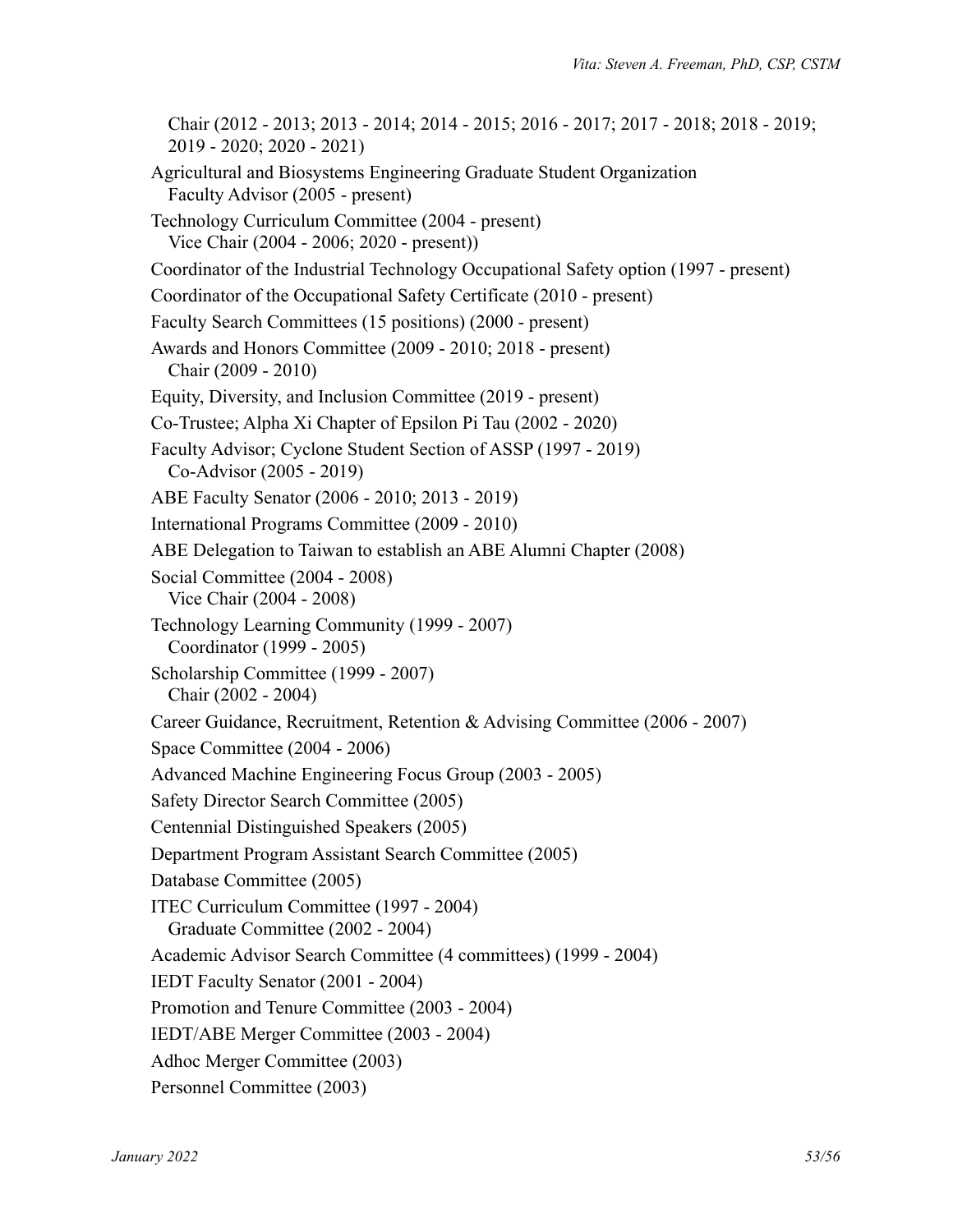Chair (2012 - 2013; 2013 - 2014; 2014 - 2015; 2016 - 2017; 2017 - 2018; 2018 - 2019; 2019 - 2020; 2020 - 2021) Agricultural and Biosystems Engineering Graduate Student Organization Faculty Advisor (2005 - present) Technology Curriculum Committee (2004 - present) Vice Chair (2004 - 2006; 2020 - present)) Coordinator of the Industrial Technology Occupational Safety option (1997 - present) Coordinator of the Occupational Safety Certificate (2010 - present) Faculty Search Committees (15 positions) (2000 - present) Awards and Honors Committee (2009 - 2010; 2018 - present) Chair (2009 - 2010) Equity, Diversity, and Inclusion Committee (2019 - present) Co-Trustee; Alpha Xi Chapter of Epsilon Pi Tau (2002 - 2020) Faculty Advisor; Cyclone Student Section of ASSP (1997 - 2019) Co-Advisor (2005 - 2019) ABE Faculty Senator (2006 - 2010; 2013 - 2019) International Programs Committee (2009 - 2010) ABE Delegation to Taiwan to establish an ABE Alumni Chapter (2008) Social Committee (2004 - 2008) Vice Chair (2004 - 2008) Technology Learning Community (1999 - 2007) Coordinator (1999 - 2005) Scholarship Committee (1999 - 2007) Chair (2002 - 2004) Career Guidance, Recruitment, Retention & Advising Committee (2006 - 2007) Space Committee (2004 - 2006) Advanced Machine Engineering Focus Group (2003 - 2005) Safety Director Search Committee (2005) Centennial Distinguished Speakers (2005) Department Program Assistant Search Committee (2005) Database Committee (2005) ITEC Curriculum Committee (1997 - 2004) Graduate Committee (2002 - 2004) Academic Advisor Search Committee (4 committees) (1999 - 2004) IEDT Faculty Senator (2001 - 2004) Promotion and Tenure Committee (2003 - 2004) IEDT/ABE Merger Committee (2003 - 2004) Adhoc Merger Committee (2003) Personnel Committee (2003)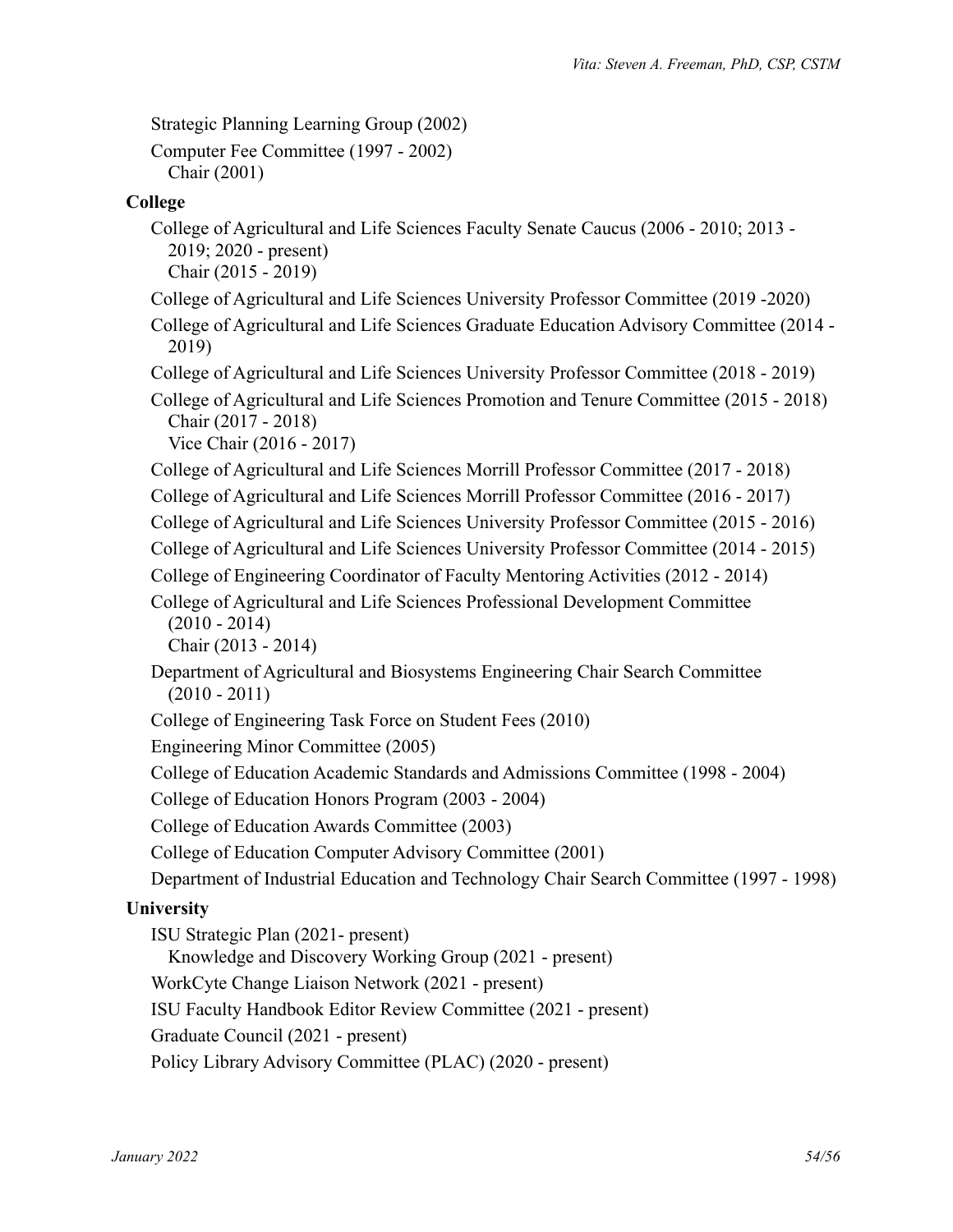Strategic Planning Learning Group (2002)

Computer Fee Committee (1997 - 2002) Chair (2001)

# **College**

- College of Agricultural and Life Sciences Faculty Senate Caucus (2006 2010; 2013 2019; 2020 - present) Chair (2015 - 2019)
- College of Agricultural and Life Sciences University Professor Committee (2019 -2020)
- College of Agricultural and Life Sciences Graduate Education Advisory Committee (2014 2019)
- College of Agricultural and Life Sciences University Professor Committee (2018 2019)
- College of Agricultural and Life Sciences Promotion and Tenure Committee (2015 2018) Chair (2017 - 2018)

Vice Chair (2016 - 2017)

College of Agricultural and Life Sciences Morrill Professor Committee (2017 - 2018)

College of Agricultural and Life Sciences Morrill Professor Committee (2016 - 2017)

- College of Agricultural and Life Sciences University Professor Committee (2015 2016)
- College of Agricultural and Life Sciences University Professor Committee (2014 2015)

College of Engineering Coordinator of Faculty Mentoring Activities (2012 - 2014)

College of Agricultural and Life Sciences Professional Development Committee (2010 - 2014)

Chair (2013 - 2014)

Department of Agricultural and Biosystems Engineering Chair Search Committee  $(2010 - 2011)$ 

College of Engineering Task Force on Student Fees (2010)

Engineering Minor Committee (2005)

College of Education Academic Standards and Admissions Committee (1998 - 2004)

College of Education Honors Program (2003 - 2004)

College of Education Awards Committee (2003)

College of Education Computer Advisory Committee (2001)

Department of Industrial Education and Technology Chair Search Committee (1997 - 1998)

# **University**

ISU Strategic Plan (2021- present) Knowledge and Discovery Working Group (2021 - present) WorkCyte Change Liaison Network (2021 - present) ISU Faculty Handbook Editor Review Committee (2021 - present) Graduate Council (2021 - present) Policy Library Advisory Committee (PLAC) (2020 - present)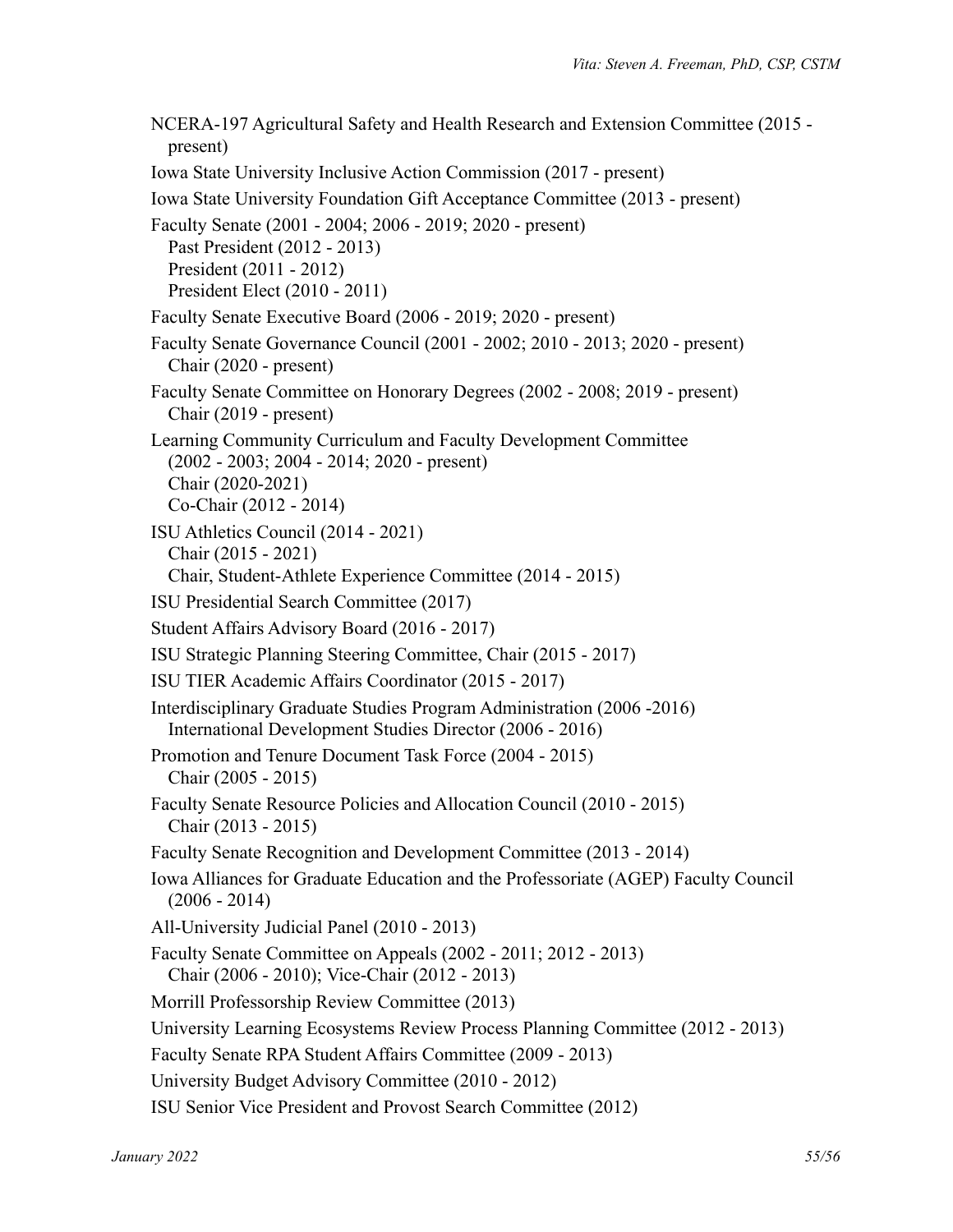NCERA-197 Agricultural Safety and Health Research and Extension Committee (2015 present) Iowa State University Inclusive Action Commission (2017 - present) Iowa State University Foundation Gift Acceptance Committee (2013 - present) Faculty Senate (2001 - 2004; 2006 - 2019; 2020 - present) Past President (2012 - 2013) President (2011 - 2012) President Elect (2010 - 2011) Faculty Senate Executive Board (2006 - 2019; 2020 - present) Faculty Senate Governance Council (2001 - 2002; 2010 - 2013; 2020 - present) Chair (2020 - present) Faculty Senate Committee on Honorary Degrees (2002 - 2008; 2019 - present) Chair (2019 - present) Learning Community Curriculum and Faculty Development Committee (2002 - 2003; 2004 - 2014; 2020 - present) Chair (2020-2021) Co-Chair (2012 - 2014) ISU Athletics Council (2014 - 2021) Chair (2015 - 2021) Chair, Student-Athlete Experience Committee (2014 - 2015) ISU Presidential Search Committee (2017) Student Affairs Advisory Board (2016 - 2017) ISU Strategic Planning Steering Committee, Chair (2015 - 2017) ISU TIER Academic Affairs Coordinator (2015 - 2017) Interdisciplinary Graduate Studies Program Administration (2006 -2016) International Development Studies Director (2006 - 2016) Promotion and Tenure Document Task Force (2004 - 2015) Chair (2005 - 2015) Faculty Senate Resource Policies and Allocation Council (2010 - 2015) Chair (2013 - 2015) Faculty Senate Recognition and Development Committee (2013 - 2014) Iowa Alliances for Graduate Education and the Professoriate (AGEP) Faculty Council  $(2006 - 2014)$ All-University Judicial Panel (2010 - 2013) Faculty Senate Committee on Appeals (2002 - 2011; 2012 - 2013) Chair (2006 - 2010); Vice-Chair (2012 - 2013) Morrill Professorship Review Committee (2013) University Learning Ecosystems Review Process Planning Committee (2012 - 2013) Faculty Senate RPA Student Affairs Committee (2009 - 2013) University Budget Advisory Committee (2010 - 2012) ISU Senior Vice President and Provost Search Committee (2012)